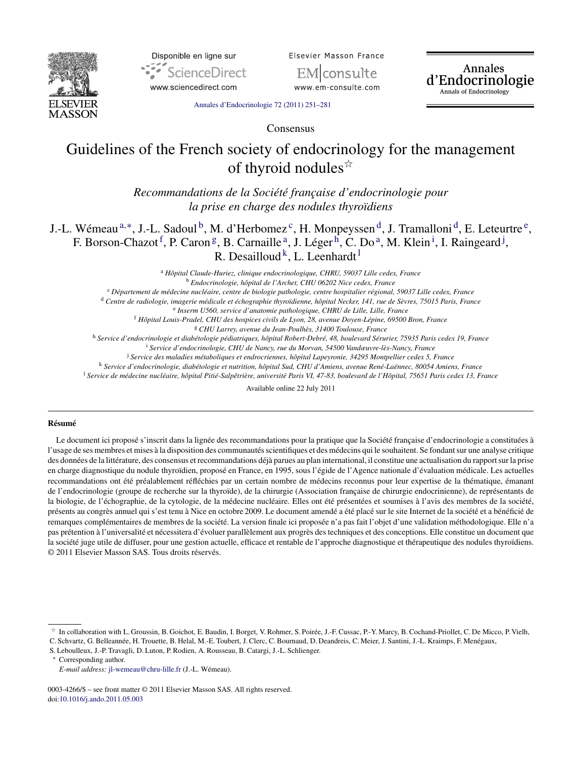



**Elsevier Masson France** www.em-consulte.com

Annales<br>d'Endocrinologie Annals of Endocrinology

[Annales d'Endocrinologie 72 \(2011\) 251–281](dx.doi.org/10.1016/j.ando.2011.05.003)

Consensus

# Guidelines of the French society of endocrinology for the management of thyroid nodules $\vec{r}$

*Recommandations de la Société fran¸caise d'endocrinologie pour la prise en charge des nodules thyroïdiens*

J.-L. Wémeau<sup>a,∗</sup>, J.-L. Sadoul<sup>b</sup>, M. d'Herbomez<sup>c</sup>, H. Monpeyssen<sup>d</sup>, J. Tramalloni<sup>d</sup>, E. Leteurtre<sup>e</sup>, F. Borson-Chazot<sup>f</sup>, P. Caron<sup>g</sup>, B. Carnaille<sup>a</sup>, J. Léger<sup>h</sup>, C. Do<sup>a</sup>, M. Klein<sup>i</sup>, I. Raingeard<sup>j</sup>, R. Desailloud<sup>k</sup>, L. Leenhardt<sup>1</sup>

<sup>a</sup> *Hôpital Claude-Huriez, clinique endocrinologique, CHRU, 59037 Lille cedex, France*

<sup>b</sup> *Endocrinologie, hôpital de l'Archet, CHU 06202 Nice cedex, France*

<sup>c</sup> *Département de médecine nucléaire, centre de biologie pathologie, centre hospitalier régional, 59037 Lille cedex, France*

<sup>d</sup> *Centre de radiologie, imagerie médicale et échographie thyroïdienne, hôpital Necker, 141, rue de Sèvres, 75015 Paris, France*

<sup>e</sup> *Inserm U560, service d'anatomie pathologique, CHRU de Lille, Lille, France*

<sup>f</sup> *Hôpital Louis-Pradel, CHU des hospices civils de Lyon, 28, avenue Doyen-Lépine, 69500 Bron, France*

<sup>g</sup> *CHU Larrey, avenue du Jean-Poulhès, 31400 Toulouse, France*

<sup>h</sup> *Service d'endocrinologie et diabétologie pédiatriques, hôpital Robert-Debré, 48, boulevard Sérurier, 75935 Paris cedex 19, France*

<sup>i</sup> *Service d'endocrinologie, CHU de Nancy, rue du Morvan, 54500 Vandœuvre-lès-Nancy, France*

<sup>j</sup> *Service des maladies métaboliques et endrocriennes, hôpital Lapeyronie, 34295 Montpellier cedex 5, France*

<sup>k</sup> *Service d'endocrinologie, diabétologie et nutrition, hôpital Sud, CHU d'Amiens, avenue René-Laënnec, 80054 Amiens, France*

<sup>l</sup> *Service de médecine nucléaire, hôpital Pitié-Salpêtrière, université Paris VI, 47-83, boulevard de l'Hôpital, 75651 Paris cedex 13, France*

Available online 22 July 2011

## **Résumé**

Le document ici proposé s'inscrit dans la lignée des recommandations pour la pratique que la Société française d'endocrinologie a constituées à l'usage de ses membres et mises à la disposition des communautés scientifiques et des médecins qui le souhaitent. Se fondant sur une analyse critique des données de la littérature, des consensus et recommandations déjà parues au plan international, il constitue une actualisation du rapport sur la prise en charge diagnostique du nodule thyroïdien, proposé en France, en 1995, sous l'égide de l'Agence nationale d'évaluation médicale. Les actuelles recommandations ont été préalablement réfléchies par un certain nombre de médecins reconnus pour leur expertise de la thématique, émanant de l'endocrinologie (groupe de recherche sur la thyroïde), de la chirurgie (Association française de chirurgie endocrinienne), de représentants de la biologie, de l'échographie, de la cytologie, de la médecine nucléaire. Elles ont été présentées et soumises à l'avis des membres de la société, présents au congrès annuel qui s'est tenu à Nice en octobre 2009. Le document amendé a été placé sur le site Internet de la société et a bénéficié de remarques complémentaires de membres de la société. La version finale ici proposée n'a pas fait l'objet d'une validation méthodologique. Elle n'a pas prétention à l'universalité et nécessitera d'évoluer parallèlement aux progrès des techniques et des conceptions. Elle constitue un document que la société juge utile de diffuser, pour une gestion actuelle, efficace et rentable de l'approche diagnostique et thérapeutique des nodules thyroïdiens. © 2011 Elsevier Masson SAS. Tous droits réservés.

S. Leboulleux, J.-P. Travagli, D. Luton, P. Rodien, A. Rousseau, B. Catargi, J.-L. Schlienger.

 $\frac{1}{24}$  In collaboration with L. Groussin, B. Goichot, E. Baudin, I. Borget, V. Rohmer, S. Poirée, J.-F. Cussac, P.-Y. Marcy, B. Cochand-Priollet, C. De Micco, P. Vielh, C. Schvartz, G. Belleannée, H. Trouette, B. Helal, M.-E. Toubert, J. Clerc, C. Bournaud, D. Deandreis, C. Meier, J. Santini, J.-L. Kraimps, F. Menégaux,

Corresponding author.

*E-mail address:* [jl-wemeau@chru-lille.fr](mailto:jl-wemeau@chru-lille.fr) (J.-L. Wémeau).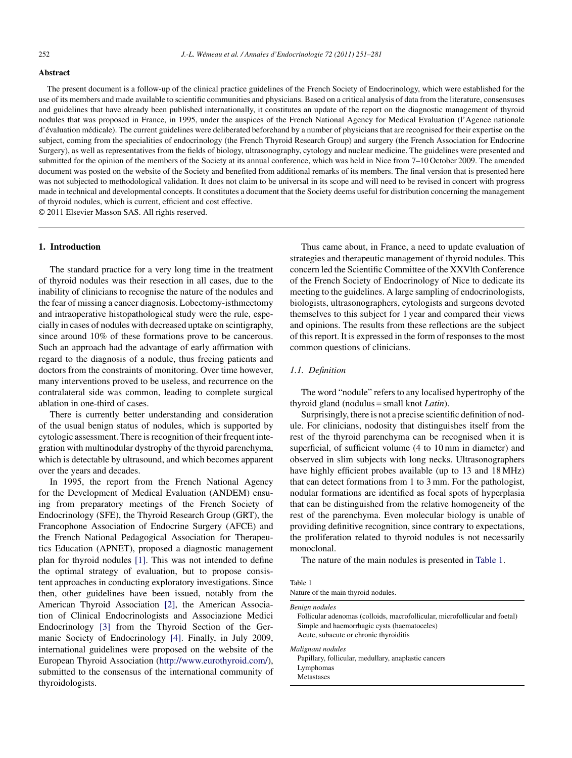#### **Abstract**

The present document is a follow-up of the clinical practice guidelines of the French Society of Endocrinology, which were established for the use of its members and made available to scientific communities and physicians. Based on a critical analysis of data from the literature, consensuses and guidelines that have already been published internationally, it constitutes an update of the report on the diagnostic management of thyroid nodules that was proposed in France, in 1995, under the auspices of the French National Agency for Medical Evaluation (l'Agence nationale d'évaluation médicale). The current guidelines were deliberated beforehand by a number of physicians that are recognised for their expertise on the subject, coming from the specialities of endocrinology (the French Thyroid Research Group) and surgery (the French Association for Endocrine Surgery), as well as representatives from the fields of biology, ultrasonography, cytology and nuclear medicine. The guidelines were presented and submitted for the opinion of the members of the Society at its annual conference, which was held in Nice from 7–10 October 2009. The amended document was posted on the website of the Society and benefited from additional remarks of its members. The final version that is presented here was not subjected to methodological validation. It does not claim to be universal in its scope and will need to be revised in concert with progress made in technical and developmental concepts. It constitutes a document that the Society deems useful for distribution concerning the management of thyroid nodules, which is current, efficient and cost effective.

© 2011 Elsevier Masson SAS. All rights reserved.

#### **1. Introduction**

The standard practice for a very long time in the treatment of thyroid nodules was their resection in all cases, due to the inability of clinicians to recognise the nature of the nodules and the fear of missing a cancer diagnosis. Lobectomy-isthmectomy and intraoperative histopathological study were the rule, especially in cases of nodules with decreased uptake on scintigraphy, since around 10% of these formations prove to be cancerous. Such an approach had the advantage of early affirmation with regard to the diagnosis of a nodule, thus freeing patients and doctors from the constraints of monitoring. Over time however, many interventions proved to be useless, and recurrence on the contralateral side was common, leading to complete surgical ablation in one-third of cases.

There is currently better understanding and consideration of the usual benign status of nodules, which is supported by cytologic assessment. There is recognition of their frequent integration with multinodular dystrophy of the thyroid parenchyma, which is detectable by ultrasound, and which becomes apparent over the years and decades.

In 1995, the report from the French National Agency for the Development of Medical Evaluation (ANDEM) ensuing from preparatory meetings of the French Society of Endocrinology (SFE), the Thyroid Research Group (GRT), the Francophone Association of Endocrine Surgery (AFCE) and the French National Pedagogical Association for Therapeutics Education (APNET), proposed a diagnostic management plan for thyroid nodules [\[1\].](#page-24-0) This was not intended to define the optimal strategy of evaluation, but to propose consistent approaches in conducting exploratory investigations. Since then, other guidelines have been issued, notably from the American Thyroid Association [\[2\],](#page-24-0) the American Association of Clinical Endocrinologists and Associazione Medici Endocrinology [\[3\]](#page-24-0) from the Thyroid Section of the Germanic Society of Endocrinology [\[4\].](#page-24-0) Finally, in July 2009, international guidelines were proposed on the website of the European Thyroid Association (<http://www.eurothyroid.com/>), submitted to the consensus of the international community of thyroidologists.

Thus came about, in France, a need to update evaluation of strategies and therapeutic management of thyroid nodules. This concern led the Scientific Committee of the XXVlth Conference of the French Society of Endocrinology of Nice to dedicate its meeting to the guidelines. A large sampling of endocrinologists, biologists, ultrasonographers, cytologists and surgeons devoted themselves to this subject for 1 year and compared their views and opinions. The results from these reflections are the subject of this report. It is expressed in the form of responses to the most common questions of clinicians.

# *1.1. Definition*

The word "nodule" refers to any localised hypertrophy of the thyroid gland (nodulus = small knot *Latin*).

Surprisingly, there is not a precise scientific definition of nodule. For clinicians, nodosity that distinguishes itself from the rest of the thyroid parenchyma can be recognised when it is superficial, of sufficient volume (4 to 10 mm in diameter) and observed in slim subjects with long necks. Ultrasonographers have highly efficient probes available (up to 13 and 18 MHz) that can detect formations from 1 to 3 mm. For the pathologist, nodular formations are identified as focal spots of hyperplasia that can be distinguished from the relative homogeneity of the rest of the parenchyma. Even molecular biology is unable of providing definitive recognition, since contrary to expectations, the proliferation related to thyroid nodules is not necessarily monoclonal.

The nature of the main nodules is presented in Table 1.

#### Table 1

Nature of the main thyroid nodules.

*Benign nodules*

Follicular adenomas (colloids, macrofollicular, microfollicular and foetal) Simple and haemorrhagic cysts (haematoceles) Acute, subacute or chronic thyroiditis

*Malignant nodules*

Papillary, follicular, medullary, anaplastic cancers Lymphomas **Metastases**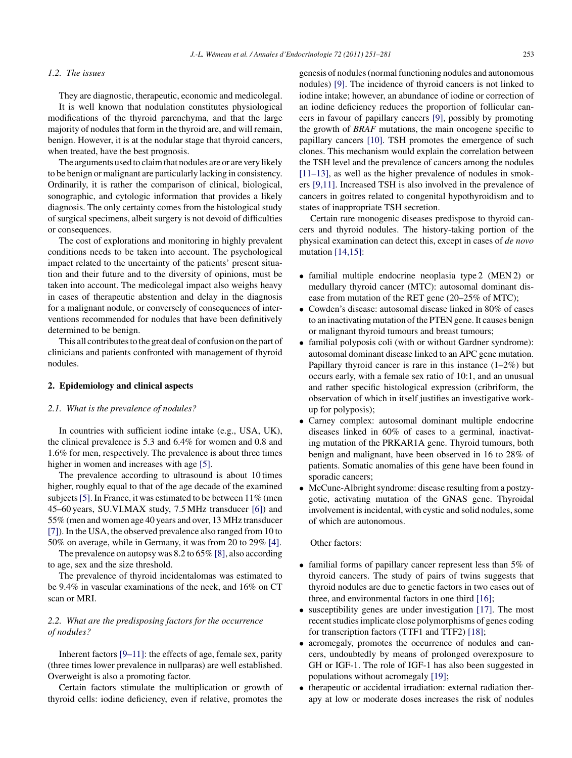#### *1.2. The issues*

They are diagnostic, therapeutic, economic and medicolegal.

It is well known that nodulation constitutes physiological modifications of the thyroid parenchyma, and that the large majority of nodules that form in the thyroid are, and will remain, benign. However, it is at the nodular stage that thyroid cancers, when treated, have the best prognosis.

The arguments used to claim that nodules are or are very likely to be benign or malignant are particularly lacking in consistency. Ordinarily, it is rather the comparison of clinical, biological, sonographic, and cytologic information that provides a likely diagnosis. The only certainty comes from the histological study of surgical specimens, albeit surgery is not devoid of difficulties or consequences.

The cost of explorations and monitoring in highly prevalent conditions needs to be taken into account. The psychological impact related to the uncertainty of the patients' present situation and their future and to the diversity of opinions, must be taken into account. The medicolegal impact also weighs heavy in cases of therapeutic abstention and delay in the diagnosis for a malignant nodule, or conversely of consequences of interventions recommended for nodules that have been definitively determined to be benign.

This all contributes to the great deal of confusion on the part of clinicians and patients confronted with management of thyroid nodules.

# **2. Epidemiology and clinical aspects**

# *2.1. What is the prevalence of nodules?*

In countries with sufficient iodine intake (e.g., USA, UK), the clinical prevalence is 5.3 and 6.4% for women and 0.8 and 1.6% for men, respectively. The prevalence is about three times higher in women and increases with age [\[5\].](#page-24-0)

The prevalence according to ultrasound is about 10 times higher, roughly equal to that of the age decade of the examined subjects [\[5\]. I](#page-24-0)n France, it was estimated to be between  $11\%$  (men 45–60 years, SU.VI.MAX study, 7.5 MHz transducer [\[6\]\)](#page-24-0) and 55% (men and women age 40 years and over, 13 MHz transducer [\[7\]\).](#page-24-0) In the USA, the observed prevalence also ranged from 10 to 50% on average, while in Germany, it was from 20 to 29% [\[4\].](#page-24-0)

The prevalence on autopsy was 8.2 to 65% [\[8\], a](#page-24-0)lso according to age, sex and the size threshold.

The prevalence of thyroid incidentalomas was estimated to be 9.4% in vascular examinations of the neck, and 16% on CT scan or MRI.

# *2.2. What are the predisposing factors for the occurrence of nodules?*

Inherent factors [\[9–11\]: t](#page-24-0)he effects of age, female sex, parity (three times lower prevalence in nullparas) are well established. Overweight is also a promoting factor.

Certain factors stimulate the multiplication or growth of thyroid cells: iodine deficiency, even if relative, promotes the

genesis of nodules (normal functioning nodules and autonomous nodules) [\[9\].](#page-24-0) The incidence of thyroid cancers is not linked to iodine intake; however, an abundance of iodine or correction of an iodine deficiency reduces the proportion of follicular cancers in favour of papillary cancers [\[9\],](#page-24-0) possibly by promoting the growth of *BRAF* mutations, the main oncogene specific to papillary cancers [\[10\].](#page-24-0) TSH promotes the emergence of such clones. This mechanism would explain the correlation between the TSH level and the prevalence of cancers among the nodules [\[11–13\],](#page-25-0) as well as the higher prevalence of nodules in smokers [\[9,11\].](#page-24-0) Increased TSH is also involved in the prevalence of cancers in goitres related to congenital hypothyroidism and to states of inappropriate TSH secretion.

Certain rare monogenic diseases predispose to thyroid cancers and thyroid nodules. The history-taking portion of the physical examination can detect this, except in cases of *de novo* mutation  $[14,15]$ :

- familial multiple endocrine neoplasia type 2 (MEN 2) or medullary thyroid cancer (MTC): autosomal dominant disease from mutation of the RET gene (20–25% of MTC);
- Cowden's disease: autosomal disease linked in 80% of cases to an inactivating mutation of the PTEN gene. It causes benign or malignant thyroid tumours and breast tumours;
- familial polyposis coli (with or without Gardner syndrome): autosomal dominant disease linked to an APC gene mutation. Papillary thyroid cancer is rare in this instance  $(1-2\%)$  but occurs early, with a female sex ratio of 10:1, and an unusual and rather specific histological expression (cribriform, the observation of which in itself justifies an investigative workup for polyposis);
- Carney complex: autosomal dominant multiple endocrine diseases linked in 60% of cases to a germinal, inactivating mutation of the PRKAR1A gene. Thyroid tumours, both benign and malignant, have been observed in 16 to 28% of patients. Somatic anomalies of this gene have been found in sporadic cancers;
- McCune-Albright syndrome: disease resulting from a postzygotic, activating mutation of the GNAS gene. Thyroidal involvement is incidental, with cystic and solid nodules, some of which are autonomous.

# Other factors:

- familial forms of papillary cancer represent less than 5% of thyroid cancers. The study of pairs of twins suggests that thyroid nodules are due to genetic factors in two cases out of three, and environmental factors in one third [\[16\];](#page-25-0)
- susceptibility genes are under investigation [\[17\].](#page-25-0) The most recent studies implicate close polymorphisms of genes coding for transcription factors (TTF1 and TTF2) [\[18\];](#page-25-0)
- acromegaly, promotes the occurrence of nodules and cancers, undoubtedly by means of prolonged overexposure to GH or IGF-1. The role of IGF-1 has also been suggested in populations without acromegaly [\[19\];](#page-25-0)
- therapeutic or accidental irradiation: external radiation therapy at low or moderate doses increases the risk of nodules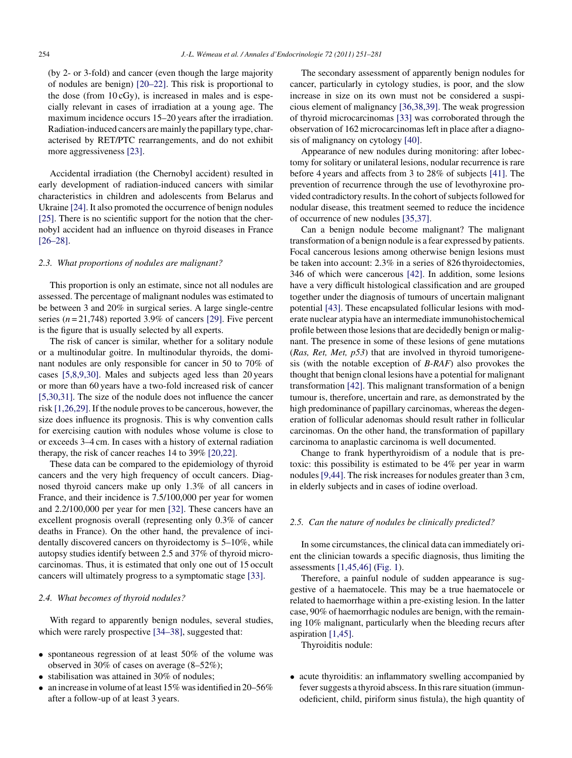(by 2- or 3-fold) and cancer (even though the large majority of nodules are benign) [\[20–22\].](#page-25-0) This risk is proportional to the dose (from  $10 \text{ cGy}$ ), is increased in males and is especially relevant in cases of irradiation at a young age. The maximum incidence occurs 15–20 years after the irradiation. Radiation-induced cancers are mainly the papillary type, characterised by RET/PTC rearrangements, and do not exhibit more aggressiveness [\[23\].](#page-25-0)

Accidental irradiation (the Chernobyl accident) resulted in early development of radiation-induced cancers with similar characteristics in children and adolescents from Belarus and Ukraine [\[24\]. I](#page-25-0)t also promoted the occurrence of benign nodules [\[25\].](#page-25-0) There is no scientific support for the notion that the chernobyl accident had an influence on thyroid diseases in France [\[26–28\].](#page-25-0)

#### *2.3. What proportions of nodules are malignant?*

This proportion is only an estimate, since not all nodules are assessed. The percentage of malignant nodules was estimated to be between 3 and 20% in surgical series. A large single-centre series (*n* = 21,748) reported 3.9% of cancers [\[29\].](#page-25-0) Five percent is the figure that is usually selected by all experts.

The risk of cancer is similar, whether for a solitary nodule or a multinodular goitre. In multinodular thyroids, the dominant nodules are only responsible for cancer in 50 to 70% of cases [\[5,8,9,30\].](#page-24-0) Males and subjects aged less than 20 years or more than 60 years have a two-fold increased risk of cancer [\[5,30,31\].](#page-24-0) The size of the nodule does not influence the cancer risk [\[1,26,29\]. I](#page-24-0)f the nodule proves to be cancerous, however, the size does influence its prognosis. This is why convention calls for exercising caution with nodules whose volume is close to or exceeds 3–4 cm. In cases with a history of external radiation therapy, the risk of cancer reaches 14 to 39% [\[20,22\].](#page-25-0)

These data can be compared to the epidemiology of thyroid cancers and the very high frequency of occult cancers. Diagnosed thyroid cancers make up only 1.3% of all cancers in France, and their incidence is 7.5/100,000 per year for women and 2.2/100,000 per year for men [\[32\].](#page-25-0) These cancers have an excellent prognosis overall (representing only 0.3% of cancer deaths in France). On the other hand, the prevalence of incidentally discovered cancers on thyroidectomy is 5–10%, while autopsy studies identify between 2.5 and 37% of thyroid microcarcinomas. Thus, it is estimated that only one out of 15 occult cancers will ultimately progress to a symptomatic stage [\[33\].](#page-25-0)

#### *2.4. What becomes of thyroid nodules?*

With regard to apparently benign nodules, several studies, which were rarely prospective [\[34–38\], s](#page-25-0)uggested that:

- spontaneous regression of at least 50% of the volume was observed in 30% of cases on average (8–52%);
- stabilisation was attained in 30% of nodules;
- an increase in volume of at least 15% was identified in 20–56% after a follow-up of at least 3 years.

The secondary assessment of apparently benign nodules for cancer, particularly in cytology studies, is poor, and the slow increase in size on its own must not be considered a suspicious element of malignancy [\[36,38,39\].](#page-25-0) The weak progression of thyroid microcarcinomas [\[33\]](#page-25-0) was corroborated through the observation of 162 microcarcinomas left in place after a diagnosis of malignancy on cytology [\[40\].](#page-25-0)

Appearance of new nodules during monitoring: after lobectomy for solitary or unilateral lesions, nodular recurrence is rare before 4 years and affects from 3 to 28% of subjects [\[41\].](#page-25-0) The prevention of recurrence through the use of levothyroxine provided contradictory results. In the cohort of subjects followed for nodular disease, this treatment seemed to reduce the incidence of occurrence of new nodules [\[35,37\].](#page-25-0)

Can a benign nodule become malignant? The malignant transformation of a benign nodule is a fear expressed by patients. Focal cancerous lesions among otherwise benign lesions must be taken into account: 2.3% in a series of 826 thyroidectomies, 346 of which were cancerous [\[42\].](#page-25-0) In addition, some lesions have a very difficult histological classification and are grouped together under the diagnosis of tumours of uncertain malignant potential [\[43\].](#page-25-0) These encapsulated follicular lesions with moderate nuclear atypia have an intermediate immunohistochemical profile between those lesions that are decidedly benign or malignant. The presence in some of these lesions of gene mutations (*Ras, Ret, Met, p53*) that are involved in thyroid tumorigenesis (with the notable exception of *B-RAF*) also provokes the thought that benign clonal lesions have a potential for malignant transformation [\[42\]. T](#page-25-0)his malignant transformation of a benign tumour is, therefore, uncertain and rare, as demonstrated by the high predominance of papillary carcinomas, whereas the degeneration of follicular adenomas should result rather in follicular carcinomas. On the other hand, the transformation of papillary carcinoma to anaplastic carcinoma is well documented.

Change to frank hyperthyroidism of a nodule that is pretoxic: this possibility is estimated to be 4% per year in warm nodules [\[9,44\]. T](#page-24-0)he risk increases for nodules greater than 3 cm, in elderly subjects and in cases of iodine overload.

#### *2.5. Can the nature of nodules be clinically predicted?*

In some circumstances, the clinical data can immediately orient the clinician towards a specific diagnosis, thus limiting the assessments [\[1,45,46\]](#page-24-0) ([Fig. 1\).](#page-4-0)

Therefore, a painful nodule of sudden appearance is suggestive of a haematocele. This may be a true haematocele or related to haemorrhage within a pre-existing lesion. In the latter case, 90% of haemorrhagic nodules are benign, with the remaining 10% malignant, particularly when the bleeding recurs after aspiration [\[1,45\].](#page-24-0)

Thyroiditis nodule:

• acute thyroiditis: an inflammatory swelling accompanied by fever suggests a thyroid abscess. In this rare situation (immunodeficient, child, piriform sinus fistula), the high quantity of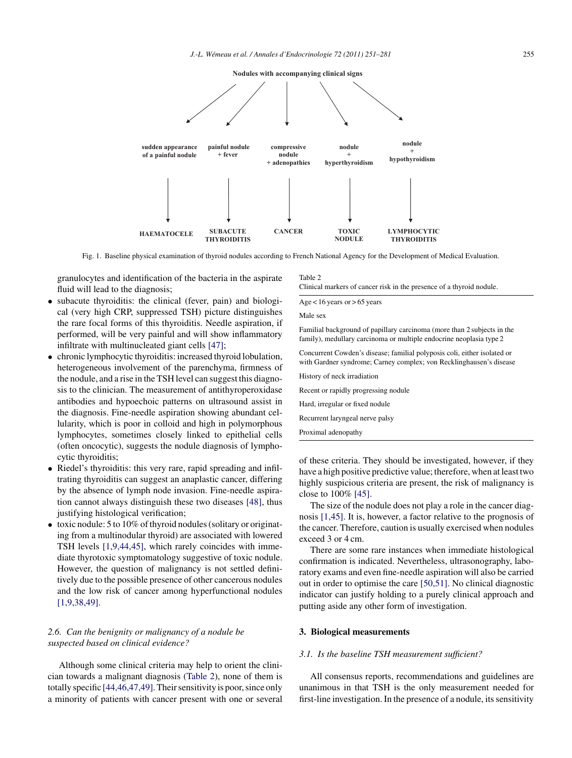<span id="page-4-0"></span>

Fig. 1. Baseline physical examination of thyroid nodules according to French National Agency for the Development of Medical Evaluation.

granulocytes and identification of the bacteria in the aspirate fluid will lead to the diagnosis;

- subacute thyroiditis: the clinical (fever, pain) and biological (very high CRP, suppressed TSH) picture distinguishes the rare focal forms of this thyroiditis. Needle aspiration, if performed, will be very painful and will show inflammatory infiltrate with multinucleated giant cells [\[47\];](#page-25-0)
- chronic lymphocytic thyroiditis: increased thyroid lobulation, heterogeneous involvement of the parenchyma, firmness of the nodule, and a rise in the TSH level can suggest this diagnosis to the clinician. The measurement of antithyroperoxidase antibodies and hypoechoic patterns on ultrasound assist in the diagnosis. Fine-needle aspiration showing abundant cellularity, which is poor in colloid and high in polymorphous lymphocytes, sometimes closely linked to epithelial cells (often oncocytic), suggests the nodule diagnosis of lymphocytic thyroiditis;
- Riedel's thyroiditis: this very rare, rapid spreading and infiltrating thyroiditis can suggest an anaplastic cancer, differing by the absence of lymph node invasion. Fine-needle aspiration cannot always distinguish these two diseases [\[48\],](#page-25-0) thus justifying histological verification;
- toxic nodule: 5 to 10% of thyroid nodules (solitary or originating from a multinodular thyroid) are associated with lowered TSH levels [\[1,9,44,45\],](#page-24-0) which rarely coincides with immediate thyrotoxic symptomatology suggestive of toxic nodule. However, the question of malignancy is not settled definitively due to the possible presence of other cancerous nodules and the low risk of cancer among hyperfunctional nodules [\[1,9,38,49\].](#page-24-0)

# *2.6. Can the benignity or malignancy of a nodule be suspected based on clinical evidence?*

Although some clinical criteria may help to orient the clinician towards a malignant diagnosis (Table 2), none of them is totally specific [\[44,46,47,49\]. T](#page-25-0)heir sensitivity is poor, since only a minority of patients with cancer present with one or several

#### Table 2

Clinical markers of cancer risk in the presence of a thyroid nodule.

Age  $< 16$  years or  $> 65$  years

Male sex

Familial background of papillary carcinoma (more than 2 subjects in the family), medullary carcinoma or multiple endocrine neoplasia type 2

Concurrent Cowden's disease; familial polyposis coli, either isolated or with Gardner syndrome; Carney complex; von Recklinghausen's disease

History of neck irradiation

Recent or rapidly progressing nodule

Hard, irregular or fixed nodule

Recurrent laryngeal nerve palsy

Proximal adenopathy

of these criteria. They should be investigated, however, if they have a high positive predictive value; therefore, when at least two highly suspicious criteria are present, the risk of malignancy is close to 100% [\[45\].](#page-25-0)

The size of the nodule does not play a role in the cancer diagnosis [\[1,45\]. I](#page-24-0)t is, however, a factor relative to the prognosis of the cancer. Therefore, caution is usually exercised when nodules exceed 3 or 4 cm.

There are some rare instances when immediate histological confirmation is indicated. Nevertheless, ultrasonography, laboratory exams and even fine-needle aspiration will also be carried out in order to optimise the care [\[50,51\].](#page-25-0) No clinical diagnostic indicator can justify holding to a purely clinical approach and putting aside any other form of investigation.

#### **3. Biological measurements**

#### *3.1. Is the baseline TSH measurement sufficient?*

All consensus reports, recommendations and guidelines are unanimous in that TSH is the only measurement needed for first-line investigation. In the presence of a nodule, its sensitivity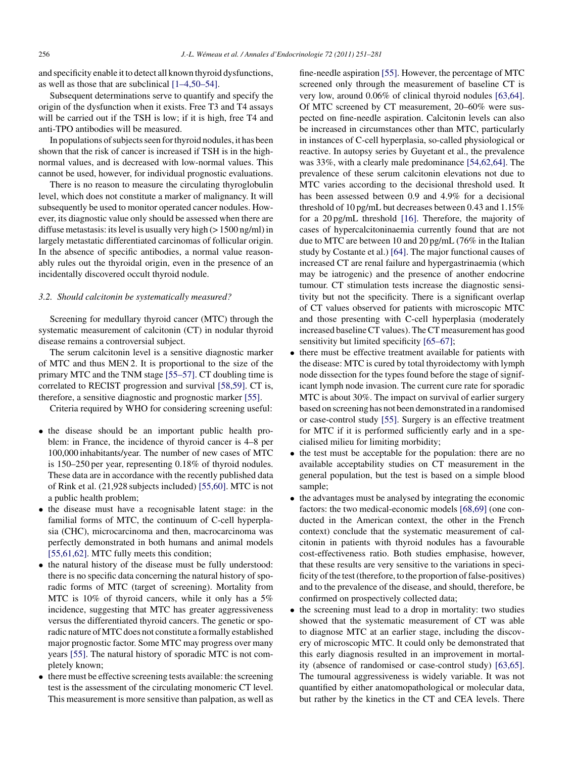and specificity enable it to detect all known thyroid dysfunctions, as well as those that are subclinical [\[1–4,50–54\].](#page-24-0)

Subsequent determinations serve to quantify and specify the origin of the dysfunction when it exists. Free T3 and T4 assays will be carried out if the TSH is low; if it is high, free T4 and anti-TPO antibodies will be measured.

In populations of subjects seen for thyroid nodules, it has been shown that the risk of cancer is increased if TSH is in the highnormal values, and is decreased with low-normal values. This cannot be used, however, for individual prognostic evaluations.

There is no reason to measure the circulating thyroglobulin level, which does not constitute a marker of malignancy. It will subsequently be used to monitor operated cancer nodules. However, its diagnostic value only should be assessed when there are diffuse metastasis: its level is usually very high  $(> 1500 \text{ ng/ml})$  in largely metastatic differentiated carcinomas of follicular origin. In the absence of specific antibodies, a normal value reasonably rules out the thyroidal origin, even in the presence of an incidentally discovered occult thyroid nodule.

#### *3.2. Should calcitonin be systematically measured?*

Screening for medullary thyroid cancer (MTC) through the systematic measurement of calcitonin (CT) in nodular thyroid disease remains a controversial subject.

The serum calcitonin level is a sensitive diagnostic marker of MTC and thus MEN 2. It is proportional to the size of the primary MTC and the TNM stage [\[55–57\]. C](#page-26-0)T doubling time is correlated to RECIST progression and survival [\[58,59\].](#page-26-0) CT is, therefore, a sensitive diagnostic and prognostic marker [\[55\].](#page-26-0)

Criteria required by WHO for considering screening useful:

- the disease should be an important public health problem: in France, the incidence of thyroid cancer is 4–8 per 100,000 inhabitants/year. The number of new cases of MTC is 150–250 per year, representing 0.18% of thyroid nodules. These data are in accordance with the recently published data of Rink et al. (21,928 subjects included) [\[55,60\].](#page-26-0) MTC is not a public health problem;
- the disease must have a recognisable latent stage: in the familial forms of MTC, the continuum of C-cell hyperplasia (CHC), microcarcinoma and then, macrocarcinoma was perfectly demonstrated in both humans and animal models [\[55,61,62\].](#page-26-0) MTC fully meets this condition;
- the natural history of the disease must be fully understood: there is no specific data concerning the natural history of sporadic forms of MTC (target of screening). Mortality from MTC is 10% of thyroid cancers, while it only has a 5% incidence, suggesting that MTC has greater aggressiveness versus the differentiated thyroid cancers. The genetic or sporadic nature of MTC does not constitute a formally established major prognostic factor. Some MTC may progress over many years [\[55\].](#page-26-0) The natural history of sporadic MTC is not completely known;
- there must be effective screening tests available: the screening test is the assessment of the circulating monomeric CT level. This measurement is more sensitive than palpation, as well as

fine-needle aspiration [\[55\].](#page-26-0) However, the percentage of MTC screened only through the measurement of baseline CT is very low, around 0.06% of clinical thyroid nodules [\[63,64\].](#page-26-0) Of MTC screened by CT measurement, 20–60% were suspected on fine-needle aspiration. Calcitonin levels can also be increased in circumstances other than MTC, particularly in instances of C-cell hyperplasia, so-called physiological or reactive. In autopsy series by Guyetant et al., the prevalence was 33%, with a clearly male predominance [\[54,62,64\].](#page-26-0) The prevalence of these serum calcitonin elevations not due to MTC varies according to the decisional threshold used. It has been assessed between 0.9 and 4.9% for a decisional threshold of 10 pg/mL but decreases between 0.43 and 1.15% for a 20 pg/mL threshold [\[16\].](#page-25-0) Therefore, the majority of cases of hypercalcitoninaemia currently found that are not due to MTC are between 10 and 20 pg/mL (76% in the Italian study by Costante et al.) [\[64\]. T](#page-26-0)he major functional causes of increased CT are renal failure and hypergastrinaemia (which may be iatrogenic) and the presence of another endocrine tumour. CT stimulation tests increase the diagnostic sensitivity but not the specificity. There is a significant overlap of CT values observed for patients with microscopic MTC and those presenting with C-cell hyperplasia (moderately increased baseline CT values). The CT measurement has good sensitivity but limited specificity [\[65–67\];](#page-26-0)

- there must be effective treatment available for patients with the disease: MTC is cured by total thyroidectomy with lymph node dissection for the types found before the stage of significant lymph node invasion. The current cure rate for sporadic MTC is about 30%. The impact on survival of earlier surgery based on screening has not been demonstrated in a randomised or case-control study [\[55\].](#page-26-0) Surgery is an effective treatment for MTC if it is performed sufficiently early and in a specialised milieu for limiting morbidity;
- the test must be acceptable for the population: there are no available acceptability studies on CT measurement in the general population, but the test is based on a simple blood sample;
- the advantages must be analysed by integrating the economic factors: the two medical-economic models [\[68,69\]](#page-26-0) (one conducted in the American context, the other in the French context) conclude that the systematic measurement of calcitonin in patients with thyroid nodules has a favourable cost-effectiveness ratio. Both studies emphasise, however, that these results are very sensitive to the variations in specificity of the test (therefore, to the proportion of false-positives) and to the prevalence of the disease, and should, therefore, be confirmed on prospectively collected data;
- the screening must lead to a drop in mortality: two studies showed that the systematic measurement of CT was able to diagnose MTC at an earlier stage, including the discovery of microscopic MTC. It could only be demonstrated that this early diagnosis resulted in an improvement in mortality (absence of randomised or case-control study) [\[63,65\].](#page-26-0) The tumoural aggressiveness is widely variable. It was not quantified by either anatomopathological or molecular data, but rather by the kinetics in the CT and CEA levels. There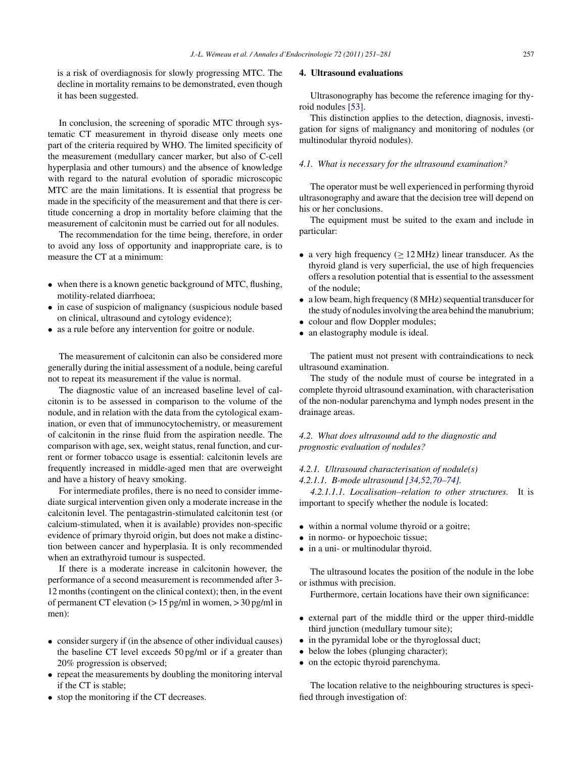is a risk of overdiagnosis for slowly progressing MTC. The decline in mortality remains to be demonstrated, even though it has been suggested.

In conclusion, the screening of sporadic MTC through systematic CT measurement in thyroid disease only meets one part of the criteria required by WHO. The limited specificity of the measurement (medullary cancer marker, but also of C-cell hyperplasia and other tumours) and the absence of knowledge with regard to the natural evolution of sporadic microscopic MTC are the main limitations. It is essential that progress be made in the specificity of the measurement and that there is certitude concerning a drop in mortality before claiming that the measurement of calcitonin must be carried out for all nodules.

The recommendation for the time being, therefore, in order to avoid any loss of opportunity and inappropriate care, is to measure the CT at a minimum:

- when there is a known genetic background of MTC, flushing, motility-related diarrhoea;
- in case of suspicion of malignancy (suspicious nodule based on clinical, ultrasound and cytology evidence);
- as a rule before any intervention for goitre or nodule.

The measurement of calcitonin can also be considered more generally during the initial assessment of a nodule, being careful not to repeat its measurement if the value is normal.

The diagnostic value of an increased baseline level of calcitonin is to be assessed in comparison to the volume of the nodule, and in relation with the data from the cytological examination, or even that of immunocytochemistry, or measurement of calcitonin in the rinse fluid from the aspiration needle. The comparison with age, sex, weight status, renal function, and current or former tobacco usage is essential: calcitonin levels are frequently increased in middle-aged men that are overweight and have a history of heavy smoking.

For intermediate profiles, there is no need to consider immediate surgical intervention given only a moderate increase in the calcitonin level. The pentagastrin-stimulated calcitonin test (or calcium-stimulated, when it is available) provides non-specific evidence of primary thyroid origin, but does not make a distinction between cancer and hyperplasia. It is only recommended when an extrathyroid tumour is suspected.

If there is a moderate increase in calcitonin however, the performance of a second measurement is recommended after 3- 12 months (contingent on the clinical context); then, in the event of permanent CT elevation (> 15 pg/ml in women, > 30 pg/ml in men):

- consider surgery if (in the absence of other individual causes) the baseline CT level exceeds 50 pg/ml or if a greater than 20% progression is observed;
- repeat the measurements by doubling the monitoring interval if the CT is stable;
- stop the monitoring if the CT decreases.

## **4. Ultrasound evaluations**

Ultrasonography has become the reference imaging for thyroid nodules [\[53\].](#page-26-0)

This distinction applies to the detection, diagnosis, investigation for signs of malignancy and monitoring of nodules (or multinodular thyroid nodules).

## *4.1. What is necessary for the ultrasound examination?*

The operator must be well experienced in performing thyroid ultrasonography and aware that the decision tree will depend on his or her conclusions.

The equipment must be suited to the exam and include in particular:

- a very high frequency ( $\geq 12 \text{ MHz}$ ) linear transducer. As the thyroid gland is very superficial, the use of high frequencies offers a resolution potential that is essential to the assessment of the nodule;
- a low beam, high frequency (8 MHz) sequential transducer for the study of nodules involving the area behind the manubrium;
- colour and flow Doppler modules;
- an elastography module is ideal.

The patient must not present with contraindications to neck ultrasound examination.

The study of the nodule must of course be integrated in a complete thyroid ultrasound examination, with characterisation of the non-nodular parenchyma and lymph nodes present in the drainage areas.

*4.2. What does ultrasound add to the diagnostic and prognostic evaluation of nodules?*

# *4.2.1. Ultrasound characterisation of nodule(s)*

*4.2.1.1. B-mode ultrasound [\[34,52,70–74\].](#page-25-0)*

*4.2.1.1.1. Localisation–relation to other structures.* It is important to specify whether the nodule is located:

- within a normal volume thyroid or a goitre;
- in normo- or hypoechoic tissue;
- in a uni- or multinodular thyroid.

The ultrasound locates the position of the nodule in the lobe or isthmus with precision.

Furthermore, certain locations have their own significance:

- external part of the middle third or the upper third-middle third junction (medullary tumour site);
- in the pyramidal lobe or the thyroglossal duct;
- below the lobes (plunging character);
- on the ectopic thyroid parenchyma.

The location relative to the neighbouring structures is specified through investigation of: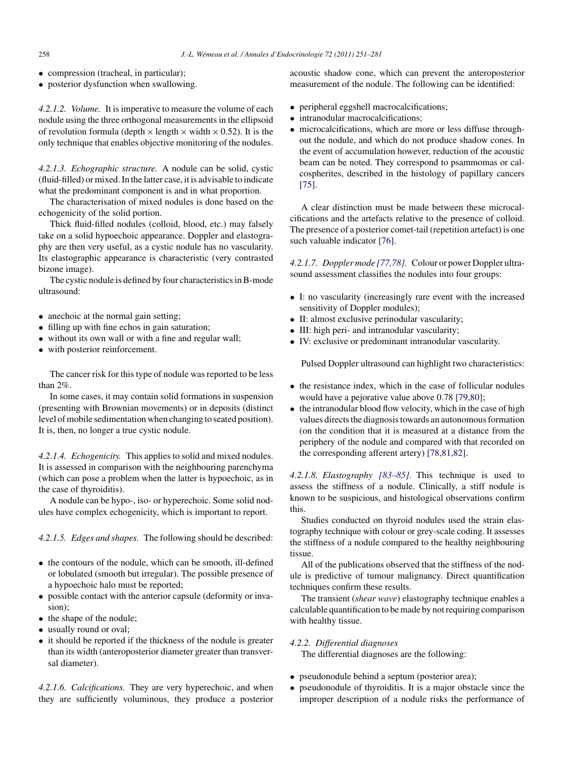- compression (tracheal, in particular);
- posterior dysfunction when swallowing.

*4.2.1.2. Volume.* It is imperative to measure the volume of each nodule using the three orthogonal measurements in the ellipsoid of revolution formula (depth  $\times$  length  $\times$  width  $\times$  0.52). It is the only technique that enables objective monitoring of the nodules.

*4.2.1.3. Echographic structure.* A nodule can be solid, cystic (fluid-filled) or mixed. In the latter case, it is advisable to indicate what the predominant component is and in what proportion.

The characterisation of mixed nodules is done based on the echogenicity of the solid portion.

Thick fluid-filled nodules (colloid, blood, etc.) may falsely take on a solid hypoechoic appearance. Doppler and elastography are then very useful, as a cystic nodule has no vascularity. Its elastographic appearance is characteristic (very contrasted bizone image).

The cystic nodule is defined by four characteristics in B-mode ultrasound:

- anechoic at the normal gain setting;
- filling up with fine echos in gain saturation;
- without its own wall or with a fine and regular wall;
- with posterior reinforcement.

The cancer risk for this type of nodule was reported to be less than 2%.

In some cases, it may contain solid formations in suspension (presenting with Brownian movements) or in deposits (distinct level of mobile sedimentation when changing to seated position). It is, then, no longer a true cystic nodule.

*4.2.1.4. Echogenicity.* This applies to solid and mixed nodules. It is assessed in comparison with the neighbouring parenchyma (which can pose a problem when the latter is hypoechoic, as in the case of thyroiditis).

A nodule can be hypo-, iso- or hyperechoic. Some solid nodules have complex echogenicity, which is important to report.

*4.2.1.5. Edges and shapes.* The following should be described:

- the contours of the nodule, which can be smooth, ill-defined or lobulated (smooth but irregular). The possible presence of a hypoechoic halo must be reported;
- possible contact with the anterior capsule (deformity or invasion);
- the shape of the nodule;
- usually round or oval;
- it should be reported if the thickness of the nodule is greater than its width (anteroposterior diameter greater than transversal diameter).

*4.2.1.6. Calcifications.* They are very hyperechoic, and when they are sufficiently voluminous, they produce a posterior acoustic shadow cone, which can prevent the anteroposterior measurement of the nodule. The following can be identified:

- peripheral eggshell macrocalcifications:
- intranodular macrocalcifications;
- microcalcifications, which are more or less diffuse throughout the nodule, and which do not produce shadow cones. In the event of accumulation however, reduction of the acoustic beam can be noted. They correspond to psammomas or calcospherites, described in the histology of papillary cancers [\[75\].](#page-26-0)

A clear distinction must be made between these microcalcifications and the artefacts relative to the presence of colloid. The presence of a posterior comet-tail (repetition artefact) is one such valuable indicator [\[76\].](#page-26-0)

*4.2.1.7. Doppler mode [\[77,78\].](#page-26-0)* Colour or power Doppler ultrasound assessment classifies the nodules into four groups:

- I: no vascularity (increasingly rare event with the increased sensitivity of Doppler modules);
- II: almost exclusive perinodular vascularity;
- III: high peri- and intranodular vascularity;
- IV: exclusive or predominant intranodular vascularity.

Pulsed Doppler ultrasound can highlight two characteristics:

- the resistance index, which in the case of follicular nodules would have a pejorative value above 0.78 [\[79,80\];](#page-26-0)
- the intranodular blood flow velocity, which in the case of high values directs the diagnosis towards an autonomous formation (on the condition that it is measured at a distance from the periphery of the nodule and compared with that recorded on the corresponding afferent artery) [\[78,81,82\].](#page-26-0)

*4.2.1.8. Elastography [\[83–85\].](#page-26-0)* This technique is used to assess the stiffness of a nodule. Clinically, a stiff nodule is known to be suspicious, and histological observations confirm this.

Studies conducted on thyroid nodules used the strain elastography technique with colour or grey-scale coding. It assesses the stiffness of a nodule compared to the healthy neighbouring tissue.

All of the publications observed that the stiffness of the nodule is predictive of tumour malignancy. Direct quantification techniques confirm these results.

The transient (*shear wave*) elastography technique enables a calculable quantification to be made by not requiring comparison with healthy tissue.

#### *4.2.2. Differential diagnoses*

The differential diagnoses are the following:

- pseudonodule behind a septum (posterior area);
- pseudonodule of thyroiditis. It is a major obstacle since the improper description of a nodule risks the performance of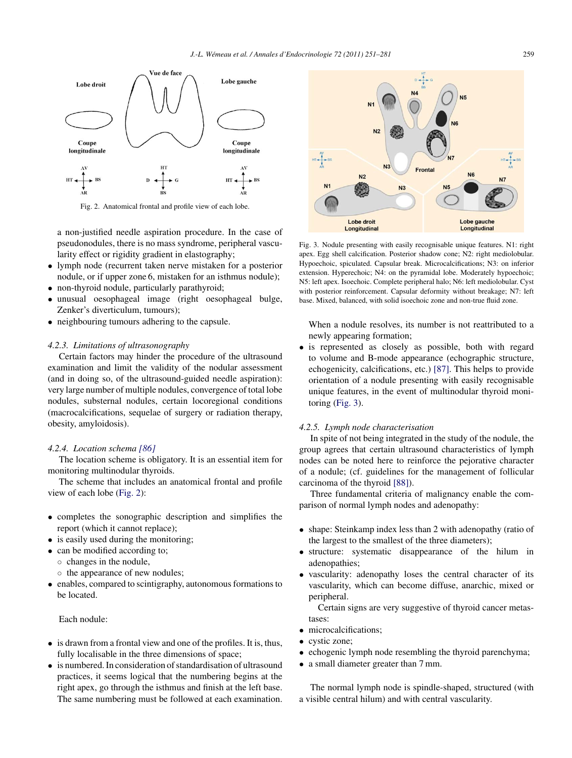

Fig. 2. Anatomical frontal and profile view of each lobe.

a non-justified needle aspiration procedure. In the case of pseudonodules, there is no mass syndrome, peripheral vascularity effect or rigidity gradient in elastography;

- lymph node (recurrent taken nerve mistaken for a posterior nodule, or if upper zone 6, mistaken for an isthmus nodule);
- non-thyroid nodule, particularly parathyroid;
- unusual oesophageal image (right oesophageal bulge, Zenker's diverticulum, tumours);
- neighbouring tumours adhering to the capsule.

### *4.2.3. Limitations of ultrasonography*

Certain factors may hinder the procedure of the ultrasound examination and limit the validity of the nodular assessment (and in doing so, of the ultrasound-guided needle aspiration): very large number of multiple nodules, convergence of total lobe nodules, substernal nodules, certain locoregional conditions (macrocalcifications, sequelae of surgery or radiation therapy, obesity, amyloidosis).

#### *4.2.4. Location schema [\[86\]](#page-26-0)*

The location scheme is obligatory. It is an essential item for monitoring multinodular thyroids.

The scheme that includes an anatomical frontal and profile view of each lobe (Fig. 2):

- completes the sonographic description and simplifies the report (which it cannot replace);
- is easily used during the monitoring;
- can be modified according to; ◦ changes in the nodule,
	- the appearance of new nodules;
- enables, compared to scintigraphy, autonomous formations to be located.

## Each nodule:

- is drawn from a frontal view and one of the profiles. It is, thus, fully localisable in the three dimensions of space;
- is numbered. In consideration of standardisation of ultrasound practices, it seems logical that the numbering begins at the right apex, go through the isthmus and finish at the left base. The same numbering must be followed at each examination.



Fig. 3. Nodule presenting with easily recognisable unique features. N1: right apex. Egg shell calcification. Posterior shadow cone; N2: right mediolobular. Hypoechoic, spiculated. Capsular break. Microcalcifications; N3: on inferior extension. Hyperechoic; N4: on the pyramidal lobe. Moderately hypoechoic; N5: left apex. Isoechoic. Complete peripheral halo; N6: left mediolobular. Cyst with posterior reinforcement. Capsular deformity without breakage; N7: left base. Mixed, balanced, with solid isoechoic zone and non-true fluid zone.

When a nodule resolves, its number is not reattributed to a newly appearing formation;

• is represented as closely as possible, both with regard to volume and B-mode appearance (echographic structure, echogenicity, calcifications, etc.) [\[87\].](#page-26-0) This helps to provide orientation of a nodule presenting with easily recognisable unique features, in the event of multinodular thyroid monitoring (Fig. 3).

#### *4.2.5. Lymph node characterisation*

In spite of not being integrated in the study of the nodule, the group agrees that certain ultrasound characteristics of lymph nodes can be noted here to reinforce the pejorative character of a nodule; (cf. guidelines for the management of follicular carcinoma of the thyroid [\[88\]\).](#page-26-0)

Three fundamental criteria of malignancy enable the comparison of normal lymph nodes and adenopathy:

- shape: Steinkamp index less than 2 with adenopathy (ratio of the largest to the smallest of the three diameters);
- structure: systematic disappearance of the hilum in adenopathies;
- vascularity: adenopathy loses the central character of its vascularity, which can become diffuse, anarchic, mixed or peripheral.

Certain signs are very suggestive of thyroid cancer metastases:

- microcalcifications;
- cystic zone;
- echogenic lymph node resembling the thyroid parenchyma;
- a small diameter greater than 7 mm.

The normal lymph node is spindle-shaped, structured (with a visible central hilum) and with central vascularity.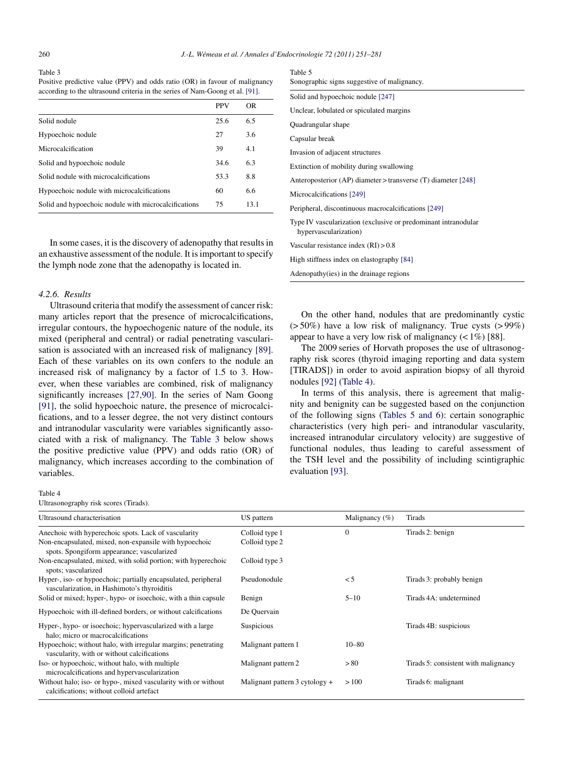#### <span id="page-9-0"></span>Table 3

Positive predictive value (PPV) and odds ratio (OR) in favour of malignancy according to the ultrasound criteria in the series of Nam-Goong et al. [\[91\].](#page-26-0)

|                                                      | <b>PPV</b> | OR.  |  |
|------------------------------------------------------|------------|------|--|
| Solid nodule                                         | 25.6       | 6.5  |  |
| Hypoechoic nodule                                    | 27         | 3.6  |  |
| Microcalcification                                   | 39         | 4.1  |  |
| Solid and hypoechoic nodule                          | 34.6       | 6.3  |  |
| Solid nodule with microcalcifications                | 53.3       | 8.8  |  |
| Hypoechoic nodule with microcalcifications           | 60         | 6.6  |  |
| Solid and hypoechoic nodule with microcalcifications | 75         | 13.1 |  |
|                                                      |            |      |  |

In some cases, it is the discovery of adenopathy that results in an exhaustive assessment of the nodule. It is important to specify the lymph node zone that the adenopathy is located in.

#### *4.2.6. Results*

Ultrasound criteria that modify the assessment of cancer risk: many articles report that the presence of microcalcifications, irregular contours, the hypoechogenic nature of the nodule, its mixed (peripheral and central) or radial penetrating vascularisation is associated with an increased risk of malignancy [\[89\].](#page-26-0) Each of these variables on its own confers to the nodule an increased risk of malignancy by a factor of 1.5 to 3. However, when these variables are combined, risk of malignancy significantly increases [\[27,90\].](#page-25-0) In the series of Nam Goong [\[91\],](#page-26-0) the solid hypoechoic nature, the presence of microcalcifications, and to a lesser degree, the not very distinct contours and intranodular vascularity were variables significantly associated with a risk of malignancy. The Table 3 below shows the positive predictive value (PPV) and odds ratio (OR) of malignancy, which increases according to the combination of variables.

#### Table 4

Ultrasonography risk scores (Tirads).

| Sonographic signs suggestive of malignancy.                                             |
|-----------------------------------------------------------------------------------------|
| Solid and hypoechoic nodule [247]                                                       |
| Unclear, lobulated or spiculated margins                                                |
| Quadrangular shape                                                                      |
| Capsular break                                                                          |
| Invasion of adjacent structures                                                         |
| Extinction of mobility during swallowing                                                |
| Anteroposterior (AP) diameter > transverse (T) diameter [248]                           |
| Microcalcifications [249]                                                               |
| Peripheral, discontinuous macrocalcifications [249]                                     |
| Type IV vascularization (exclusive or predominant intranodular<br>hypervascularization) |
| Vascular resistance index $(RI) > 0.8$                                                  |
| High stiffness index on elastography [84]                                               |
| Adenopathy(ies) in the drainage regions                                                 |

On the other hand, nodules that are predominantly cystic  $(50\%)$  have a low risk of malignancy. True cysts  $(599\%)$ appear to have a very low risk of malignancy  $(< 1\%)$  [88].

The 2009 series of Horvath proposes the use of ultrasonography risk scores (thyroid imaging reporting and data system [TIRADS]) in order to avoid aspiration biopsy of all thyroid nodules [\[92\]](#page-26-0) (Table 4).

In terms of this analysis, there is agreement that malignity and benignity can be suggested based on the conjunction of the following signs (Tables 5 and 6): certain sonographic characteristics (very high peri- and intranodular vascularity, increased intranodular circulatory velocity) are suggestive of functional nodules, thus leading to careful assessment of the TSH level and the possibility of including scintigraphic evaluation [\[93\].](#page-27-0)

| Ultrasound characterisation                                                                                   | US pattern                     | Malignancy $(\%)$ | Tirads                               |
|---------------------------------------------------------------------------------------------------------------|--------------------------------|-------------------|--------------------------------------|
| Anechoic with hyperechoic spots. Lack of vascularity                                                          | Colloid type 1                 | $\mathbf{0}$      | Tirads 2: benign                     |
| Non-encapsulated, mixed, non-expansile with hypoechoic<br>spots. Spongiform appearance; vascularized          | Colloid type 2                 |                   |                                      |
| Non-encapsulated, mixed, with solid portion; with hyperechoic<br>spots; vascularized                          | Colloid type 3                 |                   |                                      |
| Hyper-, iso- or hypoechoic; partially encapsulated, peripheral<br>vascularization, in Hashimoto's thyroiditis | Pseudonodule                   | $\leq 5$          | Tirads 3: probably benign            |
| Solid or mixed; hyper-, hypo- or isoechoic, with a thin capsule                                               | Benign                         | $5 - 10$          | Tirads 4A: undetermined              |
| Hypoechoic with ill-defined borders, or without calcifications                                                | De Quervain                    |                   |                                      |
| Hyper-, hypo- or isoechoic; hypervascularized with a large<br>halo; micro or macrocalcifications              | <b>Suspicious</b>              |                   | Tirads 4B: suspicious                |
| Hypoechoic; without halo, with irregular margins; penetrating<br>vascularity, with or without calcifications  | Malignant pattern 1            | $10 - 80$         |                                      |
| Iso- or hypoechoic, without halo, with multiple<br>microcalcifications and hypervascularization               | Malignant pattern 2            | > 80              | Tirads 5: consistent with malignancy |
| Without halo; iso- or hypo-, mixed vascularity with or without<br>calcifications; without colloid artefact    | Malignant pattern 3 cytology + | >100              | Tirads 6: malignant                  |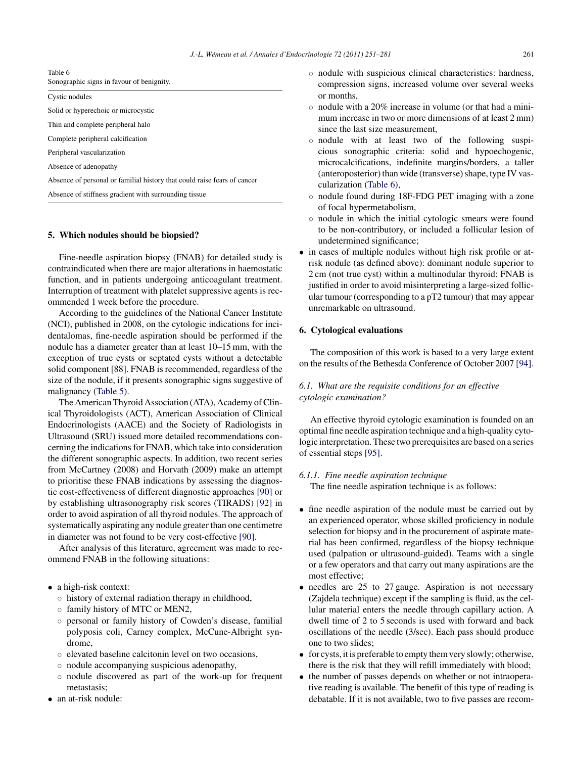| Table 6 |                                           |
|---------|-------------------------------------------|
|         | Sonographic signs in favour of benignity. |

| Cystic nodules                                                           |
|--------------------------------------------------------------------------|
| Solid or hyperechoic or microcystic                                      |
| Thin and complete peripheral halo                                        |
| Complete peripheral calcification                                        |
| Peripheral vascularization                                               |
| Absence of adenopathy                                                    |
| Absence of personal or familial history that could raise fears of cancer |
| Absence of stiffness gradient with surrounding tissue                    |
|                                                                          |

#### **5. Which nodules should be biopsied?**

Fine-needle aspiration biopsy (FNAB) for detailed study is contraindicated when there are major alterations in haemostatic function, and in patients undergoing anticoagulant treatment. Interruption of treatment with platelet suppressive agents is recommended 1 week before the procedure.

According to the guidelines of the National Cancer Institute (NCI), published in 2008, on the cytologic indications for incidentalomas, fine-needle aspiration should be performed if the nodule has a diameter greater than at least 10–15 mm, with the exception of true cysts or septated cysts without a detectable solid component [88]. FNAB is recommended, regardless of the size of the nodule, if it presents sonographic signs suggestive of malignancy ([Table 5\).](#page-9-0)

The American Thyroid Association (ATA), Academy of Clinical Thyroidologists (ACT), American Association of Clinical Endocrinologists (AACE) and the Society of Radiologists in Ultrasound (SRU) issued more detailed recommendations concerning the indications for FNAB, which take into consideration the different sonographic aspects. In addition, two recent series from McCartney (2008) and Horvath (2009) make an attempt to prioritise these FNAB indications by assessing the diagnostic cost-effectiveness of different diagnostic approaches [\[90\]](#page-26-0) or by establishing ultrasonography risk scores (TIRADS) [\[92\]](#page-26-0) in order to avoid aspiration of all thyroid nodules. The approach of systematically aspirating any nodule greater than one centimetre in diameter was not found to be very cost-effective [\[90\].](#page-26-0)

After analysis of this literature, agreement was made to recommend FNAB in the following situations:

- a high-risk context:
	- history of external radiation therapy in childhood,
	- family history of MTC or MEN2,
	- personal or family history of Cowden's disease, familial polyposis coli, Carney complex, McCune-Albright syndrome,
	- elevated baseline calcitonin level on two occasions,
	- nodule accompanying suspicious adenopathy,
	- nodule discovered as part of the work-up for frequent metastasis;
- an at-risk nodule:
- nodule with suspicious clinical characteristics: hardness, compression signs, increased volume over several weeks or months,
- nodule with a 20% increase in volume (or that had a minimum increase in two or more dimensions of at least 2 mm) since the last size measurement,
- nodule with at least two of the following suspicious sonographic criteria: solid and hypoechogenic, microcalcifications, indefinite margins/borders, a taller (anteroposterior) than wide (transverse) shape, type IV vascularization (Table 6),
- nodule found during 18F-FDG PET imaging with a zone of focal hypermetabolism,
- nodule in which the initial cytologic smears were found to be non-contributory, or included a follicular lesion of undetermined significance;
- in cases of multiple nodules without high risk profile or atrisk nodule (as defined above): dominant nodule superior to 2 cm (not true cyst) within a multinodular thyroid: FNAB is justified in order to avoid misinterpreting a large-sized follicular tumour (corresponding to a pT2 tumour) that may appear unremarkable on ultrasound.

## **6. Cytological evaluations**

The composition of this work is based to a very large extent on the results of the Bethesda Conference of October 2007 [\[94\].](#page-27-0)

# *6.1. What are the requisite conditions for an effective cytologic examination?*

An effective thyroid cytologic examination is founded on an optimal fine needle aspiration technique and a high-quality cytologic interpretation. These two prerequisites are based on a series of essential steps [\[95\].](#page-27-0)

# *6.1.1. Fine needle aspiration technique*

The fine needle aspiration technique is as follows:

- fine needle aspiration of the nodule must be carried out by an experienced operator, whose skilled proficiency in nodule selection for biopsy and in the procurement of aspirate material has been confirmed, regardless of the biopsy technique used (palpation or ultrasound-guided). Teams with a single or a few operators and that carry out many aspirations are the most effective;
- needles are 25 to 27 gauge. Aspiration is not necessary (Zajdela technique) except if the sampling is fluid, as the cellular material enters the needle through capillary action. A dwell time of 2 to 5 seconds is used with forward and back oscillations of the needle (3/sec). Each pass should produce one to two slides;
- for cysts, it is preferable to empty them very slowly; otherwise, there is the risk that they will refill immediately with blood;
- the number of passes depends on whether or not intraoperative reading is available. The benefit of this type of reading is debatable. If it is not available, two to five passes are recom-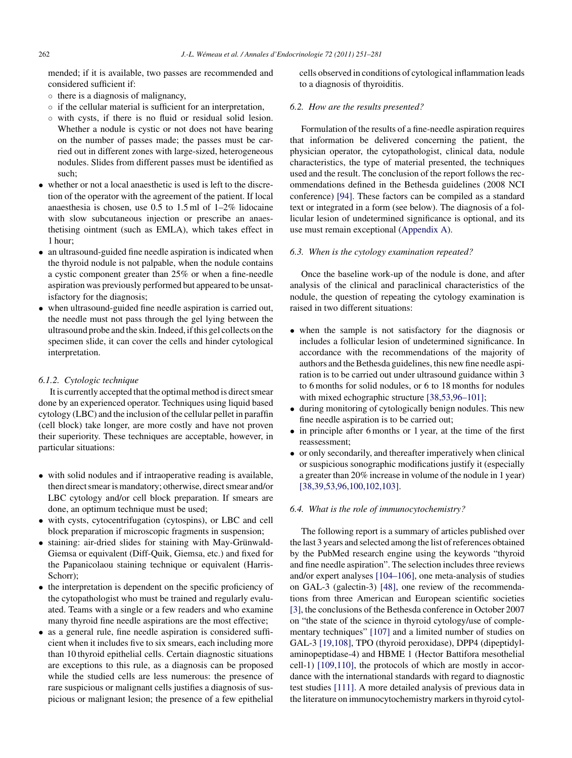mended; if it is available, two passes are recommended and considered sufficient if:

- there is a diagnosis of malignancy,
- if the cellular material is sufficient for an interpretation,
- with cysts, if there is no fluid or residual solid lesion. Whether a nodule is cystic or not does not have bearing on the number of passes made; the passes must be carried out in different zones with large-sized, heterogeneous nodules. Slides from different passes must be identified as such;
- whether or not a local anaesthetic is used is left to the discretion of the operator with the agreement of the patient. If local anaesthesia is chosen, use 0.5 to 1.5 ml of 1–2% lidocaine with slow subcutaneous injection or prescribe an anaesthetising ointment (such as EMLA), which takes effect in 1 hour;
- an ultrasound-guided fine needle aspiration is indicated when the thyroid nodule is not palpable, when the nodule contains a cystic component greater than 25% or when a fine-needle aspiration was previously performed but appeared to be unsatisfactory for the diagnosis;
- when ultrasound-guided fine needle aspiration is carried out, the needle must not pass through the gel lying between the ultrasound probe and the skin. Indeed, if this gel collects on the specimen slide, it can cover the cells and hinder cytological interpretation.

## *6.1.2. Cytologic technique*

It is currently accepted that the optimal method is direct smear done by an experienced operator. Techniques using liquid based cytology (LBC) and the inclusion of the cellular pellet in paraffin (cell block) take longer, are more costly and have not proven their superiority. These techniques are acceptable, however, in particular situations:

- with solid nodules and if intraoperative reading is available, then direct smear is mandatory; otherwise, direct smear and/or LBC cytology and/or cell block preparation. If smears are done, an optimum technique must be used;
- with cysts, cytocentrifugation (cytospins), or LBC and cell block preparation if microscopic fragments in suspension;
- staining: air-dried slides for staining with May-Grünwald-Giemsa or equivalent (Diff-Quik, Giemsa, etc.) and fixed for the Papanicolaou staining technique or equivalent (Harris-Schorr);
- the interpretation is dependent on the specific proficiency of the cytopathologist who must be trained and regularly evaluated. Teams with a single or a few readers and who examine many thyroid fine needle aspirations are the most effective;
- as a general rule, fine needle aspiration is considered sufficient when it includes five to six smears, each including more than 10 thyroid epithelial cells. Certain diagnostic situations are exceptions to this rule, as a diagnosis can be proposed while the studied cells are less numerous: the presence of rare suspicious or malignant cells justifies a diagnosis of suspicious or malignant lesion; the presence of a few epithelial

cells observed in conditions of cytological inflammation leads to a diagnosis of thyroiditis.

## *6.2. How are the results presented?*

Formulation of the results of a fine-needle aspiration requires that information be delivered concerning the patient, the physician operator, the cytopathologist, clinical data, nodule characteristics, the type of material presented, the techniques used and the result. The conclusion of the report follows the recommendations defined in the Bethesda guidelines (2008 NCI conference) [\[94\].](#page-27-0) These factors can be compiled as a standard text or integrated in a form (see below). The diagnosis of a follicular lesion of undetermined significance is optional, and its use must remain exceptional [\(Appendix A\).](#page-23-0)

#### *6.3. When is the cytology examination repeated?*

Once the baseline work-up of the nodule is done, and after analysis of the clinical and paraclinical characteristics of the nodule, the question of repeating the cytology examination is raised in two different situations:

- when the sample is not satisfactory for the diagnosis or includes a follicular lesion of undetermined significance. In accordance with the recommendations of the majority of authors and the Bethesda guidelines, this new fine needle aspiration is to be carried out under ultrasound guidance within 3 to 6 months for solid nodules, or 6 to 18 months for nodules with mixed echographic structure [\[38,53,96–101\];](#page-25-0)
- during monitoring of cytologically benign nodules. This new fine needle aspiration is to be carried out;
- in principle after 6 months or 1 year, at the time of the first reassessment;
- or only secondarily, and thereafter imperatively when clinical or suspicious sonographic modifications justify it (especially a greater than 20% increase in volume of the nodule in 1 year) [\[38,39,53,96,100,102,103\].](#page-25-0)

#### *6.4. What is the role of immunocytochemistry?*

The following report is a summary of articles published over the last 3 years and selected among the list of references obtained by the PubMed research engine using the keywords "thyroid and fine needle aspiration". The selection includes three reviews and/or expert analyses [\[104–106\],](#page-27-0) one meta-analysis of studies on GAL-3 (galectin-3) [\[48\],](#page-25-0) one review of the recommendations from three American and European scientific societies [\[3\], t](#page-24-0)he conclusions of the Bethesda conference in October 2007 on "the state of the science in thyroid cytology/use of complementary techniques" [\[107\]](#page-27-0) and a limited number of studies on GAL-3 [\[19,108\],](#page-25-0) TPO (thyroid peroxidase), DPP4 (dipeptidylaminopeptidase-4) and HBME 1 (Hector Battifora mesothelial cell-1) [\[109,110\],](#page-27-0) the protocols of which are mostly in accordance with the international standards with regard to diagnostic test studies [\[111\].](#page-27-0) A more detailed analysis of previous data in the literature on immunocytochemistry markers in thyroid cytol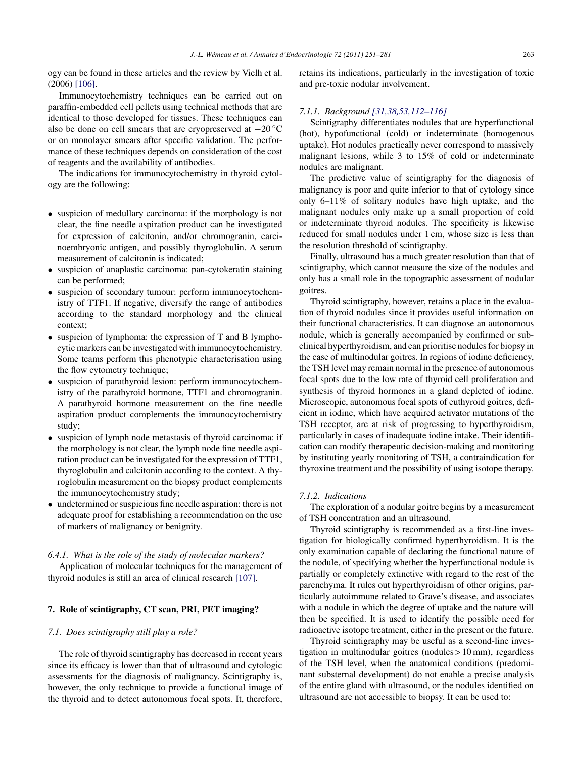ogy can be found in these articles and the review by Vielh et al. (2006) [\[106\].](#page-27-0)

Immunocytochemistry techniques can be carried out on paraffin-embedded cell pellets using technical methods that are identical to those developed for tissues. These techniques can also be done on cell smears that are cryopreserved at −20 ◦C or on monolayer smears after specific validation. The performance of these techniques depends on consideration of the cost of reagents and the availability of antibodies.

The indications for immunocytochemistry in thyroid cytology are the following:

- suspicion of medullary carcinoma: if the morphology is not clear, the fine needle aspiration product can be investigated for expression of calcitonin, and/or chromogranin, carcinoembryonic antigen, and possibly thyroglobulin. A serum measurement of calcitonin is indicated;
- suspicion of anaplastic carcinoma: pan-cytokeratin staining can be performed;
- suspicion of secondary tumour: perform immunocytochemistry of TTF1. If negative, diversify the range of antibodies according to the standard morphology and the clinical context;
- suspicion of lymphoma: the expression of T and B lymphocytic markers can be investigated with immunocytochemistry. Some teams perform this phenotypic characterisation using the flow cytometry technique;
- suspicion of parathyroid lesion: perform immunocytochemistry of the parathyroid hormone, TTF1 and chromogranin. A parathyroid hormone measurement on the fine needle aspiration product complements the immunocytochemistry study;
- suspicion of lymph node metastasis of thyroid carcinoma: if the morphology is not clear, the lymph node fine needle aspiration product can be investigated for the expression of TTF1, thyroglobulin and calcitonin according to the context. A thyroglobulin measurement on the biopsy product complements the immunocytochemistry study;
- undetermined or suspicious fine needle aspiration: there is not adequate proof for establishing a recommendation on the use of markers of malignancy or benignity.

# *6.4.1. What is the role of the study of molecular markers?* Application of molecular techniques for the management of

thyroid nodules is still an area of clinical research [\[107\].](#page-27-0)

# **7. Role of scintigraphy, CT scan, PRI, PET imaging?**

#### *7.1. Does scintigraphy still play a role?*

The role of thyroid scintigraphy has decreased in recent years since its efficacy is lower than that of ultrasound and cytologic assessments for the diagnosis of malignancy. Scintigraphy is, however, the only technique to provide a functional image of the thyroid and to detect autonomous focal spots. It, therefore, retains its indications, particularly in the investigation of toxic and pre-toxic nodular involvement.

# *7.1.1. Background [\[31,38,53,112–116\]](#page-25-0)*

Scintigraphy differentiates nodules that are hyperfunctional (hot), hypofunctional (cold) or indeterminate (homogenous uptake). Hot nodules practically never correspond to massively malignant lesions, while 3 to 15% of cold or indeterminate nodules are malignant.

The predictive value of scintigraphy for the diagnosis of malignancy is poor and quite inferior to that of cytology since only 6–11% of solitary nodules have high uptake, and the malignant nodules only make up a small proportion of cold or indeterminate thyroid nodules. The specificity is likewise reduced for small nodules under 1 cm, whose size is less than the resolution threshold of scintigraphy.

Finally, ultrasound has a much greater resolution than that of scintigraphy, which cannot measure the size of the nodules and only has a small role in the topographic assessment of nodular goitres.

Thyroid scintigraphy, however, retains a place in the evaluation of thyroid nodules since it provides useful information on their functional characteristics. It can diagnose an autonomous nodule, which is generally accompanied by confirmed or subclinical hyperthyroidism, and can prioritise nodules for biopsy in the case of multinodular goitres. In regions of iodine deficiency, the TSH level may remain normal in the presence of autonomous focal spots due to the low rate of thyroid cell proliferation and synthesis of thyroid hormones in a gland depleted of iodine. Microscopic, autonomous focal spots of euthyroid goitres, deficient in iodine, which have acquired activator mutations of the TSH receptor, are at risk of progressing to hyperthyroidism, particularly in cases of inadequate iodine intake. Their identification can modify therapeutic decision-making and monitoring by instituting yearly monitoring of TSH, a contraindication for thyroxine treatment and the possibility of using isotope therapy.

#### *7.1.2. Indications*

The exploration of a nodular goitre begins by a measurement of TSH concentration and an ultrasound.

Thyroid scintigraphy is recommended as a first-line investigation for biologically confirmed hyperthyroidism. It is the only examination capable of declaring the functional nature of the nodule, of specifying whether the hyperfunctional nodule is partially or completely extinctive with regard to the rest of the parenchyma. It rules out hyperthyroidism of other origins, particularly autoimmune related to Grave's disease, and associates with a nodule in which the degree of uptake and the nature will then be specified. It is used to identify the possible need for radioactive isotope treatment, either in the present or the future.

Thyroid scintigraphy may be useful as a second-line investigation in multinodular goitres (nodules > 10 mm), regardless of the TSH level, when the anatomical conditions (predominant substernal development) do not enable a precise analysis of the entire gland with ultrasound, or the nodules identified on ultrasound are not accessible to biopsy. It can be used to: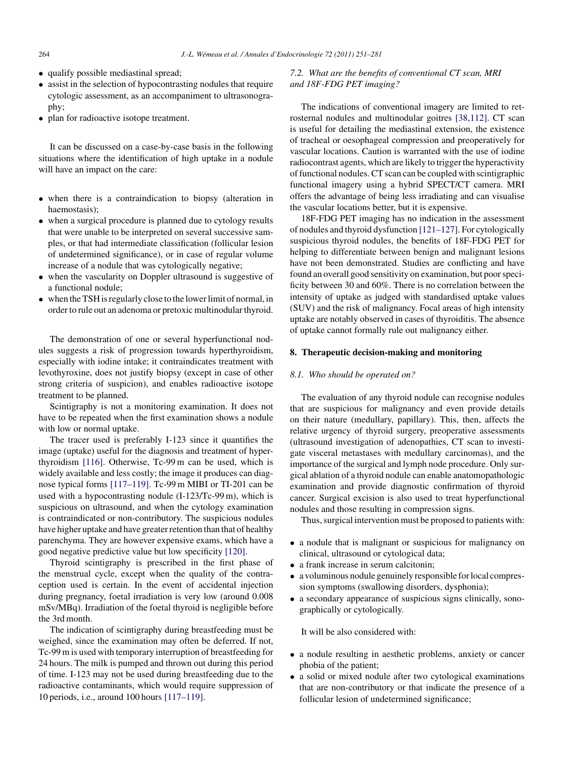- qualify possible mediastinal spread;
- assist in the selection of hypocontrasting nodules that require cytologic assessment, as an accompaniment to ultrasonography;
- plan for radioactive isotope treatment.

It can be discussed on a case-by-case basis in the following situations where the identification of high uptake in a nodule will have an impact on the care:

- when there is a contraindication to biopsy (alteration in haemostasis);
- when a surgical procedure is planned due to cytology results that were unable to be interpreted on several successive samples, or that had intermediate classification (follicular lesion of undetermined significance), or in case of regular volume increase of a nodule that was cytologically negative;
- when the vascularity on Doppler ultrasound is suggestive of a functional nodule;
- when the TSH is regularly close to the lower limit of normal, in order to rule out an adenoma or pretoxic multinodular thyroid.

The demonstration of one or several hyperfunctional nodules suggests a risk of progression towards hyperthyroidism, especially with iodine intake; it contraindicates treatment with levothyroxine, does not justify biopsy (except in case of other strong criteria of suspicion), and enables radioactive isotope treatment to be planned.

Scintigraphy is not a monitoring examination. It does not have to be repeated when the first examination shows a nodule with low or normal uptake.

The tracer used is preferably I-123 since it quantifies the image (uptake) useful for the diagnosis and treatment of hyperthyroidism [\[116\].](#page-27-0) Otherwise, Tc-99 m can be used, which is widely available and less costly; the image it produces can diagnose typical forms [\[117–119\].](#page-27-0) Tc-99 m MIBI or TI-201 can be used with a hypocontrasting nodule (I-123/Tc-99 m), which is suspicious on ultrasound, and when the cytology examination is contraindicated or non-contributory. The suspicious nodules have higher uptake and have greater retention than that of healthy parenchyma. They are however expensive exams, which have a good negative predictive value but low specificity [\[120\].](#page-27-0)

Thyroid scintigraphy is prescribed in the first phase of the menstrual cycle, except when the quality of the contraception used is certain. In the event of accidental injection during pregnancy, foetal irradiation is very low (around 0.008 mSv/MBq). Irradiation of the foetal thyroid is negligible before the 3rd month.

The indication of scintigraphy during breastfeeding must be weighed, since the examination may often be deferred. If not, Tc-99 m is used with temporary interruption of breastfeeding for 24 hours. The milk is pumped and thrown out during this period of time. I-123 may not be used during breastfeeding due to the radioactive contaminants, which would require suppression of 10 periods, i.e., around 100 hours [\[117–119\].](#page-27-0)

# *7.2. What are the benefits of conventional CT scan, MRI and 18F-FDG PET imaging?*

The indications of conventional imagery are limited to retrosternal nodules and multinodular goitres [\[38,112\].](#page-25-0) CT scan is useful for detailing the mediastinal extension, the existence of tracheal or oesophageal compression and preoperatively for vascular locations. Caution is warranted with the use of iodine radiocontrast agents, which are likely to trigger the hyperactivity of functional nodules. CT scan can be coupled with scintigraphic functional imagery using a hybrid SPECT/CT camera. MRI offers the advantage of being less irradiating and can visualise the vascular locations better, but it is expensive.

18F-FDG PET imaging has no indication in the assessment of nodules and thyroid dysfunction [\[121–127\]. F](#page-27-0)or cytologically suspicious thyroid nodules, the benefits of 18F-FDG PET for helping to differentiate between benign and malignant lesions have not been demonstrated. Studies are conflicting and have found an overall good sensitivity on examination, but poor specificity between 30 and 60%. There is no correlation between the intensity of uptake as judged with standardised uptake values (SUV) and the risk of malignancy. Focal areas of high intensity uptake are notably observed in cases of thyroiditis. The absence of uptake cannot formally rule out malignancy either.

## **8. Therapeutic decision-making and monitoring**

#### *8.1. Who should be operated on?*

The evaluation of any thyroid nodule can recognise nodules that are suspicious for malignancy and even provide details on their nature (medullary, papillary). This, then, affects the relative urgency of thyroid surgery, preoperative assessments (ultrasound investigation of adenopathies, CT scan to investigate visceral metastases with medullary carcinomas), and the importance of the surgical and lymph node procedure. Only surgical ablation of a thyroid nodule can enable anatomopathologic examination and provide diagnostic confirmation of thyroid cancer. Surgical excision is also used to treat hyperfunctional nodules and those resulting in compression signs.

Thus, surgical intervention must be proposed to patients with:

- a nodule that is malignant or suspicious for malignancy on clinical, ultrasound or cytological data;
- a frank increase in serum calcitonin;
- a voluminous nodule genuinely responsible for local compression symptoms (swallowing disorders, dysphonia);
- a secondary appearance of suspicious signs clinically, sonographically or cytologically.

It will be also considered with:

- a nodule resulting in aesthetic problems, anxiety or cancer phobia of the patient;
- a solid or mixed nodule after two cytological examinations that are non-contributory or that indicate the presence of a follicular lesion of undetermined significance;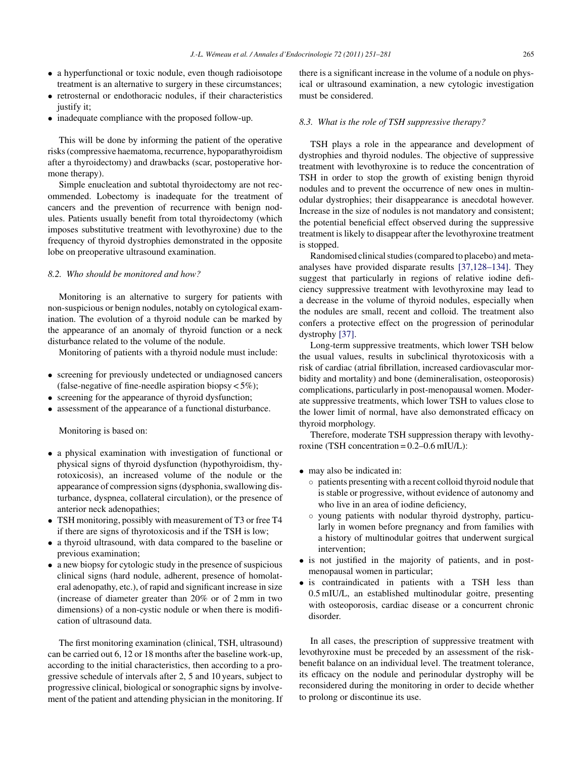- a hyperfunctional or toxic nodule, even though radioisotope treatment is an alternative to surgery in these circumstances;
- retrosternal or endothoracic nodules, if their characteristics justify it:
- inadequate compliance with the proposed follow-up.

This will be done by informing the patient of the operative risks (compressive haematoma, recurrence, hypoparathyroidism after a thyroidectomy) and drawbacks (scar, postoperative hormone therapy).

Simple enucleation and subtotal thyroidectomy are not recommended. Lobectomy is inadequate for the treatment of cancers and the prevention of recurrence with benign nodules. Patients usually benefit from total thyroidectomy (which imposes substitutive treatment with levothyroxine) due to the frequency of thyroid dystrophies demonstrated in the opposite lobe on preoperative ultrasound examination.

#### *8.2. Who should be monitored and how?*

Monitoring is an alternative to surgery for patients with non-suspicious or benign nodules, notably on cytological examination. The evolution of a thyroid nodule can be marked by the appearance of an anomaly of thyroid function or a neck disturbance related to the volume of the nodule.

Monitoring of patients with a thyroid nodule must include:

- screening for previously undetected or undiagnosed cancers (false-negative of fine-needle aspiration biopsy  $< 5\%$ );
- screening for the appearance of thyroid dysfunction;
- assessment of the appearance of a functional disturbance.

Monitoring is based on:

- a physical examination with investigation of functional or physical signs of thyroid dysfunction (hypothyroidism, thyrotoxicosis), an increased volume of the nodule or the appearance of compression signs (dysphonia, swallowing disturbance, dyspnea, collateral circulation), or the presence of anterior neck adenopathies;
- TSH monitoring, possibly with measurement of T3 or free T4 if there are signs of thyrotoxicosis and if the TSH is low;
- a thyroid ultrasound, with data compared to the baseline or previous examination;
- a new biopsy for cytologic study in the presence of suspicious clinical signs (hard nodule, adherent, presence of homolateral adenopathy, etc.), of rapid and significant increase in size (increase of diameter greater than 20% or of 2 mm in two dimensions) of a non-cystic nodule or when there is modification of ultrasound data.

The first monitoring examination (clinical, TSH, ultrasound) can be carried out 6, 12 or 18 months after the baseline work-up, according to the initial characteristics, then according to a progressive schedule of intervals after 2, 5 and 10 years, subject to progressive clinical, biological or sonographic signs by involvement of the patient and attending physician in the monitoring. If there is a significant increase in the volume of a nodule on physical or ultrasound examination, a new cytologic investigation must be considered.

## *8.3. What is the role of TSH suppressive therapy?*

TSH plays a role in the appearance and development of dystrophies and thyroid nodules. The objective of suppressive treatment with levothyroxine is to reduce the concentration of TSH in order to stop the growth of existing benign thyroid nodules and to prevent the occurrence of new ones in multinodular dystrophies; their disappearance is anecdotal however. Increase in the size of nodules is not mandatory and consistent; the potential beneficial effect observed during the suppressive treatment is likely to disappear after the levothyroxine treatment is stopped.

Randomised clinical studies (compared to placebo) and metaanalyses have provided disparate results [\[37,128–134\].](#page-25-0) They suggest that particularly in regions of relative iodine deficiency suppressive treatment with levothyroxine may lead to a decrease in the volume of thyroid nodules, especially when the nodules are small, recent and colloid. The treatment also confers a protective effect on the progression of perinodular dystrophy [\[37\].](#page-25-0)

Long-term suppressive treatments, which lower TSH below the usual values, results in subclinical thyrotoxicosis with a risk of cardiac (atrial fibrillation, increased cardiovascular morbidity and mortality) and bone (demineralisation, osteoporosis) complications, particularly in post-menopausal women. Moderate suppressive treatments, which lower TSH to values close to the lower limit of normal, have also demonstrated efficacy on thyroid morphology.

Therefore, moderate TSH suppression therapy with levothyroxine (TSH concentration  $= 0.2 - 0.6$  mIU/L):

- may also be indicated in:
	- patients presenting with a recent colloid thyroid nodule that is stable or progressive, without evidence of autonomy and who live in an area of iodine deficiency,
	- young patients with nodular thyroid dystrophy, particularly in women before pregnancy and from families with a history of multinodular goitres that underwent surgical intervention;
- is not justified in the majority of patients, and in postmenopausal women in particular;
- is contraindicated in patients with a TSH less than 0.5 mIU/L, an established multinodular goitre, presenting with osteoporosis, cardiac disease or a concurrent chronic disorder.

In all cases, the prescription of suppressive treatment with levothyroxine must be preceded by an assessment of the riskbenefit balance on an individual level. The treatment tolerance, its efficacy on the nodule and perinodular dystrophy will be reconsidered during the monitoring in order to decide whether to prolong or discontinue its use.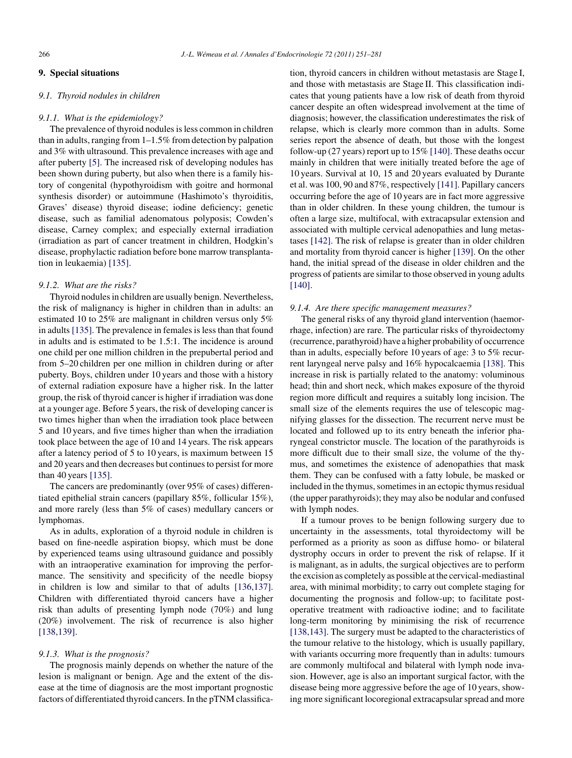## **9. Special situations**

#### *9.1. Thyroid nodules in children*

## *9.1.1. What is the epidemiology?*

The prevalence of thyroid nodules is less common in children than in adults, ranging from 1–1.5% from detection by palpation and 3% with ultrasound. This prevalence increases with age and after puberty [\[5\].](#page-24-0) The increased risk of developing nodules has been shown during puberty, but also when there is a family history of congenital (hypothyroidism with goitre and hormonal synthesis disorder) or autoimmune (Hashimoto's thyroiditis, Graves' disease) thyroid disease; iodine deficiency; genetic disease, such as familial adenomatous polyposis; Cowden's disease, Carney complex; and especially external irradiation (irradiation as part of cancer treatment in children, Hodgkin's disease, prophylactic radiation before bone marrow transplantation in leukaemia) [\[135\].](#page-27-0)

## *9.1.2. What are the risks?*

Thyroid nodules in children are usually benign. Nevertheless, the risk of malignancy is higher in children than in adults: an estimated 10 to 25% are malignant in children versus only 5% in adults [\[135\]. T](#page-27-0)he prevalence in females is less than that found in adults and is estimated to be 1.5:1. The incidence is around one child per one million children in the prepubertal period and from 5–20 children per one million in children during or after puberty. Boys, children under 10 years and those with a history of external radiation exposure have a higher risk. In the latter group, the risk of thyroid cancer is higher if irradiation was done at a younger age. Before 5 years, the risk of developing cancer is two times higher than when the irradiation took place between 5 and 10 years, and five times higher than when the irradiation took place between the age of 10 and 14 years. The risk appears after a latency period of 5 to 10 years, is maximum between 15 and 20 years and then decreases but continues to persist for more than 40 years [\[135\].](#page-27-0)

The cancers are predominantly (over 95% of cases) differentiated epithelial strain cancers (papillary 85%, follicular 15%), and more rarely (less than 5% of cases) medullary cancers or lymphomas.

As in adults, exploration of a thyroid nodule in children is based on fine-needle aspiration biopsy, which must be done by experienced teams using ultrasound guidance and possibly with an intraoperative examination for improving the performance. The sensitivity and specificity of the needle biopsy in children is low and similar to that of adults [\[136,137\].](#page-27-0) Children with differentiated thyroid cancers have a higher risk than adults of presenting lymph node (70%) and lung (20%) involvement. The risk of recurrence is also higher [\[138,139\].](#page-28-0)

#### *9.1.3. What is the prognosis?*

The prognosis mainly depends on whether the nature of the lesion is malignant or benign. Age and the extent of the disease at the time of diagnosis are the most important prognostic factors of differentiated thyroid cancers. In the pTNM classification, thyroid cancers in children without metastasis are Stage I, and those with metastasis are Stage II. This classification indicates that young patients have a low risk of death from thyroid cancer despite an often widespread involvement at the time of diagnosis; however, the classification underestimates the risk of relapse, which is clearly more common than in adults. Some series report the absence of death, but those with the longest follow-up (27 years) report up to 15% [\[140\]. T](#page-28-0)hese deaths occur mainly in children that were initially treated before the age of 10 years. Survival at 10, 15 and 20 years evaluated by Durante et al. was 100, 90 and 87%, respectively [\[141\]. P](#page-28-0)apillary cancers occurring before the age of 10 years are in fact more aggressive than in older children. In these young children, the tumour is often a large size, multifocal, with extracapsular extension and associated with multiple cervical adenopathies and lung metastases [\[142\].](#page-28-0) The risk of relapse is greater than in older children and mortality from thyroid cancer is higher [\[139\].](#page-28-0) On the other hand, the initial spread of the disease in older children and the progress of patients are similar to those observed in young adults [\[140\].](#page-28-0)

#### *9.1.4. Are there specific management measures?*

The general risks of any thyroid gland intervention (haemorrhage, infection) are rare. The particular risks of thyroidectomy (recurrence, parathyroid) have a higher probability of occurrence than in adults, especially before 10 years of age: 3 to 5% recurrent laryngeal nerve palsy and 16% hypocalcaemia [\[138\].](#page-28-0) This increase in risk is partially related to the anatomy: voluminous head; thin and short neck, which makes exposure of the thyroid region more difficult and requires a suitably long incision. The small size of the elements requires the use of telescopic magnifying glasses for the dissection. The recurrent nerve must be located and followed up to its entry beneath the inferior pharyngeal constrictor muscle. The location of the parathyroids is more difficult due to their small size, the volume of the thymus, and sometimes the existence of adenopathies that mask them. They can be confused with a fatty lobule, be masked or included in the thymus, sometimes in an ectopic thymus residual (the upper parathyroids); they may also be nodular and confused with lymph nodes.

If a tumour proves to be benign following surgery due to uncertainty in the assessments, total thyroidectomy will be performed as a priority as soon as diffuse homo- or bilateral dystrophy occurs in order to prevent the risk of relapse. If it is malignant, as in adults, the surgical objectives are to perform the excision as completely as possible at the cervical-mediastinal area, with minimal morbidity; to carry out complete staging for documenting the prognosis and follow-up; to facilitate postoperative treatment with radioactive iodine; and to facilitate long-term monitoring by minimising the risk of recurrence [\[138,143\]. T](#page-28-0)he surgery must be adapted to the characteristics of the tumour relative to the histology, which is usually papillary, with variants occurring more frequently than in adults: tumours are commonly multifocal and bilateral with lymph node invasion. However, age is also an important surgical factor, with the disease being more aggressive before the age of 10 years, showing more significant locoregional extracapsular spread and more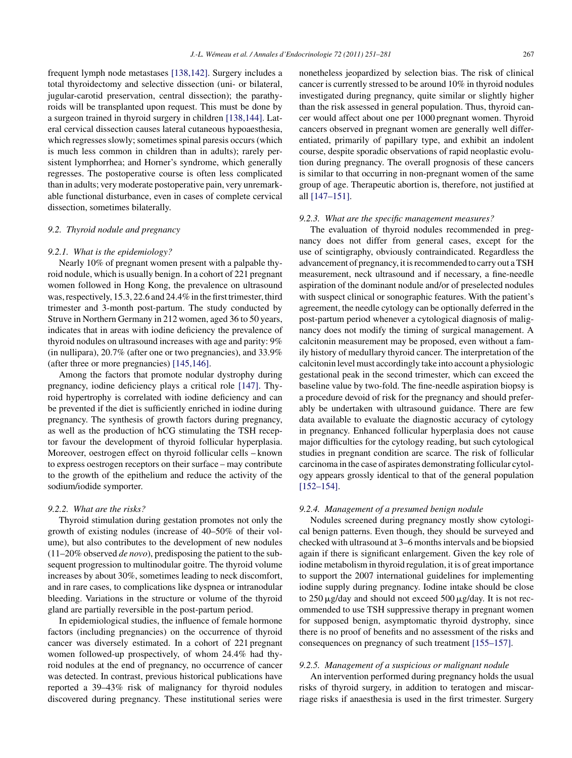frequent lymph node metastases [\[138,142\].](#page-28-0) Surgery includes a total thyroidectomy and selective dissection (uni- or bilateral, jugular-carotid preservation, central dissection); the parathyroids will be transplanted upon request. This must be done by a surgeon trained in thyroid surgery in children [\[138,144\].](#page-28-0) Lateral cervical dissection causes lateral cutaneous hypoaesthesia, which regresses slowly; sometimes spinal paresis occurs (which is much less common in children than in adults); rarely persistent lymphorrhea; and Horner's syndrome, which generally regresses. The postoperative course is often less complicated than in adults; very moderate postoperative pain, very unremarkable functional disturbance, even in cases of complete cervical dissection, sometimes bilaterally.

#### *9.2. Thyroid nodule and pregnancy*

## *9.2.1. What is the epidemiology?*

Nearly 10% of pregnant women present with a palpable thyroid nodule, which is usually benign. In a cohort of 221 pregnant women followed in Hong Kong, the prevalence on ultrasound was, respectively, 15.3, 22.6 and 24.4% in the first trimester, third trimester and 3-month post-partum. The study conducted by Struve in Northern Germany in 212 women, aged 36 to 50 years, indicates that in areas with iodine deficiency the prevalence of thyroid nodules on ultrasound increases with age and parity: 9% (in nullipara), 20.7% (after one or two pregnancies), and 33.9% (after three or more pregnancies) [\[145,146\].](#page-28-0)

Among the factors that promote nodular dystrophy during pregnancy, iodine deficiency plays a critical role [\[147\].](#page-28-0) Thyroid hypertrophy is correlated with iodine deficiency and can be prevented if the diet is sufficiently enriched in iodine during pregnancy. The synthesis of growth factors during pregnancy, as well as the production of hCG stimulating the TSH receptor favour the development of thyroid follicular hyperplasia. Moreover, oestrogen effect on thyroid follicular cells – known to express oestrogen receptors on their surface – may contribute to the growth of the epithelium and reduce the activity of the sodium/iodide symporter.

## *9.2.2. What are the risks?*

Thyroid stimulation during gestation promotes not only the growth of existing nodules (increase of 40–50% of their volume), but also contributes to the development of new nodules (11–20% observed *de novo*), predisposing the patient to the subsequent progression to multinodular goitre. The thyroid volume increases by about 30%, sometimes leading to neck discomfort, and in rare cases, to complications like dyspnea or intranodular bleeding. Variations in the structure or volume of the thyroid gland are partially reversible in the post-partum period.

In epidemiological studies, the influence of female hormone factors (including pregnancies) on the occurrence of thyroid cancer was diversely estimated. In a cohort of 221 pregnant women followed-up prospectively, of whom 24.4% had thyroid nodules at the end of pregnancy, no occurrence of cancer was detected. In contrast, previous historical publications have reported a 39–43% risk of malignancy for thyroid nodules discovered during pregnancy. These institutional series were

nonetheless jeopardized by selection bias. The risk of clinical cancer is currently stressed to be around 10% in thyroid nodules investigated during pregnancy, quite similar or slightly higher than the risk assessed in general population. Thus, thyroid cancer would affect about one per 1000 pregnant women. Thyroid cancers observed in pregnant women are generally well differentiated, primarily of papillary type, and exhibit an indolent course, despite sporadic observations of rapid neoplastic evolution during pregnancy. The overall prognosis of these cancers is similar to that occurring in non-pregnant women of the same group of age. Therapeutic abortion is, therefore, not justified at all [\[147–151\].](#page-28-0)

#### *9.2.3. What are the specific management measures?*

The evaluation of thyroid nodules recommended in pregnancy does not differ from general cases, except for the use of scintigraphy, obviously contraindicated. Regardless the advancement of pregnancy, it is recommended to carry out a TSH measurement, neck ultrasound and if necessary, a fine-needle aspiration of the dominant nodule and/or of preselected nodules with suspect clinical or sonographic features. With the patient's agreement, the needle cytology can be optionally deferred in the post-partum period whenever a cytological diagnosis of malignancy does not modify the timing of surgical management. A calcitonin measurement may be proposed, even without a family history of medullary thyroid cancer. The interpretation of the calcitonin level must accordingly take into account a physiologic gestational peak in the second trimester, which can exceed the baseline value by two-fold. The fine-needle aspiration biopsy is a procedure devoid of risk for the pregnancy and should preferably be undertaken with ultrasound guidance. There are few data available to evaluate the diagnostic accuracy of cytology in pregnancy. Enhanced follicular hyperplasia does not cause major difficulties for the cytology reading, but such cytological studies in pregnant condition are scarce. The risk of follicular carcinoma in the case of aspirates demonstrating follicular cytology appears grossly identical to that of the general population [\[152–154\].](#page-28-0)

#### *9.2.4. Management of a presumed benign nodule*

Nodules screened during pregnancy mostly show cytological benign patterns. Even though, they should be surveyed and checked with ultrasound at 3–6 months intervals and be biopsied again if there is significant enlargement. Given the key role of iodine metabolism in thyroid regulation, it is of great importance to support the 2007 international guidelines for implementing iodine supply during pregnancy. Iodine intake should be close to  $250 \mu$ g/day and should not exceed  $500 \mu$ g/day. It is not recommended to use TSH suppressive therapy in pregnant women for supposed benign, asymptomatic thyroid dystrophy, since there is no proof of benefits and no assessment of the risks and consequences on pregnancy of such treatment [\[155–157\].](#page-28-0)

#### *9.2.5. Management of a suspicious or malignant nodule*

An intervention performed during pregnancy holds the usual risks of thyroid surgery, in addition to teratogen and miscarriage risks if anaesthesia is used in the first trimester. Surgery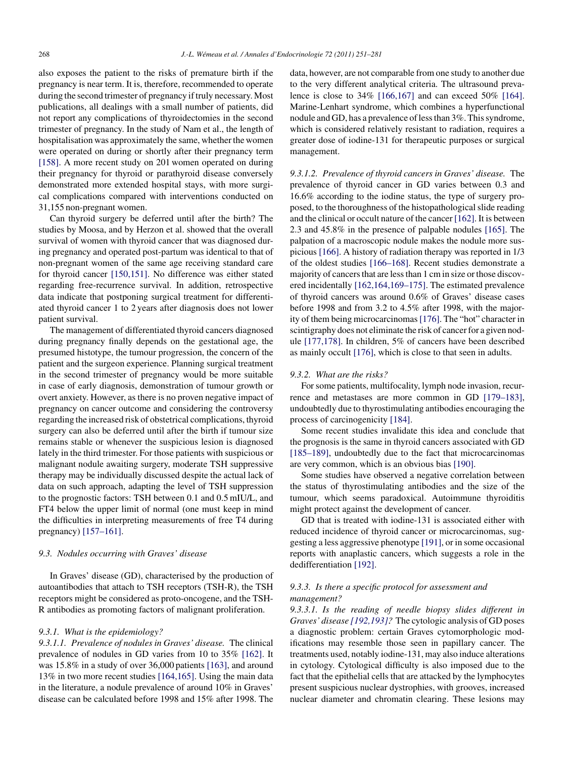also exposes the patient to the risks of premature birth if the pregnancy is near term. It is, therefore, recommended to operate during the second trimester of pregnancy if truly necessary. Most publications, all dealings with a small number of patients, did not report any complications of thyroidectomies in the second trimester of pregnancy. In the study of Nam et al., the length of hospitalisation was approximately the same, whether the women were operated on during or shortly after their pregnancy term [\[158\].](#page-28-0) A more recent study on 201 women operated on during their pregnancy for thyroid or parathyroid disease conversely demonstrated more extended hospital stays, with more surgical complications compared with interventions conducted on 31,155 non-pregnant women.

Can thyroid surgery be deferred until after the birth? The studies by Moosa, and by Herzon et al. showed that the overall survival of women with thyroid cancer that was diagnosed during pregnancy and operated post-partum was identical to that of non-pregnant women of the same age receiving standard care for thyroid cancer [\[150,151\].](#page-28-0) No difference was either stated regarding free-recurrence survival. In addition, retrospective data indicate that postponing surgical treatment for differentiated thyroid cancer 1 to 2 years after diagnosis does not lower patient survival.

The management of differentiated thyroid cancers diagnosed during pregnancy finally depends on the gestational age, the presumed histotype, the tumour progression, the concern of the patient and the surgeon experience. Planning surgical treatment in the second trimester of pregnancy would be more suitable in case of early diagnosis, demonstration of tumour growth or overt anxiety. However, as there is no proven negative impact of pregnancy on cancer outcome and considering the controversy regarding the increased risk of obstetrical complications, thyroid surgery can also be deferred until after the birth if tumour size remains stable or whenever the suspicious lesion is diagnosed lately in the third trimester. For those patients with suspicious or malignant nodule awaiting surgery, moderate TSH suppressive therapy may be individually discussed despite the actual lack of data on such approach, adapting the level of TSH suppression to the prognostic factors: TSH between 0.1 and 0.5 mIU/L, and FT4 below the upper limit of normal (one must keep in mind the difficulties in interpreting measurements of free T4 during pregnancy) [\[157–161\].](#page-28-0)

#### *9.3. Nodules occurring with Graves' disease*

In Graves' disease (GD), characterised by the production of autoantibodies that attach to TSH receptors (TSH-R), the TSH receptors might be considered as proto-oncogene, and the TSH-R antibodies as promoting factors of malignant proliferation.

## *9.3.1. What is the epidemiology?*

*9.3.1.1. Prevalence of nodules in Graves' disease.* The clinical prevalence of nodules in GD varies from 10 to 35% [\[162\].](#page-28-0) It was 15.8% in a study of over 36,000 patients [\[163\],](#page-28-0) and around 13% in two more recent studies [\[164,165\].](#page-28-0) Using the main data in the literature, a nodule prevalence of around 10% in Graves' disease can be calculated before 1998 and 15% after 1998. The

data, however, are not comparable from one study to another due to the very different analytical criteria. The ultrasound prevalence is close to 34% [\[166,167\]](#page-28-0) and can exceed 50% [\[164\].](#page-28-0) Marine-Lenhart syndrome, which combines a hyperfunctional nodule and GD, has a prevalence of less than 3%. This syndrome, which is considered relatively resistant to radiation, requires a greater dose of iodine-131 for therapeutic purposes or surgical management.

*9.3.1.2. Prevalence of thyroid cancers in Graves' disease.* The prevalence of thyroid cancer in GD varies between 0.3 and 16.6% according to the iodine status, the type of surgery proposed, to the thoroughness of the histopathological slide reading and the clinical or occult nature of the cancer [\[162\]. I](#page-28-0)t is between 2.3 and 45.8% in the presence of palpable nodules [\[165\].](#page-28-0) The palpation of a macroscopic nodule makes the nodule more suspicious [\[166\]. A](#page-28-0) history of radiation therapy was reported in 1/3 of the oldest studies [\[166–168\].](#page-28-0) Recent studies demonstrate a majority of cancers that are less than 1 cm in size or those discovered incidentally [\[162,164,169–175\]. T](#page-28-0)he estimated prevalence of thyroid cancers was around 0.6% of Graves' disease cases before 1998 and from 3.2 to 4.5% after 1998, with the majority of them being microcarcinomas[\[176\]. T](#page-28-0)he "hot" character in scintigraphy does not eliminate the risk of cancer for a given nodule [\[177,178\].](#page-28-0) In children, 5% of cancers have been described as mainly occult [\[176\],](#page-28-0) which is close to that seen in adults.

## *9.3.2. What are the risks?*

For some patients, multifocality, lymph node invasion, recurrence and metastases are more common in GD [\[179–183\],](#page-28-0) undoubtedly due to thyrostimulating antibodies encouraging the process of carcinogenicity [\[184\].](#page-28-0)

Some recent studies invalidate this idea and conclude that the prognosis is the same in thyroid cancers associated with GD [\[185–189\],](#page-28-0) undoubtedly due to the fact that microcarcinomas are very common, which is an obvious bias [\[190\].](#page-29-0)

Some studies have observed a negative correlation between the status of thyrostimulating antibodies and the size of the tumour, which seems paradoxical. Autoimmune thyroiditis might protect against the development of cancer.

GD that is treated with iodine-131 is associated either with reduced incidence of thyroid cancer or microcarcinomas, suggesting a less aggressive phenotype [\[191\], o](#page-29-0)r in some occasional reports with anaplastic cancers, which suggests a role in the dedifferentiation [\[192\].](#page-29-0)

# *9.3.3. Is there a specific protocol for assessment and management?*

*9.3.3.1. Is the reading of needle biopsy slides different in Graves' disease [\[192,193\]?.](#page-29-0)* The cytologic analysis of GD poses a diagnostic problem: certain Graves cytomorphologic modifications may resemble those seen in papillary cancer. The treatments used, notably iodine-131, may also induce alterations in cytology. Cytological difficulty is also imposed due to the fact that the epithelial cells that are attacked by the lymphocytes present suspicious nuclear dystrophies, with grooves, increased nuclear diameter and chromatin clearing. These lesions may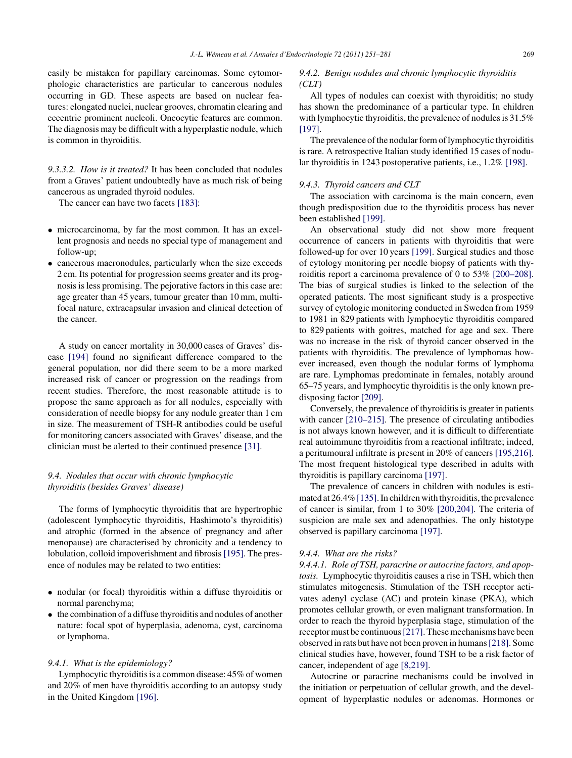easily be mistaken for papillary carcinomas. Some cytomorphologic characteristics are particular to cancerous nodules occurring in GD. These aspects are based on nuclear features: elongated nuclei, nuclear grooves, chromatin clearing and eccentric prominent nucleoli. Oncocytic features are common. The diagnosis may be difficult with a hyperplastic nodule, which is common in thyroiditis.

*9.3.3.2. How is it treated?.* It has been concluded that nodules from a Graves' patient undoubtedly have as much risk of being cancerous as ungraded thyroid nodules.

The cancer can have two facets [\[183\]:](#page-28-0)

- microcarcinoma, by far the most common. It has an excellent prognosis and needs no special type of management and follow-up;
- cancerous macronodules, particularly when the size exceeds 2 cm. Its potential for progression seems greater and its prognosis is less promising. The pejorative factors in this case are: age greater than 45 years, tumour greater than 10 mm, multifocal nature, extracapsular invasion and clinical detection of the cancer.

A study on cancer mortality in 30,000 cases of Graves' disease [\[194\]](#page-29-0) found no significant difference compared to the general population, nor did there seem to be a more marked increased risk of cancer or progression on the readings from recent studies. Therefore, the most reasonable attitude is to propose the same approach as for all nodules, especially with consideration of needle biopsy for any nodule greater than 1 cm in size. The measurement of TSH-R antibodies could be useful for monitoring cancers associated with Graves' disease, and the clinician must be alerted to their continued presence [\[31\].](#page-25-0)

# *9.4. Nodules that occur with chronic lymphocytic thyroiditis (besides Graves' disease)*

The forms of lymphocytic thyroiditis that are hypertrophic (adolescent lymphocytic thyroiditis, Hashimoto's thyroiditis) and atrophic (formed in the absence of pregnancy and after menopause) are characterised by chronicity and a tendency to lobulation, colloid impoverishment and fibrosis [\[195\]. T](#page-29-0)he presence of nodules may be related to two entities:

- nodular (or focal) thyroiditis within a diffuse thyroiditis or normal parenchyma;
- the combination of a diffuse thyroiditis and nodules of another nature: focal spot of hyperplasia, adenoma, cyst, carcinoma or lymphoma.

#### *9.4.1. What is the epidemiology?*

Lymphocytic thyroiditis is a common disease: 45% of women and 20% of men have thyroiditis according to an autopsy study in the United Kingdom [\[196\].](#page-29-0)

# *9.4.2. Benign nodules and chronic lymphocytic thyroiditis (CLT)*

All types of nodules can coexist with thyroiditis; no study has shown the predominance of a particular type. In children with lymphocytic thyroiditis, the prevalence of nodules is 31.5% [\[197\].](#page-29-0)

The prevalence of the nodular form of lymphocytic thyroiditis is rare. A retrospective Italian study identified 15 cases of nodular thyroiditis in 1243 postoperative patients, i.e., 1.2% [\[198\].](#page-29-0)

#### *9.4.3. Thyroid cancers and CLT*

The association with carcinoma is the main concern, even though predisposition due to the thyroiditis process has never been established [\[199\].](#page-29-0)

An observational study did not show more frequent occurrence of cancers in patients with thyroiditis that were followed-up for over 10 years [\[199\]. S](#page-29-0)urgical studies and those of cytology monitoring per needle biopsy of patients with thyroiditis report a carcinoma prevalence of 0 to 53% [\[200–208\].](#page-29-0) The bias of surgical studies is linked to the selection of the operated patients. The most significant study is a prospective survey of cytologic monitoring conducted in Sweden from 1959 to 1981 in 829 patients with lymphocytic thyroiditis compared to 829 patients with goitres, matched for age and sex. There was no increase in the risk of thyroid cancer observed in the patients with thyroiditis. The prevalence of lymphomas however increased, even though the nodular forms of lymphoma are rare. Lymphomas predominate in females, notably around 65–75 years, and lymphocytic thyroiditis is the only known predisposing factor [\[209\].](#page-29-0)

Conversely, the prevalence of thyroiditis is greater in patients with cancer [\[210–215\].](#page-29-0) The presence of circulating antibodies is not always known however, and it is difficult to differentiate real autoimmune thyroiditis from a reactional infiltrate; indeed, a peritumoural infiltrate is present in 20% of cancers [\[195,216\].](#page-29-0) The most frequent histological type described in adults with thyroiditis is papillary carcinoma [\[197\].](#page-29-0)

The prevalence of cancers in children with nodules is estimated at 26.4% [\[135\]. I](#page-27-0)n children with thyroiditis, the prevalence of cancer is similar, from 1 to 30% [\[200,204\].](#page-29-0) The criteria of suspicion are male sex and adenopathies. The only histotype observed is papillary carcinoma [\[197\].](#page-29-0)

## *9.4.4. What are the risks?*

*9.4.4.1. Role of TSH, paracrine or autocrine factors, and apoptosis.* Lymphocytic thyroiditis causes a rise in TSH, which then stimulates mitogenesis. Stimulation of the TSH receptor activates adenyl cyclase (AC) and protein kinase (PKA), which promotes cellular growth, or even malignant transformation. In order to reach the thyroid hyperplasia stage, stimulation of the receptor must be continuous[\[217\]. T](#page-29-0)hese mechanisms have been observed in rats but have not been proven in humans[\[218\]. S](#page-29-0)ome clinical studies have, however, found TSH to be a risk factor of cancer, independent of age [\[8,219\].](#page-24-0)

Autocrine or paracrine mechanisms could be involved in the initiation or perpetuation of cellular growth, and the development of hyperplastic nodules or adenomas. Hormones or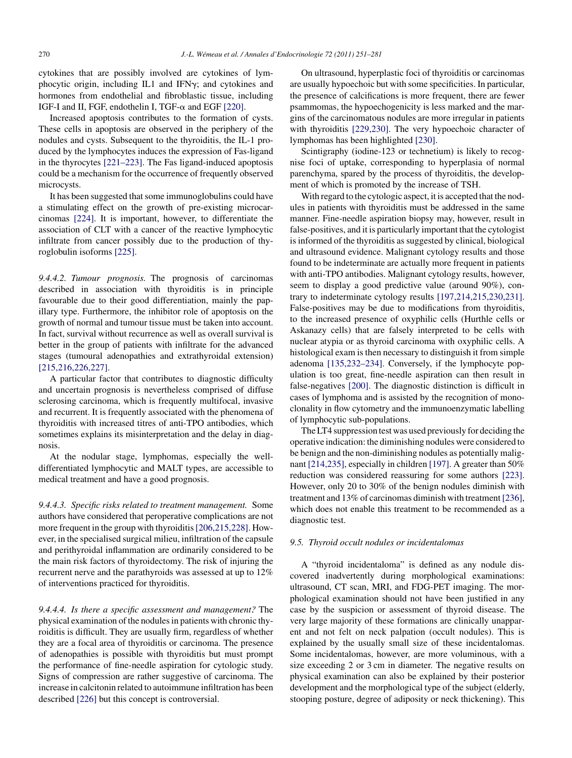cytokines that are possibly involved are cytokines of lymphocytic origin, including  $IL1$  and  $IFNv$ ; and cytokines and hormones from endothelial and fibroblastic tissue, including IGF-I and II, FGF, endothelin I, TGF- $\alpha$  and EGF [\[220\].](#page-29-0)

Increased apoptosis contributes to the formation of cysts. These cells in apoptosis are observed in the periphery of the nodules and cysts. Subsequent to the thyroiditis, the IL-1 produced by the lymphocytes induces the expression of Fas-ligand in the thyrocytes [\[221–223\].](#page-29-0) The Fas ligand-induced apoptosis could be a mechanism for the occurrence of frequently observed microcysts.

It has been suggested that some immunoglobulins could have a stimulating effect on the growth of pre-existing microcarcinomas [\[224\].](#page-29-0) It is important, however, to differentiate the association of CLT with a cancer of the reactive lymphocytic infiltrate from cancer possibly due to the production of thyroglobulin isoforms [\[225\].](#page-29-0)

*9.4.4.2. Tumour prognosis.* The prognosis of carcinomas described in association with thyroiditis is in principle favourable due to their good differentiation, mainly the papillary type. Furthermore, the inhibitor role of apoptosis on the growth of normal and tumour tissue must be taken into account. In fact, survival without recurrence as well as overall survival is better in the group of patients with infiltrate for the advanced stages (tumoural adenopathies and extrathyroidal extension) [\[215,216,226,227\].](#page-29-0)

A particular factor that contributes to diagnostic difficulty and uncertain prognosis is nevertheless comprised of diffuse sclerosing carcinoma, which is frequently multifocal, invasive and recurrent. It is frequently associated with the phenomena of thyroiditis with increased titres of anti-TPO antibodies, which sometimes explains its misinterpretation and the delay in diagnosis.

At the nodular stage, lymphomas, especially the welldifferentiated lymphocytic and MALT types, are accessible to medical treatment and have a good prognosis.

*9.4.4.3. Specific risks related to treatment management.* Some authors have considered that peroperative complications are not more frequent in the group with thyroiditis[\[206,215,228\]. H](#page-29-0)owever, in the specialised surgical milieu, infiltration of the capsule and perithyroidal inflammation are ordinarily considered to be the main risk factors of thyroidectomy. The risk of injuring the recurrent nerve and the parathyroids was assessed at up to 12% of interventions practiced for thyroiditis.

*9.4.4.4. Is there a specific assessment and management?.* The physical examination of the nodules in patients with chronic thyroiditis is difficult. They are usually firm, regardless of whether they are a focal area of thyroiditis or carcinoma. The presence of adenopathies is possible with thyroiditis but must prompt the performance of fine-needle aspiration for cytologic study. Signs of compression are rather suggestive of carcinoma. The increase in calcitonin related to autoimmune infiltration has been described [\[226\]](#page-29-0) but this concept is controversial.

On ultrasound, hyperplastic foci of thyroiditis or carcinomas are usually hypoechoic but with some specificities. In particular, the presence of calcifications is more frequent, there are fewer psammomas, the hypoechogenicity is less marked and the margins of the carcinomatous nodules are more irregular in patients with thyroiditis [\[229,230\].](#page-29-0) The very hypoechoic character of lymphomas has been highlighted [\[230\].](#page-29-0)

Scintigraphy (iodine-123 or technetium) is likely to recognise foci of uptake, corresponding to hyperplasia of normal parenchyma, spared by the process of thyroiditis, the development of which is promoted by the increase of TSH.

With regard to the cytologic aspect, it is accepted that the nodules in patients with thyroiditis must be addressed in the same manner. Fine-needle aspiration biopsy may, however, result in false-positives, and it is particularly important that the cytologist is informed of the thyroiditis as suggested by clinical, biological and ultrasound evidence. Malignant cytology results and those found to be indeterminate are actually more frequent in patients with anti-TPO antibodies. Malignant cytology results, however, seem to display a good predictive value (around 90%), contrary to indeterminate cytology results [\[197,214,215,230,231\].](#page-29-0) False-positives may be due to modifications from thyroiditis, to the increased presence of oxyphilic cells (Hurthle cells or Askanazy cells) that are falsely interpreted to be cells with nuclear atypia or as thyroid carcinoma with oxyphilic cells. A histological exam is then necessary to distinguish it from simple adenoma [\[135,232–234\].](#page-27-0) Conversely, if the lymphocyte population is too great, fine-needle aspiration can then result in false-negatives [\[200\].](#page-29-0) The diagnostic distinction is difficult in cases of lymphoma and is assisted by the recognition of monoclonality in flow cytometry and the immunoenzymatic labelling of lymphocytic sub-populations.

The LT4 suppression test was used previously for deciding the operative indication: the diminishing nodules were considered to be benign and the non-diminishing nodules as potentially malignant [\[214,235\], e](#page-29-0)specially in children [\[197\]. A](#page-29-0) greater than 50% reduction was considered reassuring for some authors [\[223\].](#page-29-0) However, only 20 to 30% of the benign nodules diminish with treatment and 13% of carcinomas diminish with treatment [236]. which does not enable this treatment to be recommended as a diagnostic test.

#### *9.5. Thyroid occult nodules or incidentalomas*

A "thyroid incidentaloma" is defined as any nodule discovered inadvertently during morphological examinations: ultrasound, CT scan, MRI, and FDG-PET imaging. The morphological examination should not have been justified in any case by the suspicion or assessment of thyroid disease. The very large majority of these formations are clinically unapparent and not felt on neck palpation (occult nodules). This is explained by the usually small size of these incidentalomas. Some incidentalomas, however, are more voluminous, with a size exceeding 2 or 3 cm in diameter. The negative results on physical examination can also be explained by their posterior development and the morphological type of the subject (elderly, stooping posture, degree of adiposity or neck thickening). This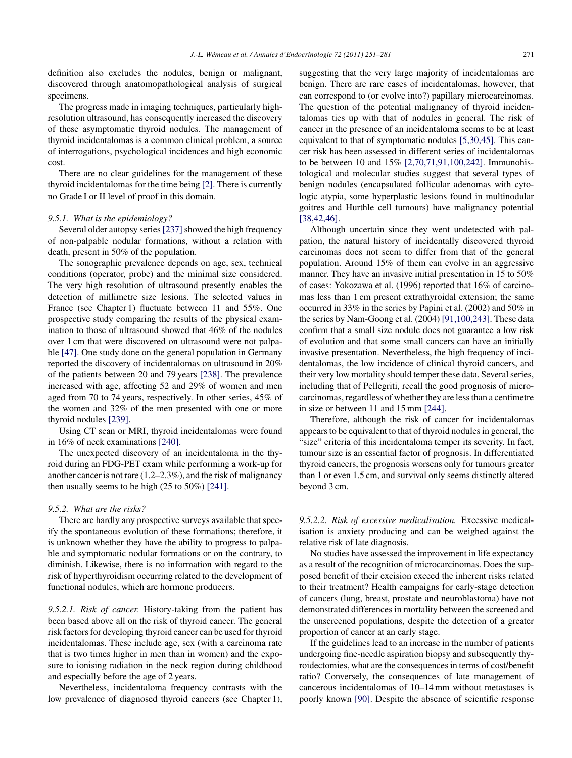definition also excludes the nodules, benign or malignant, discovered through anatomopathological analysis of surgical specimens.

The progress made in imaging techniques, particularly highresolution ultrasound, has consequently increased the discovery of these asymptomatic thyroid nodules. The management of thyroid incidentalomas is a common clinical problem, a source of interrogations, psychological incidences and high economic cost.

There are no clear guidelines for the management of these thyroid incidentalomas for the time being [\[2\]. T](#page-24-0)here is currently no Grade I or II level of proof in this domain.

## *9.5.1. What is the epidemiology?*

Several older autopsy series [237] showed the high frequency of non-palpable nodular formations, without a relation with death, present in 50% of the population.

The sonographic prevalence depends on age, sex, technical conditions (operator, probe) and the minimal size considered. The very high resolution of ultrasound presently enables the detection of millimetre size lesions. The selected values in France (see Chapter 1) fluctuate between 11 and 55%. One prospective study comparing the results of the physical examination to those of ultrasound showed that 46% of the nodules over 1 cm that were discovered on ultrasound were not palpable [\[47\]. O](#page-25-0)ne study done on the general population in Germany reported the discovery of incidentalomas on ultrasound in 20% of the patients between 20 and 79 years [\[238\].](#page-30-0) The prevalence increased with age, affecting 52 and 29% of women and men aged from 70 to 74 years, respectively. In other series, 45% of the women and 32% of the men presented with one or more thyroid nodules [\[239\].](#page-30-0)

Using CT scan or MRI, thyroid incidentalomas were found in 16% of neck examinations [\[240\].](#page-30-0)

The unexpected discovery of an incidentaloma in the thyroid during an FDG-PET exam while performing a work-up for another cancer is not rare (1.2–2.3%), and the risk of malignancy then usually seems to be high (25 to 50%) [\[241\].](#page-30-0)

#### *9.5.2. What are the risks?*

There are hardly any prospective surveys available that specify the spontaneous evolution of these formations; therefore, it is unknown whether they have the ability to progress to palpable and symptomatic nodular formations or on the contrary, to diminish. Likewise, there is no information with regard to the risk of hyperthyroidism occurring related to the development of functional nodules, which are hormone producers.

*9.5.2.1. Risk of cancer.* History-taking from the patient has been based above all on the risk of thyroid cancer. The general risk factors for developing thyroid cancer can be used for thyroid incidentalomas. These include age, sex (with a carcinoma rate that is two times higher in men than in women) and the exposure to ionising radiation in the neck region during childhood and especially before the age of 2 years.

Nevertheless, incidentaloma frequency contrasts with the low prevalence of diagnosed thyroid cancers (see Chapter 1), suggesting that the very large majority of incidentalomas are benign. There are rare cases of incidentalomas, however, that can correspond to (or evolve into?) papillary microcarcinomas. The question of the potential malignancy of thyroid incidentalomas ties up with that of nodules in general. The risk of cancer in the presence of an incidentaloma seems to be at least equivalent to that of symptomatic nodules [\[5,30,45\]. T](#page-24-0)his cancer risk has been assessed in different series of incidentalomas to be between 10 and 15% [\[2,70,71,91,100,242\].](#page-24-0) Immunohistological and molecular studies suggest that several types of benign nodules (encapsulated follicular adenomas with cytologic atypia, some hyperplastic lesions found in multinodular goitres and Hurthle cell tumours) have malignancy potential [\[38,42,46\].](#page-25-0)

Although uncertain since they went undetected with palpation, the natural history of incidentally discovered thyroid carcinomas does not seem to differ from that of the general population. Around 15% of them can evolve in an aggressive manner. They have an invasive initial presentation in 15 to 50% of cases: Yokozawa et al. (1996) reported that 16% of carcinomas less than 1 cm present extrathyroidal extension; the same occurred in 33% in the series by Papini et al. (2002) and 50% in the series by Nam-Goong et al. (2004) [\[91,100,243\]. T](#page-26-0)hese data confirm that a small size nodule does not guarantee a low risk of evolution and that some small cancers can have an initially invasive presentation. Nevertheless, the high frequency of incidentalomas, the low incidence of clinical thyroid cancers, and their very low mortality should temper these data. Several series, including that of Pellegriti, recall the good prognosis of microcarcinomas, regardless of whether they are less than a centimetre in size or between 11 and 15 mm [\[244\].](#page-30-0)

Therefore, although the risk of cancer for incidentalomas appears to be equivalent to that of thyroid nodules in general, the "size" criteria of this incidentaloma temper its severity. In fact, tumour size is an essential factor of prognosis. In differentiated thyroid cancers, the prognosis worsens only for tumours greater than 1 or even 1.5 cm, and survival only seems distinctly altered beyond 3 cm.

*9.5.2.2. Risk of excessive medicalisation.* Excessive medicalisation is anxiety producing and can be weighed against the relative risk of late diagnosis.

No studies have assessed the improvement in life expectancy as a result of the recognition of microcarcinomas. Does the supposed benefit of their excision exceed the inherent risks related to their treatment? Health campaigns for early-stage detection of cancers (lung, breast, prostate and neuroblastoma) have not demonstrated differences in mortality between the screened and the unscreened populations, despite the detection of a greater proportion of cancer at an early stage.

If the guidelines lead to an increase in the number of patients undergoing fine-needle aspiration biopsy and subsequently thyroidectomies, what are the consequences in terms of cost/benefit ratio? Conversely, the consequences of late management of cancerous incidentalomas of 10–14 mm without metastases is poorly known [\[90\].](#page-26-0) Despite the absence of scientific response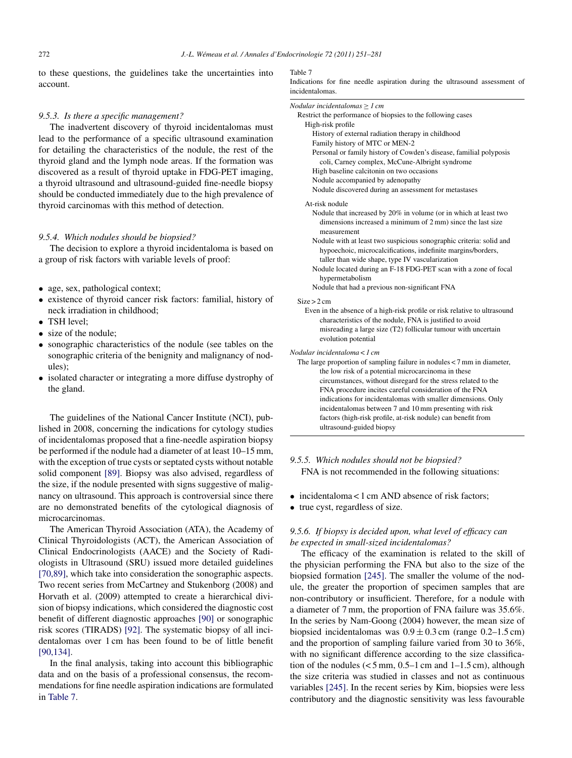to these questions, the guidelines take the uncertainties into account.

#### *9.5.3. Is there a specific management?*

The inadvertent discovery of thyroid incidentalomas must lead to the performance of a specific ultrasound examination for detailing the characteristics of the nodule, the rest of the thyroid gland and the lymph node areas. If the formation was discovered as a result of thyroid uptake in FDG-PET imaging, a thyroid ultrasound and ultrasound-guided fine-needle biopsy should be conducted immediately due to the high prevalence of thyroid carcinomas with this method of detection.

#### *9.5.4. Which nodules should be biopsied?*

The decision to explore a thyroid incidentaloma is based on a group of risk factors with variable levels of proof:

- age, sex, pathological context;
- existence of thyroid cancer risk factors: familial, history of neck irradiation in childhood;
- TSH level:
- size of the nodule:
- sonographic characteristics of the nodule (see tables on the sonographic criteria of the benignity and malignancy of nodules);
- isolated character or integrating a more diffuse dystrophy of the gland.

The guidelines of the National Cancer Institute (NCI), published in 2008, concerning the indications for cytology studies of incidentalomas proposed that a fine-needle aspiration biopsy be performed if the nodule had a diameter of at least 10–15 mm, with the exception of true cysts or septated cysts without notable solid component [\[89\].](#page-26-0) Biopsy was also advised, regardless of the size, if the nodule presented with signs suggestive of malignancy on ultrasound. This approach is controversial since there are no demonstrated benefits of the cytological diagnosis of microcarcinomas.

The American Thyroid Association (ATA), the Academy of Clinical Thyroidologists (ACT), the American Association of Clinical Endocrinologists (AACE) and the Society of Radiologists in Ultrasound (SRU) issued more detailed guidelines [\[70,89\], w](#page-26-0)hich take into consideration the sonographic aspects. Two recent series from McCartney and Stukenborg (2008) and Horvath et al. (2009) attempted to create a hierarchical division of biopsy indications, which considered the diagnostic cost benefit of different diagnostic approaches [\[90\]](#page-26-0) or sonographic risk scores (TIRADS) [\[92\].](#page-26-0) The systematic biopsy of all incidentalomas over 1 cm has been found to be of little benefit [\[90,134\].](#page-26-0)

In the final analysis, taking into account this bibliographic data and on the basis of a professional consensus, the recommendations for fine needle aspiration indications are formulated in Table 7.

#### Table 7

Indications for fine needle aspiration during the ultrasound assessment of incidentalomas.

| Nodular incidentalomas > 1 cm |
|-------------------------------|
|-------------------------------|

| Restrict the performance of biopsies to the following cases                                                                                                                                                                   |
|-------------------------------------------------------------------------------------------------------------------------------------------------------------------------------------------------------------------------------|
| High-risk profile                                                                                                                                                                                                             |
| History of external radiation therapy in childhood                                                                                                                                                                            |
| Family history of MTC or MEN-2                                                                                                                                                                                                |
| Personal or family history of Cowden's disease, familial polyposis<br>coli, Carney complex, McCune-Albright syndrome                                                                                                          |
| High baseline calcitonin on two occasions                                                                                                                                                                                     |
| Nodule accompanied by adenopathy                                                                                                                                                                                              |
| Nodule discovered during an assessment for metastases                                                                                                                                                                         |
| At-risk nodule                                                                                                                                                                                                                |
| Nodule that increased by 20% in volume (or in which at least two<br>dimensions increased a minimum of 2 mm) since the last size<br>measurement                                                                                |
| Nodule with at least two suspicious sonographic criteria: solid and<br>hypoechoic, microcalcifications, indefinite margins/borders,<br>taller than wide shape, type IV vascularization                                        |
| Nodule located during an F-18 FDG-PET scan with a zone of focal<br>hypermetabolism                                                                                                                                            |
| Nodule that had a previous non-significant FNA                                                                                                                                                                                |
| $Size > 2$ cm                                                                                                                                                                                                                 |
| Even in the absence of a high-risk profile or risk relative to ultrasound<br>characteristics of the nodule, FNA is justified to avoid<br>misreading a large size (T2) follicular tumour with uncertain<br>evolution potential |
| Nodular incidentaloma $< 1$ cm                                                                                                                                                                                                |
| The large proportion of sampling failure in nodules $<$ 7 mm in diameter,<br>the love right of a notantial migroconsinance in those                                                                                           |

the low risk of a potential microcarcinoma in these circumstances, without disregard for the stress related to the FNA procedure incites careful consideration of the FNA indications for incidentalomas with smaller dimensions. Only incidentalomas between 7 and 10 mm presenting with risk factors (high-risk profile, at-risk nodule) can benefit from ultrasound-guided biopsy

# *9.5.5. Which nodules should not be biopsied?* FNA is not recommended in the following situations:

- incidentaloma < 1 cm AND absence of risk factors;
- true cyst, regardless of size.

# *9.5.6. If biopsy is decided upon, what level of efficacy can be expected in small-sized incidentalomas?*

The efficacy of the examination is related to the skill of the physician performing the FNA but also to the size of the biopsied formation [\[245\].](#page-30-0) The smaller the volume of the nodule, the greater the proportion of specimen samples that are non-contributory or insufficient. Therefore, for a nodule with a diameter of 7 mm, the proportion of FNA failure was 35.6%. In the series by Nam-Goong (2004) however, the mean size of biopsied incidentalomas was  $0.9 \pm 0.3$  cm (range  $0.2$ –1.5 cm) and the proportion of sampling failure varied from 30 to 36%, with no significant difference according to the size classification of the nodules  $\leq 5$  mm, 0.5–1 cm and 1–1.5 cm), although the size criteria was studied in classes and not as continuous variables [\[245\]. I](#page-30-0)n the recent series by Kim, biopsies were less contributory and the diagnostic sensitivity was less favourable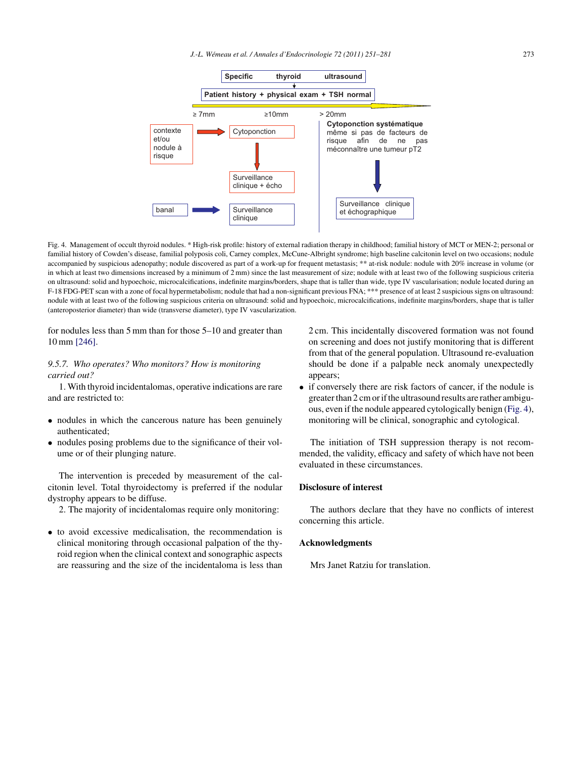

Fig. 4. Management of occult thyroid nodules. \* High-risk profile: history of external radiation therapy in childhood; familial history of MCT or MEN-2; personal or familial history of Cowden's disease, familial polyposis coli, Carney complex, McCune-Albright syndrome; high baseline calcitonin level on two occasions; nodule accompanied by suspicious adenopathy; nodule discovered as part of a work-up for frequent metastasis; \*\* at-risk nodule: nodule with 20% increase in volume (or in which at least two dimensions increased by a minimum of 2 mm) since the last measurement of size; nodule with at least two of the following suspicious criteria on ultrasound: solid and hypoechoic, microcalcifications, indefinite margins/borders, shape that is taller than wide, type IV vascularisation; nodule located during an F-18 FDG-PET scan with a zone of focal hypermetabolism; nodule that had a non-significant previous FNA; \*\*\* presence of at least 2 suspicious signs on ultrasound: nodule with at least two of the following suspicious criteria on ultrasound: solid and hypoechoic, microcalcifications, indefinite margins/borders, shape that is taller (anteroposterior diameter) than wide (transverse diameter), type IV vascularization.

for nodules less than 5 mm than for those 5–10 and greater than 10 mm [\[246\].](#page-30-0)

# *9.5.7. Who operates? Who monitors? How is monitoring carried out?*

1. With thyroid incidentalomas, operative indications are rare and are restricted to:

- nodules in which the cancerous nature has been genuinely authenticated;
- nodules posing problems due to the significance of their volume or of their plunging nature.

The intervention is preceded by measurement of the calcitonin level. Total thyroidectomy is preferred if the nodular dystrophy appears to be diffuse.

2. The majority of incidentalomas require only monitoring:

• to avoid excessive medicalisation, the recommendation is clinical monitoring through occasional palpation of the thyroid region when the clinical context and sonographic aspects are reassuring and the size of the incidentaloma is less than

2 cm. This incidentally discovered formation was not found on screening and does not justify monitoring that is different from that of the general population. Ultrasound re-evaluation should be done if a palpable neck anomaly unexpectedly appears;

• if conversely there are risk factors of cancer, if the nodule is greater than 2 cm or if the ultrasound results are rather ambiguous, even if the nodule appeared cytologically benign (Fig. 4), monitoring will be clinical, sonographic and cytological.

The initiation of TSH suppression therapy is not recommended, the validity, efficacy and safety of which have not been evaluated in these circumstances.

# **Disclosure of interest**

The authors declare that they have no conflicts of interest concerning this article.

## **Acknowledgments**

Mrs Janet Ratziu for translation.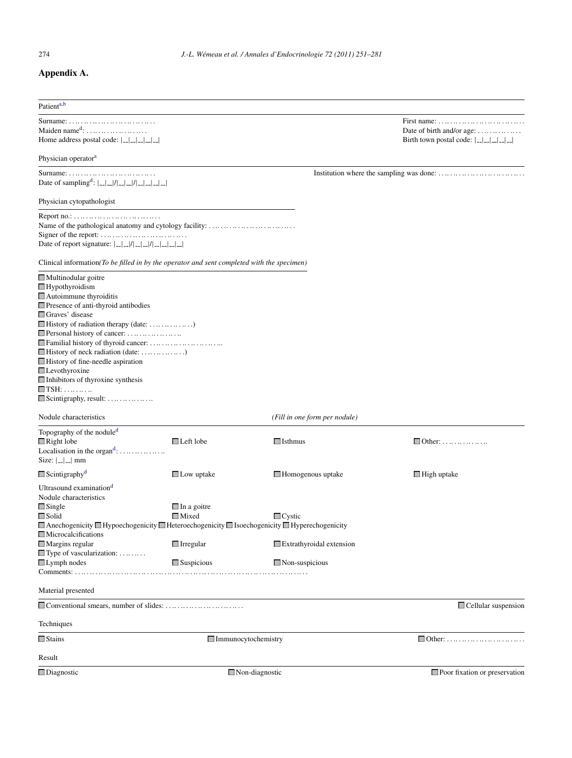# <span id="page-23-0"></span>**Appendix A.**

| Patient <sup>a,b</sup>                                                                                                                                                                                                                                                                                           |                                    |                                         |                                                                                                                                                   |
|------------------------------------------------------------------------------------------------------------------------------------------------------------------------------------------------------------------------------------------------------------------------------------------------------------------|------------------------------------|-----------------------------------------|---------------------------------------------------------------------------------------------------------------------------------------------------|
| Maiden name <sup>d</sup> :<br>Home address postal code: $      $                                                                                                                                                                                                                                                 |                                    |                                         | First name: $\dots \dots \dots \dots \dots \dots \dots \dots \dots \dots$<br>Date of birth and/or age:<br>Birth town postal code:  -- -- -- -- -- |
| Physician operator <sup>a</sup>                                                                                                                                                                                                                                                                                  |                                    |                                         |                                                                                                                                                   |
| Date of sampling <sup>d</sup> : $  $ - $ $ - $ $ - $  $ - $  $ -- $  $ --                                                                                                                                                                                                                                        |                                    |                                         |                                                                                                                                                   |
| Physician cytopathologist                                                                                                                                                                                                                                                                                        |                                    |                                         |                                                                                                                                                   |
| Date of report signature: $   /       $                                                                                                                                                                                                                                                                          |                                    |                                         |                                                                                                                                                   |
| Clinical information (To be filled in by the operator and sent completed with the specimen)                                                                                                                                                                                                                      |                                    |                                         |                                                                                                                                                   |
| $\Box$ Multinodular goitre<br>$\blacksquare$ Hypothyroidism<br>$\blacksquare$ Autoimmune thyroiditis<br>Presence of anti-thyroid antibodies<br>Graves' disease<br>History of fine-needle aspiration<br>Levothyroxine<br>Inhibitors of thyroxine synthesis<br>$\blacksquare$ TSH:<br>$\Box$ Scintigraphy, result: |                                    |                                         |                                                                                                                                                   |
| Nodule characteristics                                                                                                                                                                                                                                                                                           |                                    | (Fill in one form per nodule)           |                                                                                                                                                   |
| Topography of the nodule <sup>d</sup><br>$\Box$ Right lobe<br>Localisation in the organd: .<br>Size: $ \_$   $ $   $ $ mm                                                                                                                                                                                        | $\Box$ Left lobe                   | $\Box$ Isthmus                          | $\Box$ Other:                                                                                                                                     |
| $\Box$ Scintigraphy <sup>d</sup>                                                                                                                                                                                                                                                                                 | Low uptake                         | Homogenous uptake                       | $\Box$ High uptake                                                                                                                                |
| Ultrasound examination <sup>d</sup><br>Nodule characteristics<br>$\Box$ Single<br>$\square$ Solid<br>$\Box$ Anechogenicity $\Box$ Hypoechogenicity $\Box$ Heteroechogenicity $\Box$ Isoechogenicity $\Box$ Hyperechogenicity<br>$\Box$ Microcalcifications                                                       | $\Box$ In a goitre<br>$\Box$ Mixed | $\Box$ Cystic                           |                                                                                                                                                   |
| $\blacksquare$ Margins regular<br>$\Box$ Type of vascularization:                                                                                                                                                                                                                                                | $\Box$ Irregular                   | $\blacksquare$ Extrathyroidal extension |                                                                                                                                                   |
| $\Box$ Lymph nodes                                                                                                                                                                                                                                                                                               | $\Box$ Suspicious                  | $\Box$ Non-suspicious                   |                                                                                                                                                   |
| Material presented                                                                                                                                                                                                                                                                                               |                                    |                                         |                                                                                                                                                   |
|                                                                                                                                                                                                                                                                                                                  |                                    |                                         | Cellular suspension                                                                                                                               |
| Techniques                                                                                                                                                                                                                                                                                                       |                                    |                                         |                                                                                                                                                   |
| $\blacksquare$ Stains                                                                                                                                                                                                                                                                                            |                                    | Immunocytochemistry                     | $\Box$ Other:                                                                                                                                     |
| Result                                                                                                                                                                                                                                                                                                           |                                    |                                         |                                                                                                                                                   |
| $\Box$ Diagnostic                                                                                                                                                                                                                                                                                                |                                    | Non-diagnostic                          | $\Box$ Poor fixation or preservation                                                                                                              |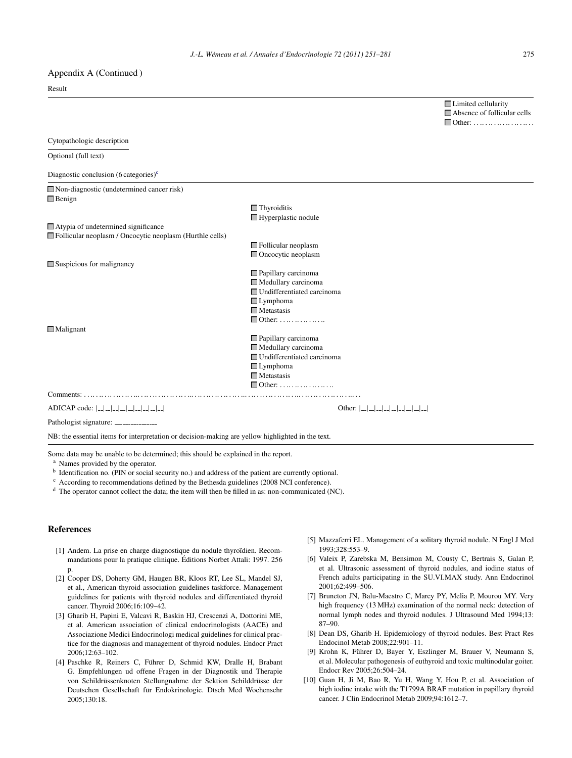## <span id="page-24-0"></span>Appendix A (Continued )

Result

|                                                                                                   |                                                   | Limited cellularity                          |
|---------------------------------------------------------------------------------------------------|---------------------------------------------------|----------------------------------------------|
|                                                                                                   |                                                   | Absence of follicular cells<br>$\Box$ Other: |
|                                                                                                   |                                                   |                                              |
| Cytopathologic description                                                                        |                                                   |                                              |
| Optional (full text)                                                                              |                                                   |                                              |
| Diagnostic conclusion (6 categories) <sup>c</sup>                                                 |                                                   |                                              |
| $\Box$ Non-diagnostic (undetermined cancer risk)                                                  |                                                   |                                              |
| $\Box$ Benign                                                                                     |                                                   |                                              |
|                                                                                                   | $\blacksquare$ Thyroiditis<br>Hyperplastic nodule |                                              |
| Atypia of undetermined significance                                                               |                                                   |                                              |
| Follicular neoplasm / Oncocytic neoplasm (Hurthle cells)                                          |                                                   |                                              |
|                                                                                                   | $\Box$ Follicular neoplasm                        |                                              |
|                                                                                                   | Oncocytic neoplasm                                |                                              |
| Suspicious for malignancy                                                                         |                                                   |                                              |
|                                                                                                   | Papillary carcinoma<br>Medullary carcinoma        |                                              |
|                                                                                                   | □ Undifferentiated carcinoma                      |                                              |
|                                                                                                   | $\Box$ Lymphoma                                   |                                              |
|                                                                                                   | $\blacksquare$ Metastasis                         |                                              |
|                                                                                                   | $\Box$ Other:                                     |                                              |
| $\Box$ Malignant                                                                                  | Papillary carcinoma                               |                                              |
|                                                                                                   | Medullary carcinoma                               |                                              |
|                                                                                                   | □ Undifferentiated carcinoma                      |                                              |
|                                                                                                   | Lymphoma                                          |                                              |
|                                                                                                   | $\blacksquare$ Metastasis                         |                                              |
|                                                                                                   | $\Box$ Other:                                     |                                              |
|                                                                                                   |                                                   |                                              |
| ADICAP code: $         $                                                                          | Other:  __ __ __ __ __ __ __ __                   |                                              |
|                                                                                                   |                                                   |                                              |
| NB: the essential items for interpretation or decision-making are yellow highlighted in the text. |                                                   |                                              |

Some data may be unable to be determined; this should be explained in the report.

<sup>a</sup> Names provided by the operator.

- <sup>b</sup> Identification no. (PIN or social security no.) and address of the patient are currently optional.
- <sup>c</sup> According to recommendations defined by the Bethesda guidelines (2008 NCI conference).

<sup>d</sup> The operator cannot collect the data; the item will then be filled in as: non-communicated (NC).

#### **References**

- [1] Andem. La prise en charge diagnostique du nodule thyroïdien. Recommandations pour la pratique clinique. Éditions Norbet Attali: 1997. 256 p.
- [2] Cooper DS, Doherty GM, Haugen BR, Kloos RT, Lee SL, Mandel SJ, et al., American thyroid association guidelines taskforce. Management guidelines for patients with thyroid nodules and differentiated thyroid cancer. Thyroid 2006;16:109–42.
- [3] Gharib H, Papini E, Valcavi R, Baskin HJ, Crescenzi A, Dottorini ME, et al. American association of clinical endocrinologists (AACE) and Associazione Medici Endocrinologi medical guidelines for clinical practice for the diagnosis and management of thyroid nodules. Endocr Pract 2006;12:63–102.
- [4] Paschke R, Reiners C, Führer D, Schmid KW, Dralle H, Brabant G. Empfehlungen ud offene Fragen in der Diagnostik und Therapie von Schildrüssenknoten Stellungnahme der Sektion Schilddrüsse der Deutschen Gesellschaft für Endokrinologie. Dtsch Med Wochenschr 2005;130:18.
- [5] Mazzaferri EL. Management of a solitary thyroid nodule. N Engl J Med 1993;328:553–9.
- [6] Valeix P, Zarebska M, Bensimon M, Cousty C, Bertrais S, Galan P, et al. Ultrasonic assessment of thyroid nodules, and iodine status of French adults participating in the SU.VI.MAX study. Ann Endocrinol 2001;62:499–506.
- [7] Bruneton JN, Balu-Maestro C, Marcy PY, Melia P, Mourou MY. Very high frequency (13 MHz) examination of the normal neck: detection of normal lymph nodes and thyroid nodules. J Ultrasound Med 1994;13: 87–90.
- [8] Dean DS, Gharib H. Epidemiology of thyroid nodules. Best Pract Res Endocinol Metab 2008;22:901–11.
- [9] Krohn K, Führer D, Bayer Y, Eszlinger M, Brauer V, Neumann S, et al. Molecular pathogenesis of euthyroid and toxic multinodular goiter. Endocr Rev 2005;26:504–24.
- [10] Guan H, Ji M, Bao R, Yu H, Wang Y, Hou P, et al. Association of high iodine intake with the T1799A BRAF mutation in papillary thyroid cancer. J Clin Endocrinol Metab 2009;94:1612–7.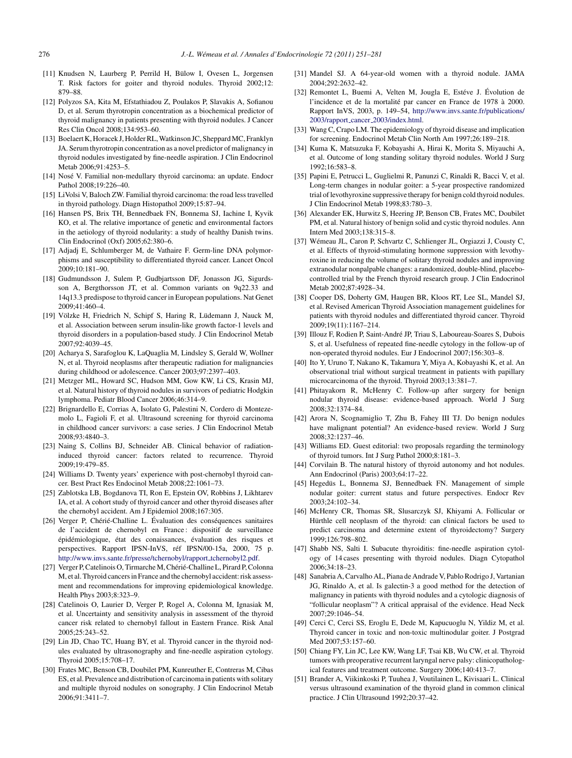- <span id="page-25-0"></span>[11] Knudsen N, Laurberg P, Perrild H, Bülow I, Ovesen L, Jorgensen T. Risk factors for goiter and thyroid nodules. Thyroid 2002;12: 879–88.
- [12] Polyzos SA, Kita M, Efstathiadou Z, Poulakos P, Slavakis A, Sofianou D, et al. Serum thyrotropin concentration as a biochemical predictor of thyroid malignancy in patients presenting with thyroid nodules. J Cancer Res Clin Oncol 2008;134:953–60.
- [13] Boelaert K, Horacek J, Holder RL, Watkinson JC, Sheppard MC, Franklyn JA. Serum thyrotropin concentration as a novel predictor of malignancy in thyroid nodules investigated by fine-needle aspiration. J Clin Endocrinol Metab 2006;91:4253–5.
- [14] Nosé V. Familial non-medullary thyroid carcinoma: an update. Endocr Pathol 2008;19:226–40.
- [15] LiVolsi V, Baloch ZW. Familial thyroid carcinoma: the road less travelled in thyroid pathology. Diagn Histopathol 2009;15:87–94.
- [16] Hansen PS, Brix TH, Bennedbaek FN, Bonnema SJ, Iachine I, Kyvik KO, et al. The relative importance of genetic and environmental factors in the aetiology of thyroid nodularity: a study of healthy Danish twins. Clin Endocrinol (Oxf) 2005;62:380–6.
- [17] Adjadj E, Schlumberger M, de Vathaire F. Germ-line DNA polymorphisms and susceptibility to differentiated thyroid cancer. Lancet Oncol 2009;10:181–90.
- [18] Gudmundsson J, Sulem P, Gudbjartsson DF, Jonasson JG, Sigurdsson A, Bergthorsson JT, et al. Common variants on 9q22.33 and 14q13.3 predispose to thyroid cancer in European populations. Nat Genet 2009;41:460–4.
- [19] Völzke H, Friedrich N, Schipf S, Haring R, Lüdemann J, Nauck M, et al. Association between serum insulin-like growth factor-1 levels and thyroid disorders in a population-based study. J Clin Endocrinol Metab 2007;92:4039–45.
- [20] Acharya S, Sarafoglou K, LaQuaglia M, Lindsley S, Gerald W, Wollner N, et al. Thyroid neoplasms after therapeutic radiation for malignancies during childhood or adolescence. Cancer 2003;97:2397–403.
- [21] Metzger ML, Howard SC, Hudson MM, Gow KW, Li CS, Krasin MJ, et al. Natural history of thyroid nodules in survivors of pediatric Hodgkin lymphoma. Pediatr Blood Cancer 2006;46:314–9.
- [22] Brignardello E, Corrias A, Isolato G, Palestini N, Cordero di Montezemolo L, Fagioli F, et al. Ultrasound screening for thyroid carcinoma in childhood cancer survivors: a case series. J Clin Endocrinol Metab 2008;93:4840–3.
- [23] Naing S, Collins BJ, Schneider AB. Clinical behavior of radiationinduced thyroid cancer: factors related to recurrence. Thyroid 2009;19:479–85.
- [24] Williams D. Twenty years' experience with post-chernobyl thyroid cancer. Best Pract Res Endocinol Metab 2008;22:1061–73.
- [25] Zablotska LB, Bogdanova TI, Ron E, Epstein OV, Robbins J, Likhtarev IA, et al. A cohort study of thyroid cancer and other thyroid diseases after the chernobyl accident. Am J Epidemiol 2008;167:305.
- [26] Verger P, Chérié-Challine L. Évaluation des conséquences sanitaires de l'accident de chernobyl en France : dispositif de surveillance épidémiologique, état des conaissances, évaluation des risques et perspectives. Rapport IPSN-InVS, réf IPSN/00-15a, 2000, 75 p. [http://www.invs.sante.fr/presse/tchernobyl/rapport](http://www.invs.sante.fr/presse/tchernobyl/rapport_tchernobyl2.pdf)\_tchernobyl2.pdf.
- [27] Verger P, Catelinois O, Tirmarche M, Chérié-Challine L, Pirard P, Colonna M, et al. Thyroid cancers in France and the chernobyl accident: risk assessment and recommendations for improving epidemiological knowledge. Health Phys 2003;8:323–9.
- [28] Catelinois O, Laurier D, Verger P, Rogel A, Colonna M, Ignasiak M, et al. Uncertainty and sensitivity analysis in assessment of the thyroid cancer risk related to chernobyl fallout in Eastern France. Risk Anal 2005;25:243–52.
- [29] Lin JD, Chao TC, Huang BY, et al. Thyroid cancer in the thyroid nodules evaluated by ultrasonography and fine-needle aspiration cytology. Thyroid 2005;15:708–17.
- [30] Frates MC, Benson CB, Doubilet PM, Kunreuther E, Contreras M, Cibas ES, et al. Prevalence and distribution of carcinoma in patients with solitary and multiple thyroid nodules on sonography. J Clin Endocrinol Metab 2006;91:3411–7.
- [31] Mandel SJ. A 64-year-old women with a thyroid nodule. JAMA 2004;292:2632–42.
- [32] Remontet L, Buemi A, Velten M, Jougla E, Estéve J. Évolution de l'incidence et de la mortalité par cancer en France de 1978 à 2000. Rapport InVS, 2003, p. 149–54, [http://www.invs.sante.fr/publications/](http://www.invs.sante.fr/publications/2003/rapport_cancer_2003/index.html) 2003/rapport cancer [2003/index.html.](http://www.invs.sante.fr/publications/2003/rapport_cancer_2003/index.html)
- [33] Wang C, Crapo LM. The epidemiology of thyroid disease and implication for screening. Endocrinol Metab Clin North Am 1997;26:189–218.
- [34] Kuma K, Matsuzuka F, Kobayashi A, Hirai K, Morita S, Miyauchi A, et al. Outcome of long standing solitary thyroid nodules. World J Surg 1992;16:583–8.
- [35] Papini E, Petrucci L, Guglielmi R, Panunzi C, Rinaldi R, Bacci V, et al. Long-term changes in nodular goiter: a 5-year prospective randomized trial of levothyroxine suppressive therapy for benign cold thyroid nodules. J Clin Endocrinol Metab 1998;83:780–3.
- [36] Alexander EK, Hurwitz S, Heering JP, Benson CB, Frates MC, Doubilet PM, et al. Natural history of benign solid and cystic thyroid nodules. Ann Intern Med 2003;138:315–8.
- [37] Wémeau JL, Caron P, Schvartz C, Schlienger JL, Orgiazzi J, Cousty C, et al. Effects of thyroid-stimulating hormone suppression with levothyroxine in reducing the volume of solitary thyroid nodules and improving extranodular nonpalpable changes: a randomized, double-blind, placebocontrolled trial by the French thyroid research group. J Clin Endocrinol Metab 2002;87:4928–34.
- [38] Cooper DS, Doherty GM, Haugen BR, Kloos RT, Lee SL, Mandel SJ, et al. Revised American Thyroid Association management guidelines for patients with thyroid nodules and differentiated thyroid cancer. Thyroid 2009;19(11):1167–214.
- [39] Illouz F, Rodien P, Saint-André JP, Triau S, Laboureau-Soares S, Dubois S, et al. Usefulness of repeated fine-needle cytology in the follow-up of non-operated thyroid nodules. Eur J Endocrinol 2007;156:303–8.
- [40] Ito Y, Uruno T, Nakano K, Takamura Y, Miya A, Kobayashi K, et al. An observational trial without surgical treatment in patients with papillary microcarcinoma of the thyroid. Thyroid 2003;13:381–7.
- [41] Phitayakorn R, McHenry C. Follow-up after surgery for benign nodular thyroid disease: evidence-based approach. World J Surg 2008;32:1374–84.
- [42] Arora N, Scognamiglio T, Zhu B, Fahey III TJ. Do benign nodules have malignant potential? An evidence-based review. World J Surg 2008;32:1237–46.
- [43] Williams ED. Guest editorial: two proposals regarding the terminology of thyroid tumors. Int J Surg Pathol 2000;8:181–3.
- [44] Corvilain B. The natural history of thyroid autonomy and hot nodules. Ann Endocrinol (Paris) 2003;64:17–22.
- [45] Hegedüs L, Bonnema SJ, Bennedbaek FN. Management of simple nodular goiter: current status and future perspectives. Endocr Rev 2003;24:102–34.
- [46] McHenry CR, Thomas SR, Slusarczyk SJ, Khiyami A. Follicular or Hürthle cell neoplasm of the thyroid: can clinical factors be used to predict carcinoma and determine extent of thyroidectomy? Surgery 1999;126:798–802.
- [47] Shabb NS, Salti I. Subacute thyroiditis: fine-needle aspiration cytology of 14 cases presenting with thyroid nodules. Diagn Cytopathol 2006;34:18–23.
- [48] Sanabria A, Carvalho AL, Piana de Andrade V, Pablo Rodrigo J, Vartanian JG, Rinaldo A, et al. Is galectin-3 a good method for the detection of malignancy in patients with thyroid nodules and a cytologic diagnosis of "follicular neoplasm"? A critical appraisal of the evidence. Head Neck 2007;29:1046–54.
- [49] Cerci C, Cerci SS, Eroglu E, Dede M, Kapucuoglu N, Yildiz M, et al. Thyroid cancer in toxic and non-toxic multinodular goiter. J Postgrad Med 2007;53:157–60.
- [50] Chiang FY, Lin JC, Lee KW, Wang LF, Tsai KB, Wu CW, et al. Thyroid tumors with preoperative recurrent laryngal nerve palsy: clinicopathological features and treatment outcome. Surgery 2006;140:413–7.
- [51] Brander A, Viikinkoski P, Tuuhea J, Voutilainen L, Kivisaari L. Clinical versus ultrasound examination of the thyroid gland in common clinical practice. J Clin Ultrasound 1992;20:37–42.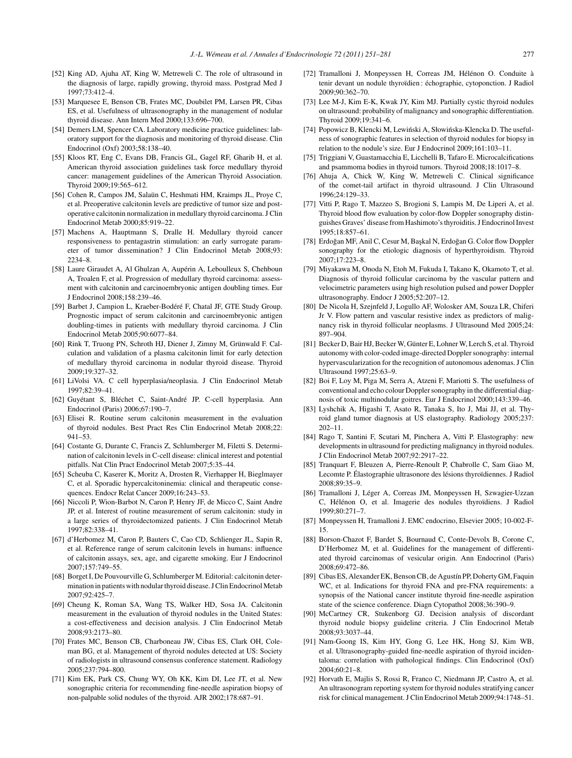- <span id="page-26-0"></span>[52] King AD, Ajuha AT, King W, Metreweli C. The role of ultrasound in the diagnosis of large, rapidly growing, thyroid mass. Postgrad Med J 1997;73:412–4.
- [53] Marquesee E, Benson CB, Frates MC, Doubilet PM, Larsen PR, Cibas ES, et al. Usefulness of ultrasonography in the management of nodular thyroid disease. Ann Intern Med 2000;133:696–700.
- [54] Demers LM, Spencer CA. Laboratory medicine practice guidelines: laboratory support for the diagnosis and monitoring of thyroid disease. Clin Endocrinol (Oxf) 2003;58:138–40.
- [55] Kloos RT, Eng C, Evans DB, Francis GL, Gagel RF, Gharib H, et al. American thyroid association guidelines task force medullary thyroid cancer: management guidelines of the American Thyroid Association. Thyroid 2009;19:565–612.
- [56] Cohen R, Campos JM, Salaün C, Heshmati HM, Kraimps JL, Proye C, et al. Preoperative calcitonin levels are predictive of tumor size and postoperative calcitonin normalization in medullary thyroid carcinoma. J Clin Endocrinol Metab 2000;85:919–22.
- [57] Machens A, Hauptmann S, Dralle H. Medullary thyroid cancer responsiveness to pentagastrin stimulation: an early surrogate parameter of tumor dissemination? J Clin Endocrinol Metab 2008;93: 2234–8.
- [58] Laure Giraudet A, Al Ghulzan A, Aupérin A, Leboulleux S, Chehboun A, Troalen F, et al. Progression of medullary thyroid carcinoma: assessment with calcitonin and carcinoembryonic antigen doubling times. Eur J Endocrinol 2008;158:239–46.
- [59] Barbet J, Campion L, Kraeber-Bodéré F, Chatal JF, GTE Study Group. Prognostic impact of serum calcitonin and carcinoembryonic antigen doubling-times in patients with medullary thyroid carcinoma. J Clin Endocrinol Metab 2005;90:6077–84.
- [60] Rink T, Truong PN, Schroth HJ, Diener J, Zimny M, Grünwald F. Calculation and validation of a plasma calcitonin limit for early detection of medullary thyroid carcinoma in nodular thyroid disease. Thyroid 2009;19:327–32.
- [61] LiVolsi VA. C cell hyperplasia/neoplasia. J Clin Endocrinol Metab 1997;82:39–41.
- [62] Guyétant S, Bléchet C, Saint-André JP. C-cell hyperplasia. Ann Endocrinol (Paris) 2006;67:190–7.
- [63] Elisei R. Routine serum calcitonin measurement in the evaluation of thyroid nodules. Best Pract Res Clin Endocrinol Metab 2008;22: 941–53.
- [64] Costante G, Durante C, Francis Z, Schlumberger M, Filetti S. Determination of calcitonin levels in C-cell disease: clinical interest and potential pitfalls. Nat Clin Pract Endocrinol Metab 2007;5:35–44.
- [65] Scheuba C, Kaserer K, Moritz A, Drosten R, Vierhapper H, Bieglmayer C, et al. Sporadic hypercalcitoninemia: clinical and therapeutic consequences. Endocr Relat Cancer 2009;16:243–53.
- [66] Niccoli P, Wion-Barbot N, Caron P, Henry JF, de Micco C, Saint Andre JP, et al. Interest of routine measurement of serum calcitonin: study in a large series of thyroidectomized patients. J Clin Endocrinol Metab 1997;82:338–41.
- [67] d'Herbomez M, Caron P, Bauters C, Cao CD, Schlienger JL, Sapin R, et al. Reference range of serum calcitonin levels in humans: influence of calcitonin assays, sex, age, and cigarette smoking. Eur J Endocrinol 2007;157:749–55.
- [68] Borget I, De Pouvourville G, Schlumberger M. Editorial: calcitonin determination in patients with nodular thyroid disease. J Clin Endocrinol Metab 2007;92:425–7.
- [69] Cheung K, Roman SA, Wang TS, Walker HD, Sosa JA. Calcitonin measurement in the evaluation of thyroid nodules in the United States: a cost-effectiveness and decision analysis. J Clin Endocrinol Metab 2008;93:2173–80.
- [70] Frates MC, Benson CB, Charboneau JW, Cibas ES, Clark OH, Coleman BG, et al. Management of thyroid nodules detected at US: Society of radiologists in ultrasound consensus conference statement. Radiology 2005;237:794–800.
- [71] Kim EK, Park CS, Chung WY, Oh KK, Kim DI, Lee JT, et al. New sonographic criteria for recommending fine-needle aspiration biopsy of non-palpable solid nodules of the thyroid. AJR 2002;178:687–91.
- [72] Tramalloni J, Monpeyssen H, Correas JM, Hélénon O. Conduite à tenir devant un nodule thyroïdien : échographie, cytoponction. J Radiol 2009;90:362–70.
- [73] Lee M-J, Kim E-K, Kwak JY, Kim MJ. Partially cystic thyroid nodules on ultrasound: probability of malignancy and sonographic differentiation. Thyroid 2009;19:341–6.
- [74] Popowicz B, Klencki M, Lewiński A, Słowińska-Klencka D. The usefulness of sonographic features in selection of thyroid nodules for biopsy in relation to the nodule's size. Eur J Endocrinol 2009;161:103–11.
- [75] Triggiani V, Guastamacchia E, Licchelli B, Tafaro E. Microcalcifications and psammoma bodies in thyroid tumors. Thyroid 2008;18:1017–8.
- [76] Ahuja A, Chick W, King W, Metreweli C. Clinical significance of the comet-tail artifact in thyroid ultrasound. J Clin Ultrasound 1996;24:129–33.
- [77] Vitti P, Rago T, Mazzeo S, Brogioni S, Lampis M, De Liperi A, et al. Thyroid blood flow evaluation by color-flow Doppler sonography distinguishes Graves' disease from Hashimoto's thyroiditis. J Endocrinol Invest 1995;18:857–61.
- [78] Erdoğan MF, Anil C, Cesur M, Başkal N, Erdoğan G. Color flow Doppler sonography for the etiologic diagnosis of hyperthyroidism. Thyroid 2007;17:223–8.
- [79] Miyakawa M, Onoda N, Etoh M, Fukuda I, Takano K, Okamoto T, et al. Diagnosis of thyroid follicular carcinoma by the vascular pattern and velocimetric parameters using high resolution pulsed and power Doppler ultrasonography. Endocr J 2005;52:207–12.
- [80] De Nicola H, Szejnfeld J, Logullo AF, Wolosker AM, Souza LR, Chiferi Jr V. Flow pattern and vascular resistive index as predictors of malignancy risk in thyroid follicular neoplasms. J Ultrasound Med 2005;24: 897–904.
- [81] Becker D, Bair HJ, Becker W, Günter E, Lohner W, Lerch S, et al. Thyroid autonomy with color-coded image-directed Doppler sonography: internal hypervascularization for the recognition of autonomous adenomas. J Clin Ultrasound 1997;25:63–9.
- [82] Boi F, Loy M, Piga M, Serra A, Atzeni F, Mariotti S. The usefulness of conventional and echo colour Doppler sonography in the differential diagnosis of toxic multinodular goitres. Eur J Endocrinol 2000;143:339–46.
- [83] Lyshchik A, Higashi T, Asato R, Tanaka S, Ito J, Mai JJ, et al. Thyroid gland tumor diagnosis at US elastography. Radiology 2005;237: 202–11.
- [84] Rago T, Santini F, Scutari M, Pinchera A, Vitti P. Elastography: new developments in ultrasound for predicting malignancy in thyroid nodules. J Clin Endocrinol Metab 2007;92:2917–22.
- [85] Tranquart F, Bleuzen A, Pierre-Renoult P, Chabrolle C, Sam Giao M, Lecomte P. Élastographie ultrasonore des lésions thyroïdiennes. J Radiol 2008;89:35–9.
- [86] Tramalloni J, Léger A, Correas JM, Monpeyssen H, Szwagier-Uzzan C, Hélénon O, et al. Imagerie des nodules thyroïdiens. J Radiol 1999;80:271–7.
- [87] Monpeyssen H, Tramalloni J. EMC endocrino, Elsevier 2005; 10-002-F-15.
- [88] Borson-Chazot F, Bardet S, Bournaud C, Conte-Devolx B, Corone C, D'Herbomez M, et al. Guidelines for the management of differentiated thyroid carcinomas of vesicular origin. Ann Endocrinol (Paris) 2008;69:472–86.
- [89] Cibas ES, Alexander EK, Benson CB, de Agustín PP, Doherty GM, Faquin WC, et al. Indications for thyroid FNA and pre-FNA requirements: a synopsis of the National cancer institute thyroid fine-needle aspiration state of the science conference. Diagn Cytopathol 2008;36:390–9.
- [90] McCartney CR, Stukenborg GJ. Decision analysis of discordant thyroid nodule biopsy guideline criteria. J Clin Endocrinol Metab 2008;93:3037–44.
- [91] Nam-Goong IS, Kim HY, Gong G, Lee HK, Hong SJ, Kim WB, et al. Ultrasonography-guided fine-needle aspiration of thyroid incidentaloma: correlation with pathological findings. Clin Endocrinol (Oxf) 2004;60:21–8.
- [92] Horvath E, Majlis S, Rossi R, Franco C, Niedmann JP, Castro A, et al. An ultrasonogram reporting system for thyroid nodules stratifying cancer risk for clinical management. J Clin Endocrinol Metab 2009;94:1748–51.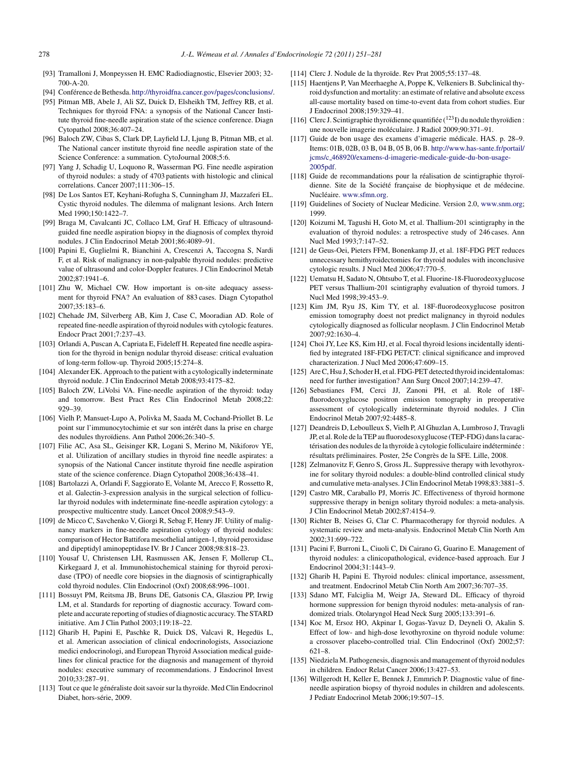- <span id="page-27-0"></span>[93] Tramalloni J, Monpeyssen H. EMC Radiodiagnostic, Elsevier 2003; 32- 700-A-20.
- [94] Conférence de Bethesda. [http://thyroidfna.cancer.gov/pages/conclusions/.](http://thyroidfna.cancer.gov/pages/conclusions/)
- [95] Pitman MB, Abele J, Ali SZ, Duick D, Elsheikh TM, Jeffrey RB, et al. Techniques for thyroid FNA: a synopsis of the National Cancer Institute thyroid fine-needle aspiration state of the science conference. Diagn Cytopathol 2008;36:407–24.
- [96] Baloch ZW, Cibas S, Clark DP, Layfield LJ, Ljung B, Pitman MB, et al. The National cancer institute thyroid fine needle aspiration state of the Science Conference: a summation. CytoJournal 2008;5:6.
- [97] Yang J, Schadig U, Loquono R, Wasserman PG. Fine needle aspiration of thyroid nodules: a study of 4703 patients with histologic and clinical correlations. Cancer 2007;111:306–15.
- [98] De Los Santos ET, Keyhani-Rofugha S, Cunningham JJ, Mazzaferi EL. Cystic thyroid nodules. The dilemma of malignant lesions. Arch Intern Med 1990;150:1422–7.
- [99] Braga M, Cavalcanti JC, Collaco LM, Graf H. Efficacy of ultrasoundguided fine needle aspiration biopsy in the diagnosis of complex thyroid nodules. J Clin Endocrinol Metab 2001;86:4089–91.
- [100] Papini E, Guglielmi R, Bianchini A, Crescenzi A, Taccogna S, Nardi F, et al. Risk of malignancy in non-palpable thyroid nodules: predictive value of ultrasound and color-Doppler features. J Clin Endocrinol Metab 2002;87:1941–6.
- [101] Zhu W, Michael CW. How important is on-site adequacy assessment for thyroid FNA? An evaluation of 883 cases. Diagn Cytopathol 2007;35:183–6.
- [102] Chehade JM, Silverberg AB, Kim J, Case C, Mooradian AD. Role of repeated fine-needle aspiration of thyroid nodules with cytologic features. Endocr Pract 2001;7:237–43.
- [103] Orlandi A, Puscan A, Capriata E, Fideleff H. Repeated fine needle aspiration for the thyroid in benign nodular thyroid disease: critical evaluation of long-term follow-up. Thyroid 2005;15:274–8.
- [104] Alexander EK. Approach to the patient with a cytologically indeterminate thyroid nodule. J Clin Endocrinol Metab 2008;93:4175–82.
- [105] Baloch ZW, LiVolsi VA. Fine-needle aspiration of the thyroid: today and tomorrow. Best Pract Res Clin Endocrinol Metab 2008;22: 929–39.
- [106] Vielh P, Mansuet-Lupo A, Polivka M, Saada M, Cochand-Priollet B. Le point sur l'immunocytochimie et sur son intérêt dans la prise en charge des nodules thyroïdiens. Ann Pathol 2006;26:340–5.
- [107] Filie AC, Asa SL, Geisinger KR, Logani S, Merino M, Nikiforov YE, et al. Utilization of ancillary studies in thyroid fine needle aspirates: a synopsis of the National Cancer institute thyroid fine needle aspiration state of the science conference. Diagn Cytopathol 2008;36:438–41.
- [108] Bartolazzi A, Orlandi F, Saggiorato E, Volante M, Arecco F, Rossetto R, et al. Galectin-3-expression analysis in the surgical selection of follicular thyroid nodules with indeterminate fine-needle aspiration cytology: a prospective multicentre study. Lancet Oncol 2008;9:543–9.
- [109] de Micco C, Savchenko V, Giorgi R, Sebag F, Henry JF. Utility of malignancy markers in fine-needle aspiration cytology of thyroid nodules: comparison of Hector Battifora mesothelial antigen-1, thyroid peroxidase and dipeptidyl aminopeptidase IV. Br J Cancer 2008;98:818–23.
- [110] Yousaf U, Christensen LH, Rasmussen AK, Jensen F, Mollerup CL, Kirkegaard J, et al. Immunohistochemical staining for thyroid peroxidase (TPO) of needle core biopsies in the diagnosis of scintigraphically cold thyroid nodules. Clin Endocrinol (Oxf) 2008;68:996–1001.
- [111] Bossuyt PM, Reitsma JB, Bruns DE, Gatsonis CA, Glasziou PP, Irwig LM, et al. Standards for reporting of diagnostic accuracy. Toward complete and accurate reporting of studies of diagnostic accuracy. The STARD initiative. Am J Clin Pathol 2003;119:18–22.
- [112] Gharib H, Papini E, Paschke R, Duick DS, Valcavi R, Hegedüs L, et al. American association of clinical endocrinologists, Associazione medici endocrinologi, and European Thyroid Association medical guidelines for clinical practice for the diagnosis and management of thyroid nodules: executive summary of recommendations. J Endocrinol Invest 2010;33:287–91.
- [113] Tout ce que le généraliste doit savoir sur la thyroïde. Med Clin Endocrinol Diabet, hors-série, 2009.
- [114] Clerc J. Nodule de la thyroïde. Rev Prat 2005;55:137–48.
- [115] Haentjens P, Van Meerhaeghe A, Poppe K, Velkeniers B. Subclinical thyroid dysfunction and mortality: an estimate of relative and absolute excess all-cause mortality based on time-to-event data from cohort studies. Eur J Endocrinol 2008;159:329–41.
- [116] Clerc J. Scintigraphie thyroïdienne quantifiée  $(^{123}I)$  du nodule thyroïdien : une nouvelle imagerie moléculaire. J Radiol 2009;90:371–91.
- [117] Guide de bon usage des examens d'imagerie médicale. HAS. p. 28–9. Items: 01B, 02B, 03 B, 04 B, 05 B, 06 B. [http://www.has-sante.fr/portail/](http://www.has-sante.fr/portail/jcms/c_468920/examens-d-imagerie-medicale-guide-du-bon-usage-2005pdf) jcms/c [468920/examens-d-imagerie-medicale-guide-du-bon-usage-](http://www.has-sante.fr/portail/jcms/c_468920/examens-d-imagerie-medicale-guide-du-bon-usage-2005pdf)2005pdf.
- [118] Guide de recommandations pour la réalisation de scintigraphie thyroïdienne. Site de la Société française de biophysique et de médecine. Nucléaire. [www.sfmn.org](http://www.sfmn.org/).
- [119] Guidelines of Society of Nuclear Medicine. Version 2.0, [www.snm.org;](http://www.snm.org/) 1999.
- [120] Koizumi M, Tagushi H, Goto M, et al. Thallium-201 scintigraphy in the evaluation of thyroid nodules: a retrospective study of 246 cases. Ann Nucl Med 1993;7:147–52.
- [121] de Geus-Oei, Pieters FFM, Bonenkamp JJ, et al. 18F-FDG PET reduces unnecessary hemithyroidectomies for thyroid nodules with inconclusive cytologic results. J Nucl Med 2006;47:770–5.
- [122] Uematsu H, Sadato N, Ohtsubo T, et al. Fluorine-18-Fluorodeoxyglucose PET versus Thallium-201 scintigraphy evaluation of thyroid tumors. J Nucl Med 1998;39:453–9.
- [123] Kim JM, Ryu JS, Kim TY, et al. 18F-fluorodeoxyglucose positron emission tomography doest not predict malignancy in thyroid nodules cytologically diagnosed as follicular neoplasm. J Clin Endocrinol Metab 2007;92:1630–4.
- [124] Choi JY, Lee KS, Kim HJ, et al. Focal thyroid lesions incidentally identified by integrated 18F-FDG PET/CT: clinical significance and improved characterization. J Nucl Med 2006;47:609–15.
- [125] Are C, Hsu J, Schoder H, et al. FDG-PET detected thyroid incidentalomas: need for further investigation? Ann Surg Oncol 2007;14:239–47.
- [126] Sebastianes FM, Cerci JJ, Zanoni PH, et al. Role of 18Ffluorodeoxyglucose positron emission tomography in preoperative assessment of cytologically indeterminate thyroid nodules. J Clin Endocrinol Metab 2007;92:4485–8.
- [127] Deandreis D, Leboulleux S, Vielh P, Al Ghuzlan A, Lumbroso J, Travagli JP, et al. Role de la TEP au fluorodesoxyglucose (TEP-FDG) dans la caractérisation des nodules de la thyroïde à cytologie folliculaire indéterminée : résultats préliminaires. Poster, 25e Congrès de la SFE. Lille, 2008.
- [128] Zelmanovitz F, Genro S, Gross JL. Suppressive therapy with levothyroxine for solitary thyroid nodules: a double-blind controlled clinical study and cumulative meta-analyses. J Clin Endocrinol Metab 1998;83:3881–5.
- [129] Castro MR, Caraballo PJ, Morris JC. Effectiveness of thyroid hormone suppressive therapy in benign solitary thyroid nodules: a meta-analysis. J Clin Endocrinol Metab 2002;87:4154–9.
- [130] Richter B, Neises G, Clar C. Pharmacotherapy for thyroid nodules. A systematic review and meta-analysis. Endocrinol Metab Clin North Am 2002;31:699–722.
- [131] Pacini F, Burroni L, Ciuoli C, Di Cairano G, Guarino E. Management of thyroid nodules: a clinicopathological, evidence-based approach. Eur J Endocrinol 2004;31:1443–9.
- [132] Gharib H, Papini E. Thyroid nodules: clinical importance, assessment, and treatment. Endocrinol Metab Clin North Am 2007;36:707–35.
- [133] Sdano MT, Falciglia M, Weigr JA, Steward DL. Efficacy of thyroid hormone suppression for benign thyroid nodules: meta-analysis of randomized trials. Otolaryngol Head Neck Surg 2005;133:391–6.
- [134] Koc M, Ersoz HO, Akpinar I, Gogas-Yavuz D, Deyneli O, Akalin S. Effect of low- and high-dose levothyroxine on thyroid nodule volume: a crossover placebo-controlled trial. Clin Endocrinol (Oxf) 2002;57: 621–8.
- [135] Niedziela M. Pathogenesis, diagnosis and management of thyroid nodules in children. Endocr Relat Cancer 2006;13:427–53.
- [136] Willgerodt H, Keller E, Bennek J, Emmrich P. Diagnostic value of fineneedle aspiration biopsy of thyroid nodules in children and adolescents. J Pediatr Endocrinol Metab 2006;19:507–15.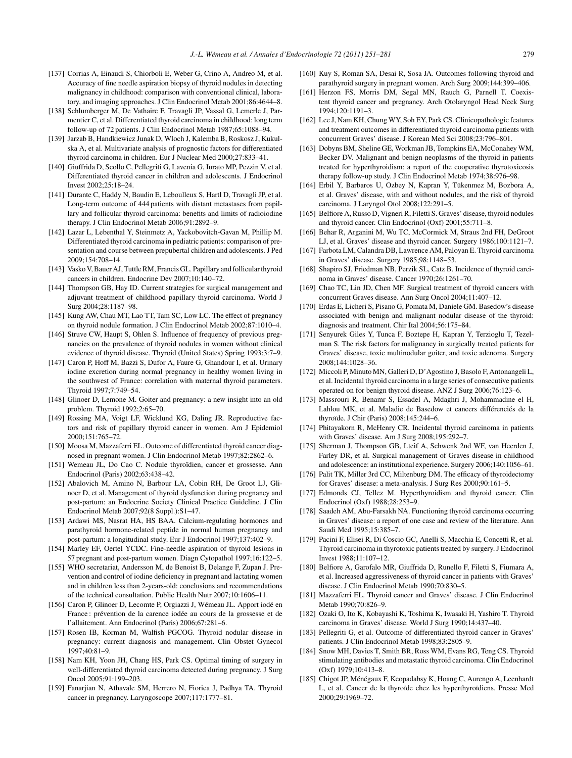- <span id="page-28-0"></span>[137] Corrias A, Einaudi S, Chiorboli E, Weber G, Crino A, Andreo M, et al. Accuracy of fine needle aspiration biopsy of thyroid nodules in detecting malignancy in childhood: comparison with conventional clinical, laboratory, and imaging approaches. J Clin Endocrinol Metab 2001;86:4644–8.
- [138] Schlumberger M, De Vathaire F, Travagli JP, Vassal G, Lemerle J, Parmentier C, et al. Differentiated thyroid carcinoma in childhood: long term follow-up of 72 patients. J Clin Endocrinol Metab 1987;65:1088–94.
- [139] Jarzab B, Handkiewicz Junak D, Wloch J, Kalemba B, Roskosz J, Kukulska A, et al. Multivariate analysis of prognostic factors for differentiated thyroid carcinoma in children. Eur J Nuclear Med 2000;27:833–41.
- [140] Giuffrida D, Scollo C, Pellegriti G, Lavenia G, Iurato MP, Pezzin V, et al. Differentiated thyroid cancer in children and adolescents. J Endocrinol Invest 2002;25:18–24.
- [141] Durante C, Haddy N, Baudin E, Leboulleux S, Hartl D, Travagli JP, et al. Long-term outcome of 444 patients with distant metastases from papillary and follicular thyroid carcinoma: benefits and limits of radioiodine therapy. J Clin Endocrinol Metab 2006;91:2892–9.
- [142] Lazar L, Lebenthal Y, Steinmetz A, Yackobovitch-Gavan M, Phillip M. Differentiated thyroid carcinoma in pediatric patients: comparison of presentation and course between prepubertal children and adolescents. J Ped 2009;154:708–14.
- [143] Vasko V, Bauer AJ, Tuttle RM, Francis GL. Papillary and follicular thyroid cancers in children. Endocrine Dev 2007;10:140–72.
- [144] Thompson GB, Hay ID. Current strategies for surgical management and adjuvant treatment of childhood papillary thyroid carcinoma. World J Surg 2004;28:1187–98.
- [145] Kung AW, Chau MT, Lao TT, Tam SC, Low LC. The effect of pregnancy on thyroid nodule formation. J Clin Endocrinol Metab 2002;87:1010–4.
- [146] Struve CW, Haupt S, Ohlen S. Influence of frequency of previous pregnancies on the prevalence of thyroid nodules in women without clinical evidence of thyroid disease. Thyroid (United States) Spring 1993;3:7–9.
- [147] Caron P, Hoff M, Bazzi S, Dufor A, Faure G, Ghandour I, et al. Urinary iodine excretion during normal pregnancy in healthy women living in the southwest of France: correlation with maternal thyroid parameters. Thyroid 1997;7:749–54.
- [148] Glinoer D, Lemone M, Goiter and pregnancy: a new insight into an old problem. Thyroid 1992;2:65–70.
- [149] Rossing MA, Voigt LF, Wicklund KG, Daling JR. Reproductive factors and risk of papillary thyroid cancer in women. Am J Epidemiol 2000;151:765–72.
- [150] Moosa M, Mazzaferri EL. Outcome of differentiated thyroid cancer diagnosed in pregnant women. J Clin Endocrinol Metab 1997;82:2862–6.
- [151] Wemeau JL, Do Cao C. Nodule thyroïdien, cancer et grossesse. Ann Endocrinol (Paris) 2002;63:438–42.
- [152] Abalovich M, Amino N, Barbour LA, Cobin RH, De Groot LJ, Glinoer D, et al. Management of thyroid dysfunction during pregnancy and post-partum: an Endocrine Society Clinical Practice Guideline. J Clin Endocrinol Metab 2007;92(8 Suppl.):S1–47.
- [153] Ardawi MS, Nasrat HA, HS BAA. Calcium-regulating hormones and parathyroid hormone-related peptide in normal human pregnancy and post-partum: a longitudinal study. Eur J Endocrinol 1997;137:402–9.
- [154] Marley EF, Oertel YCDC. Fine-needle aspiration of thyroid lesions in 57 pregnant and post-partum women. Diagn Cytopathol 1997;16:122–5.
- [155] WHO secretariat, Andersson M, de Benoist B, Delange F, Zupan J. Prevention and control of iodine deficiency in pregnant and lactating women and in children less than 2-years-old: conclusions and recommendations of the technical consultation. Public Health Nutr 2007;10:1606–11.
- [156] Caron P, Glinoer D, Lecomte P, Orgiazzi J, Wémeau JL. Apport iodé en France : prévention de la carence iodée au cours de la grossesse et de l'allaitement. Ann Endocrinol (Paris) 2006;67:281–6.
- [157] Rosen IB, Korman M, Walfish PGCOG. Thyroid nodular disease in pregnancy: current diagnosis and management. Clin Obstet Gynecol 1997;40:81–9.
- [158] Nam KH, Yoon JH, Chang HS, Park CS. Optimal timing of surgery in well-differentiated thyroid carcinoma detected during pregnancy. J Surg Oncol 2005;91:199–203.
- [159] Fanarjian N, Athavale SM, Herrero N, Fiorica J, Padhya TA. Thyroid cancer in pregnancy. Laryngoscope 2007;117:1777–81.
- [160] Kuy S, Roman SA, Desai R, Sosa JA. Outcomes following thyroid and parathyroid surgery in pregnant women. Arch Surg 2009;144:399–406.
- [161] Herzon FS, Morris DM, Segal MN, Rauch G, Parnell T. Coexistent thyroid cancer and pregnancy. Arch Otolaryngol Head Neck Surg 1994;120:1191–3.
- [162] Lee J, Nam KH, Chung WY, Soh EY, Park CS. Clinicopathologic features and treatment outcomes in differentiated thyroid carcinoma patients with concurrent Graves' disease. J Korean Med Sci 2008;23:796–801.
- [163] Dobyns BM, Sheline GE, Workman JB, Tompkins EA, McConahey WM, Becker DV. Malignant and benign neoplasms of the thyroid in patients treated for hyperthyroidism: a report of the cooperative thyrotoxicosis therapy follow-up study. J Clin Endocrinol Metab 1974;38:976–98.
- [164] Erbil Y, Barbaros U, Ozbey N, Kapran Y, Tükenmez M, Bozbora A, et al. Graves' disease, with and without nodules, and the risk of thyroid carcinoma. J Laryngol Otol 2008;122:291–5.
- [165] Belfiore A, Russo D, Vigneri R, Filetti S. Graves' disease, thyroid nodules and thyroid cancer. Clin Endocrinol (Oxf) 2001;55:711–8.
- [166] Behar R, Arganini M, Wu TC, McCormick M, Straus 2nd FH, DeGroot LJ, et al. Graves' disease and thyroid cancer. Surgery 1986;100:1121–7.
- [167] Farbota LM, Calandra DB, Lawrence AM, Paloyan E. Thyroid carcinoma in Graves' disease. Surgery 1985;98:1148–53.
- [168] Shapiro SJ, Friedman NB, Perzik SL, Catz B. Incidence of thyroid carcinoma in Graves' disease. Cancer 1970;26:1261–70.
- [169] Chao TC, Lin JD, Chen MF. Surgical treatment of thyroid cancers with concurrent Graves disease. Ann Surg Oncol 2004;11:407–12.
- [170] Erdas E, Licheri S, Pisano G, Pomata M, Daniele GM. Basedow's disease associated with benign and malignant nodular disease of the thyroid: diagnosis and treatment. Chir Ital 2004;56:175–84.
- [171] Senyurek Giles Y, Tunca F, Boztepe H, Kapran Y, Terzioglu T, Tezelman S. The risk factors for malignancy in surgically treated patients for Graves' disease, toxic multinodular goiter, and toxic adenoma. Surgery 2008;144:1028–36.
- [172] Miccoli P, Minuto MN, Galleri D, D'Agostino J, Basolo F, Antonangeli L, et al. Incidental thyroid carcinoma in a large series of consecutive patients operated on for benign thyroid disease. ANZ J Surg 2006;76:123–6.
- [173] Massrouri R, Benamr S, Essadel A, Mdaghri J, Mohammadine el H, Lahlou MK, et al. Maladie de Basedow et cancers différenciés de la thyroïde. J Chir (Paris) 2008;145:244–6.
- [174] Phitayakorn R, McHenry CR. Incidental thyroid carcinoma in patients with Graves' disease. Am J Surg 2008;195:292–7.
- [175] Sherman J, Thompson GB, Lteif A, Schwenk 2nd WF, van Heerden J, Farley DR, et al. Surgical management of Graves disease in childhood and adolescence: an institutional experience. Surgery 2006;140:1056–61.
- [176] Palit TK, Miller 3rd CC, Miltenburg DM. The efficacy of thyroidectomy for Graves' disease: a meta-analysis. J Surg Res 2000;90:161–5.
- [177] Edmonds CJ, Tellez M. Hyperthyroidism and thyroid cancer. Clin Endocrinol (Oxf) 1988;28:253–9.
- [178] Saadeh AM, Abu-Farsakh NA. Functioning thyroid carcinoma occurring in Graves' disease: a report of one case and review of the literature. Ann Saudi Med 1995;15:385–7.
- [179] Pacini F, Elisei R, Di Coscio GC, Anelli S, Macchia E, Concetti R, et al. Thyroid carcinoma in thyrotoxic patients treated by surgery. J Endocrinol Invest 1988;11:107–12.
- [180] Belfiore A, Garofalo MR, Giuffrida D, Runello F, Filetti S, Fiumara A, et al. Increased aggressiveness of thyroid cancer in patients with Graves' disease. J Clin Endocrinol Metab 1990;70:830–5.
- [181] Mazzaferri EL. Thyroid cancer and Graves' disease. J Clin Endocrinol Metab 1990;70:826–9.
- [182] Ozaki O, Ito K, Kobayashi K, Toshima K, Iwasaki H, Yashiro T. Thyroid carcinoma in Graves' disease. World J Surg 1990;14:437–40.
- [183] Pellegriti G, et al. Outcome of differentiated thyroid cancer in Graves' patients. J Clin Endocrinol Metab 1998;83:2805–9.
- [184] Snow MH, Davies T, Smith BR, Ross WM, Evans RG, Teng CS. Thyroid stimulating antibodies and metastatic thyroid carcinoma. Clin Endocrinol (Oxf) 1979;10:413–8.
- [185] Chigot JP, Ménégaux F, Keopadabsy K, Hoang C, Aurengo A, Leenhardt L, et al. Cancer de la thyroïde chez les hyperthyroïdiens. Presse Med 2000;29:1969–72.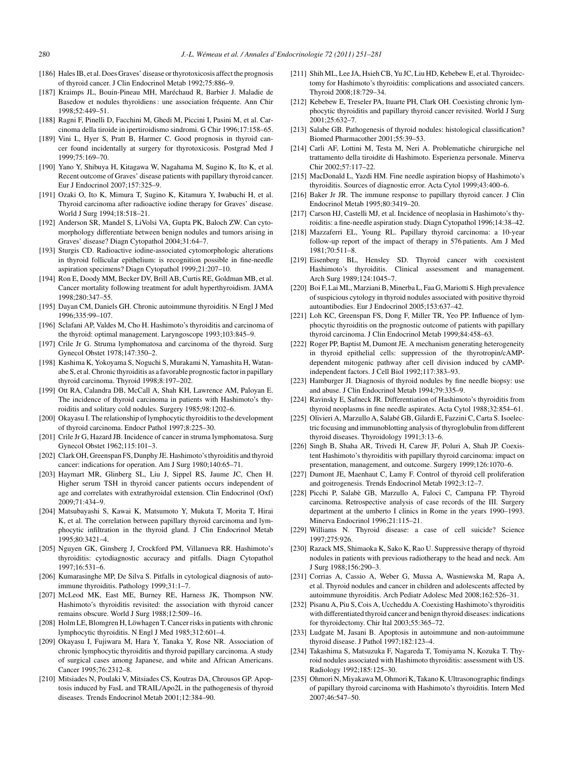- <span id="page-29-0"></span>[186] Hales IB, et al. Does Graves' disease or thyrotoxicosis affect the prognosis of thyroid cancer. J Clin Endocrinol Metab 1992;75:886–9.
- [187] Kraimps JL, Bouin-Pineau MH, Maréchaud R, Barbier J. Maladie de Basedow et nodules thyroïdiens : une association fréquente. Ann Chir 1998;52:449–51.
- [188] Ragni F, Pinelli D, Facchini M, Ghedi M, Piccini I, Pasini M, et al. Carcinoma della tiroide in ipertiroidismo sindromi. G Chir 1996;17:158–65.
- [189] Vini L, Hyer S, Pratt B, Harmer C. Good prognosis in thyroid cancer found incidentally at surgery for thyrotoxicosis. Postgrad Med J 1999;75:169–70.
- [190] Yano Y, Shibuya H, Kitagawa W, Nagahama M, Sugino K, Ito K, et al. Recent outcome of Graves' disease patients with papillary thyroid cancer. Eur J Endocrinol 2007;157:325–9.
- [191] Ozaki O, Ito K, Mimura T, Sugino K, Kitamura Y, Iwabuchi H, et al. Thyroid carcinoma after radioactive iodine therapy for Graves' disease. World J Surg 1994;18:518–21.
- [192] Anderson SR, Mandel S, LiVolsi VA, Gupta PK, Baloch ZW. Can cytomorphology differentiate between benign nodules and tumors arising in Graves' disease? Diagn Cytopathol 2004;31:64–7.
- [193] Sturgis CD. Radioactive iodine-associated cytomorphologic alterations in thyroid follicular epithelium: is recognition possible in fine-needle aspiration specimens? Diagn Cytopathol 1999;21:207–10.
- [194] Ron E, Doody MM, Becker DV, Brill AB, Curtis RE, Goldman MB, et al. Cancer mortality following treatment for adult hyperthyroidism. JAMA 1998;280:347–55.
- [195] Dayan CM, Daniels GH. Chronic autoimmune thyroiditis. N Engl J Med 1996;335:99–107.
- [196] Sclafani AP, Valdes M, Cho H. Hashimoto's thyroiditis and carcinoma of the thyroid: optimal management. Laryngoscope 1993;103:845–9.
- [197] Crile Jr G. Struma lymphomatosa and carcinoma of the thyroid. Surg Gynecol Obstet 1978;147:350–2.
- [198] Kashima K, Yokoyama S, Noguchi S, Murakami N, Yamashita H, Watanabe S, et al. Chronic thyroiditis as a favorable prognostic factor in papillary thyroid carcinoma. Thyroid 1998;8:197–202.
- [199] Ott RA, Calandra DB, McCall A, Shah KH, Lawrence AM, Paloyan E. The incidence of thyroid carcinoma in patients with Hashimoto's thyroiditis and solitary cold nodules. Surgery 1985;98:1202–6.
- [200] Okayasu I. The relationship of lymphocytic thyroiditis to the development of thyroid carcinoma. Endocr Pathol 1997;8:225–30.
- [201] Crile Jr G, Hazard JB. Incidence of cancer in struma lymphomatosa. Surg Gynecol Obstet 1962;115:101–3.
- [202] Clark OH, Greenspan FS, Dunphy JE. Hashimoto's thyroiditis and thyroid cancer: indications for operation. Am J Surg 1980;140:65–71.
- [203] Haymart MR, Glinberg SL, Liu J, Sippel RS, Jaume JC, Chen H. Higher serum TSH in thyroid cancer patients occurs independent of age and correlates with extrathyroidal extension. Clin Endocrinol (Oxf) 2009;71:434–9.
- [204] Matsubayashi S, Kawai K, Matsumoto Y, Mukuta T, Morita T, Hirai K, et al. The correlation between papillary thyroid carcinoma and lymphocytic infiltration in the thyroid gland. J Clin Endocrinol Metab 1995;80:3421–4.
- [205] Nguyen GK, Ginsberg J, Crockford PM, Villanueva RR. Hashimoto's thyroiditis: cytodiagnostic accuracy and pitfalls. Diagn Cytopathol 1997;16:531–6.
- [206] Kumarasinghe MP, De Silva S. Pitfalls in cytological diagnosis of autoimmune thyroiditis. Pathology 1999;31:1–7.
- [207] McLeod MK, East ME, Burney RE, Harness JK, Thompson NW. Hashimoto's thyroiditis revisited: the association with thyroid cancer remains obscure. World J Surg 1988;12:509–16.
- [208] Holm LE, Blomgren H, Löwhagen T. Cancer risks in patients with chronic lymphocytic thyroiditis. N Engl J Med 1985;312:601–4.
- [209] Okayasu I, Fujiwara M, Hara Y, Tanaka Y, Rose NR. Association of chronic lymphocytic thyroiditis and thyroid papillary carcinoma. A study of surgical cases among Japanese, and white and African Americans. Cancer 1995;76:2312–8.
- [210] Mitsiades N, Poulaki V, Mitsiades CS, Koutras DA, Chrousos GP. Apoptosis induced by FasL and TRAIL/Apo2L in the pathogenesis of thyroid diseases. Trends Endocrinol Metab 2001;12:384–90.
- [211] Shih ML, Lee JA, Hsieh CB, Yu JC, Liu HD, Kebebew E, et al. Thyroidectomy for Hashimoto's thyroiditis: complications and associated cancers. Thyroid 2008;18:729–34.
- [212] Kebebew E, Treseler PA, Ituarte PH, Clark OH. Coexisting chronic lymphocytic thyroiditis and papillary thyroid cancer revisited. World J Surg 2001;25:632–7.
- [213] Salabe GB. Pathogenesis of thyroid nodules: histological classification? Biomed Pharmacother 2001;55:39–53.
- [214] Carli AF, Lottini M, Testa M, Neri A. Problematiche chirurgiche nel trattamento della tiroidite di Hashimoto. Esperienza personale. Minerva Chir 2002;57:117–22.
- [215] MacDonald L, Yazdi HM. Fine needle aspiration biopsy of Hashimoto's thyroiditis. Sources of diagnostic error. Acta Cytol 1999;43:400–6.
- [216] Baker Jr JR. The immune response to papillary thyroid cancer. J Clin Endocrinol Metab 1995;80:3419–20.
- [217] Carson HJ, Castelli MJ, et al. Incidence of neoplasia in Hashimoto's thyroiditis: a fine-needle aspiration study. Diagn Cytopathol 1996;14:38–42.
- [218] Mazzaferri EL, Young RL. Papillary thyroid carcinoma: a 10-year follow-up report of the impact of therapy in 576 patients. Am J Med 1981;70:511–8.
- [219] Eisenberg BL, Hensley SD. Thyroid cancer with coexistent Hashimoto's thyroiditis. Clinical assessment and management. Arch Surg 1989;124:1045–7.
- [220] Boi F, Lai ML, Marziani B, Minerba L, Faa G, Mariotti S. High prevalence of suspicious cytology in thyroid nodules associated with positive thyroid autoantibodies. Eur J Endocrinol 2005;153:637–42.
- [221] Loh KC, Greenspan FS, Dong F, Miller TR, Yeo PP. Influence of lymphocytic thyroiditis on the prognostic outcome of patients with papillary thyroid carcinoma. J Clin Endocrinol Metab 1999;84:458–63.
- [222] Roger PP, Baptist M, Dumont JE. A mechanism generating heterogeneity in thyroid epithelial cells: suppression of the thyrotropin/cAMPdependent mitogenic pathway after cell division induced by cAMPindependent factors. J Cell Biol 1992;117:383–93.
- [223] Hamburger JI. Diagnosis of thyroid nodules by fine needle biopsy: use and abuse. J Clin Endocrinol Metab 1994;79:335–9.
- [224] Ravinsky E, Safneck JR. Differentiation of Hashimoto's thyroiditis from thyroid neoplasms in fine needle aspirates. Acta Cytol 1988;32:854–61.
- [225] Olivieri A, Marzullo A, Salabé GB, Gilardi E, Fazzini C, Carta S. Isoelectric focusing and immunoblotting analysis of thyroglobulin from different thyroid diseases. Thyroidology 1991;3:13–6.
- [226] Singh B, Shaha AR, Trivedi H, Carew JF, Poluri A, Shah JP. Coexistent Hashimoto's thyroiditis with papillary thyroid carcinoma: impact on presentation, management, and outcome. Surgery 1999;126:1070–6.
- [227] Dumont JE, Maenhaut C, Lamy F. Control of thyroid cell proliferation and goitrogenesis. Trends Endocrinol Metab 1992;3:12–7.
- [228] Picchi P, Salabè GB, Marzullo A, Faloci C, Campana FP. Thyroid carcinoma. Retrospective analysis of case records of the III. Surgery department at the umberto I clinics in Rome in the years 1990–1993. Minerva Endocrinol 1996;21:115–21.
- [229] Williams N. Thyroid disease: a case of cell suicide? Science 1997;275:926.
- [230] Razack MS, Shimaoka K, Sako K, Rao U. Suppressive therapy of thyroid nodules in patients with previous radiotherapy to the head and neck. Am J Surg 1988;156:290–3.
- [231] Corrias A, Cassio A, Weber G, Mussa A, Wasniewska M, Rapa A, et al. Thyroid nodules and cancer in children and adolescents affected by autoimmune thyroiditis. Arch Pediatr Adolesc Med 2008;162:526–31.
- [232] Pisanu A, Piu S, Cois A, Uccheddu A. Coexisting Hashimoto's thyroiditis with differentiated thyroid cancer and benign thyroid diseases: indications for thyroidectomy. Chir Ital 2003;55:365–72.
- [233] Ludgate M, Jasani B. Apoptosis in autoimmune and non-autoimmune thyroid disease. J Pathol 1997;182:123–4.
- [234] Takashima S, Matsuzuka F, Nagareda T, Tomiyama N, Kozuka T. Thyroid nodules associated with Hashimoto thyroiditis: assessment with US. Radiology 1992;185:125–30.
- [235] Ohmori N, Miyakawa M, Ohmori K, Takano K. Ultrasonographic findings of papillary thyroid carcinoma with Hashimoto's thyroiditis. Intern Med 2007;46:547–50.